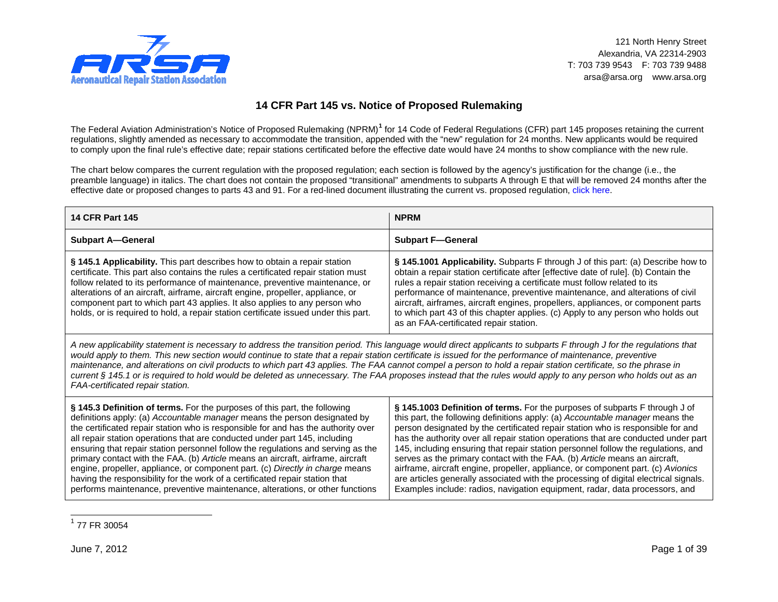

<span id="page-0-0"></span>121 North Henry Street Alexandria, VA 22314-2903 T: 703 739 9543 F: 703 739 9488 arsa@arsa.org www.arsa.org

#### **14 CFR Part 145 vs. Notice of Proposed Rulemaking**

The Federal Aviation Administration's Notice of Proposed Rulemaking (NPRM)<sup>[1](#page-0-0)</sup> for 14 Code of Federal Regulations (CFR) part 145 proposes retaining the current regulations, slightly amended as necessary to accommodate the transition, appended with the "new" regulation for 24 months. New applicants would be required to comply upon the final rule's effective date; repair stations certificated before the effective date would have 24 months to show compliance with the new rule.

The chart below compares the current regulation with the proposed regulation; each section is followed by the agency's justification for the change (i.e., the preamble language) in italics. The chart does not contain the proposed "transitional" amendments to subparts A through E that will be removed 24 months after the effective date or proposed changes to parts 43 and 91. For a red-lined document illustrating the current vs. proposed regulation, [click here.](http://www.arsa.org/files2/ARSA-145NPRMRedline-20120607.pdf)

| <b>14 CFR Part 145</b>                                                                                                                                                                                                                                                                                                                                                                                                                                                                                                                                                                                                                                                                                                                             | <b>NPRM</b>                                                                                                                                                                                                                                                                                                                                                                                                                                                                                                                                                                                                                                                                                                                                                         |  |
|----------------------------------------------------------------------------------------------------------------------------------------------------------------------------------------------------------------------------------------------------------------------------------------------------------------------------------------------------------------------------------------------------------------------------------------------------------------------------------------------------------------------------------------------------------------------------------------------------------------------------------------------------------------------------------------------------------------------------------------------------|---------------------------------------------------------------------------------------------------------------------------------------------------------------------------------------------------------------------------------------------------------------------------------------------------------------------------------------------------------------------------------------------------------------------------------------------------------------------------------------------------------------------------------------------------------------------------------------------------------------------------------------------------------------------------------------------------------------------------------------------------------------------|--|
| <b>Subpart A-General</b>                                                                                                                                                                                                                                                                                                                                                                                                                                                                                                                                                                                                                                                                                                                           | <b>Subpart F-General</b>                                                                                                                                                                                                                                                                                                                                                                                                                                                                                                                                                                                                                                                                                                                                            |  |
| § 145.1 Applicability. This part describes how to obtain a repair station<br>certificate. This part also contains the rules a certificated repair station must<br>follow related to its performance of maintenance, preventive maintenance, or<br>alterations of an aircraft, airframe, aircraft engine, propeller, appliance, or<br>component part to which part 43 applies. It also applies to any person who<br>holds, or is required to hold, a repair station certificate issued under this part.                                                                                                                                                                                                                                             | § 145.1001 Applicability. Subparts F through J of this part: (a) Describe how to<br>obtain a repair station certificate after [effective date of rule]. (b) Contain the<br>rules a repair station receiving a certificate must follow related to its<br>performance of maintenance, preventive maintenance, and alterations of civil<br>aircraft, airframes, aircraft engines, propellers, appliances, or component parts<br>to which part 43 of this chapter applies. (c) Apply to any person who holds out<br>as an FAA-certificated repair station.                                                                                                                                                                                                              |  |
| A new applicability statement is necessary to address the transition period. This language would direct applicants to subparts F through J for the regulations that<br>would apply to them. This new section would continue to state that a repair station certificate is issued for the performance of maintenance, preventive<br>maintenance, and alterations on civil products to which part 43 applies. The FAA cannot compel a person to hold a repair station certificate, so the phrase in<br>current § 145.1 or is required to hold would be deleted as unnecessary. The FAA proposes instead that the rules would apply to any person who holds out as an<br>FAA-certificated repair station.                                             |                                                                                                                                                                                                                                                                                                                                                                                                                                                                                                                                                                                                                                                                                                                                                                     |  |
| § 145.3 Definition of terms. For the purposes of this part, the following<br>definitions apply: (a) Accountable manager means the person designated by<br>the certificated repair station who is responsible for and has the authority over<br>all repair station operations that are conducted under part 145, including<br>ensuring that repair station personnel follow the regulations and serving as the<br>primary contact with the FAA. (b) Article means an aircraft, airframe, aircraft<br>engine, propeller, appliance, or component part. (c) Directly in charge means<br>having the responsibility for the work of a certificated repair station that<br>performs maintenance, preventive maintenance, alterations, or other functions | § 145.1003 Definition of terms. For the purposes of subparts F through J of<br>this part, the following definitions apply: (a) Accountable manager means the<br>person designated by the certificated repair station who is responsible for and<br>has the authority over all repair station operations that are conducted under part<br>145, including ensuring that repair station personnel follow the regulations, and<br>serves as the primary contact with the FAA. (b) Article means an aircraft,<br>airframe, aircraft engine, propeller, appliance, or component part. (c) Avionics<br>are articles generally associated with the processing of digital electrical signals.<br>Examples include: radios, navigation equipment, radar, data processors, and |  |

 $1$  77 FR 30054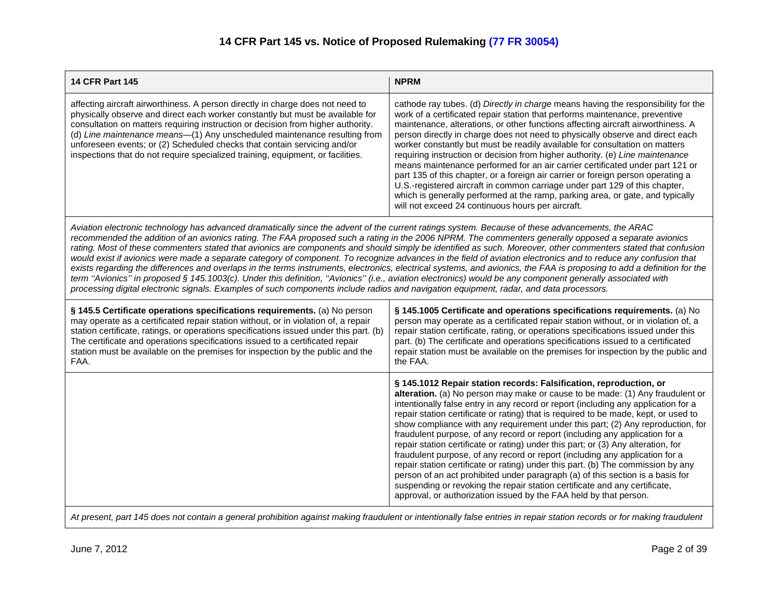| <b>14 CFR Part 145</b>                                                                                                                                                                                                                                                                                                                                                                                                                                                                                                                                                                                                                                                                                                                                                                                                                                                                                                                                                                                                                                                                                                             | <b>NPRM</b>                                                                                                                                                                                                                                                                                                                                                                                                                                                                                                                                                                                                                                                                                                                                                                                                                                                                                                                                                                                       |  |
|------------------------------------------------------------------------------------------------------------------------------------------------------------------------------------------------------------------------------------------------------------------------------------------------------------------------------------------------------------------------------------------------------------------------------------------------------------------------------------------------------------------------------------------------------------------------------------------------------------------------------------------------------------------------------------------------------------------------------------------------------------------------------------------------------------------------------------------------------------------------------------------------------------------------------------------------------------------------------------------------------------------------------------------------------------------------------------------------------------------------------------|---------------------------------------------------------------------------------------------------------------------------------------------------------------------------------------------------------------------------------------------------------------------------------------------------------------------------------------------------------------------------------------------------------------------------------------------------------------------------------------------------------------------------------------------------------------------------------------------------------------------------------------------------------------------------------------------------------------------------------------------------------------------------------------------------------------------------------------------------------------------------------------------------------------------------------------------------------------------------------------------------|--|
| affecting aircraft airworthiness. A person directly in charge does not need to<br>physically observe and direct each worker constantly but must be available for<br>consultation on matters requiring instruction or decision from higher authority.<br>(d) Line maintenance means-(1) Any unscheduled maintenance resulting from<br>unforeseen events; or (2) Scheduled checks that contain servicing and/or<br>inspections that do not require specialized training, equipment, or facilities.                                                                                                                                                                                                                                                                                                                                                                                                                                                                                                                                                                                                                                   | cathode ray tubes. (d) Directly in charge means having the responsibility for the<br>work of a certificated repair station that performs maintenance, preventive<br>maintenance, alterations, or other functions affecting aircraft airworthiness. A<br>person directly in charge does not need to physically observe and direct each<br>worker constantly but must be readily available for consultation on matters<br>requiring instruction or decision from higher authority. (e) Line maintenance<br>means maintenance performed for an air carrier certificated under part 121 or<br>part 135 of this chapter, or a foreign air carrier or foreign person operating a<br>U.S.-registered aircraft in common carriage under part 129 of this chapter,<br>which is generally performed at the ramp, parking area, or gate, and typically<br>will not exceed 24 continuous hours per aircraft.                                                                                                  |  |
| Aviation electronic technology has advanced dramatically since the advent of the current ratings system. Because of these advancements, the ARAC<br>recommended the addition of an avionics rating. The FAA proposed such a rating in the 2006 NPRM. The commenters generally opposed a separate avionics<br>rating. Most of these commenters stated that avionics are components and should simply be identified as such. Moreover, other commenters stated that confusion<br>would exist if avionics were made a separate category of component. To recognize advances in the field of aviation electronics and to reduce any confusion that<br>exists regarding the differences and overlaps in the terms instruments, electronics, electrical systems, and avionics, the FAA is proposing to add a definition for the<br>term "Avionics" in proposed § 145.1003(c). Under this definition, "Avionics" (i.e., aviation electronics) would be any component generally associated with<br>processing digital electronic signals. Examples of such components include radios and navigation equipment, radar, and data processors. |                                                                                                                                                                                                                                                                                                                                                                                                                                                                                                                                                                                                                                                                                                                                                                                                                                                                                                                                                                                                   |  |
| § 145.5 Certificate operations specifications requirements. (a) No person<br>may operate as a certificated repair station without, or in violation of, a repair<br>station certificate, ratings, or operations specifications issued under this part. (b)<br>The certificate and operations specifications issued to a certificated repair<br>station must be available on the premises for inspection by the public and the<br>FAA.                                                                                                                                                                                                                                                                                                                                                                                                                                                                                                                                                                                                                                                                                               | § 145.1005 Certificate and operations specifications requirements. (a) No<br>person may operate as a certificated repair station without, or in violation of, a<br>repair station certificate, rating, or operations specifications issued under this<br>part. (b) The certificate and operations specifications issued to a certificated<br>repair station must be available on the premises for inspection by the public and<br>the FAA.                                                                                                                                                                                                                                                                                                                                                                                                                                                                                                                                                        |  |
|                                                                                                                                                                                                                                                                                                                                                                                                                                                                                                                                                                                                                                                                                                                                                                                                                                                                                                                                                                                                                                                                                                                                    | § 145.1012 Repair station records: Falsification, reproduction, or<br>alteration. (a) No person may make or cause to be made: (1) Any fraudulent or<br>intentionally false entry in any record or report (including any application for a<br>repair station certificate or rating) that is required to be made, kept, or used to<br>show compliance with any requirement under this part; (2) Any reproduction, for<br>fraudulent purpose, of any record or report (including any application for a<br>repair station certificate or rating) under this part; or (3) Any alteration, for<br>fraudulent purpose, of any record or report (including any application for a<br>repair station certificate or rating) under this part. (b) The commission by any<br>person of an act prohibited under paragraph (a) of this section is a basis for<br>suspending or revoking the repair station certificate and any certificate,<br>approval, or authorization issued by the FAA held by that person. |  |

*At present, part 145 does not contain a general prohibition against making fraudulent or intentionally false entries in repair station records or for making fraudulent*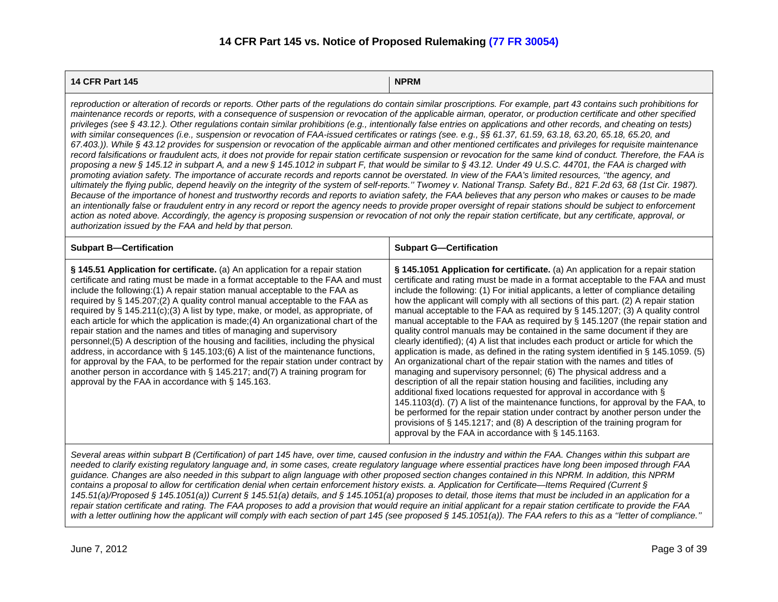| <b>14 CFR Part 145</b>                                                                                                                                                                                                                                                                                                                                                                                                                                                                                                                                                                                                                                                                                                                                                                                                                                                                                                                                                                                                                                                                                                                                                                                                                                                                                                                                                                                                                                                                                                                                                                                                                                                                                                                                                                                                                                                                                                                                                                                                                                                                                            | <b>NPRM</b>                                                                                                                                                                                                                                                                                                                                                                                                                                                                                                                                                                                                                                                                                                                                                                                                                                                                                                                                                                                                                                                                                                                                                                                                                                                                                                                                                                                          |
|-------------------------------------------------------------------------------------------------------------------------------------------------------------------------------------------------------------------------------------------------------------------------------------------------------------------------------------------------------------------------------------------------------------------------------------------------------------------------------------------------------------------------------------------------------------------------------------------------------------------------------------------------------------------------------------------------------------------------------------------------------------------------------------------------------------------------------------------------------------------------------------------------------------------------------------------------------------------------------------------------------------------------------------------------------------------------------------------------------------------------------------------------------------------------------------------------------------------------------------------------------------------------------------------------------------------------------------------------------------------------------------------------------------------------------------------------------------------------------------------------------------------------------------------------------------------------------------------------------------------------------------------------------------------------------------------------------------------------------------------------------------------------------------------------------------------------------------------------------------------------------------------------------------------------------------------------------------------------------------------------------------------------------------------------------------------------------------------------------------------|------------------------------------------------------------------------------------------------------------------------------------------------------------------------------------------------------------------------------------------------------------------------------------------------------------------------------------------------------------------------------------------------------------------------------------------------------------------------------------------------------------------------------------------------------------------------------------------------------------------------------------------------------------------------------------------------------------------------------------------------------------------------------------------------------------------------------------------------------------------------------------------------------------------------------------------------------------------------------------------------------------------------------------------------------------------------------------------------------------------------------------------------------------------------------------------------------------------------------------------------------------------------------------------------------------------------------------------------------------------------------------------------------|
| reproduction or alteration of records or reports. Other parts of the regulations do contain similar proscriptions. For example, part 43 contains such prohibitions for<br>maintenance records or reports, with a consequence of suspension or revocation of the applicable airman, operator, or production certificate and other specified<br>privileges (see § 43.12.). Other regulations contain similar prohibitions (e.g., intentionally false entries on applications and other records, and cheating on tests)<br>with similar consequences (i.e., suspension or revocation of FAA-issued certificates or ratings (see. e.g., §§ 61.37, 61.59, 63.18, 63.20, 65.18, 65.20, and<br>67.403.)). While § 43.12 provides for suspension or revocation of the applicable airman and other mentioned certificates and privileges for requisite maintenance<br>record falsifications or fraudulent acts, it does not provide for repair station certificate suspension or revocation for the same kind of conduct. Therefore, the FAA is<br>proposing a new § 145.12 in subpart A, and a new § 145.1012 in subpart F, that would be similar to § 43.12. Under 49 U.S.C. 44701, the FAA is charged with<br>promoting aviation safety. The importance of accurate records and reports cannot be overstated. In view of the FAA's limited resources, "the agency, and<br>ultimately the flying public, depend heavily on the integrity of the system of self-reports." Twomey v. National Transp. Safety Bd., 821 F.2d 63, 68 (1st Cir. 1987).<br>Because of the importance of honest and trustworthy records and reports to aviation safety, the FAA believes that any person who makes or causes to be made<br>an intentionally false or fraudulent entry in any record or report the agency needs to provide proper oversight of repair stations should be subject to enforcement<br>action as noted above. Accordingly, the agency is proposing suspension or revocation of not only the repair station certificate, but any certificate, approval, or<br>authorization issued by the FAA and held by that person. |                                                                                                                                                                                                                                                                                                                                                                                                                                                                                                                                                                                                                                                                                                                                                                                                                                                                                                                                                                                                                                                                                                                                                                                                                                                                                                                                                                                                      |
| <b>Subpart B-Certification</b>                                                                                                                                                                                                                                                                                                                                                                                                                                                                                                                                                                                                                                                                                                                                                                                                                                                                                                                                                                                                                                                                                                                                                                                                                                                                                                                                                                                                                                                                                                                                                                                                                                                                                                                                                                                                                                                                                                                                                                                                                                                                                    | <b>Subpart G-Certification</b>                                                                                                                                                                                                                                                                                                                                                                                                                                                                                                                                                                                                                                                                                                                                                                                                                                                                                                                                                                                                                                                                                                                                                                                                                                                                                                                                                                       |
| § 145.51 Application for certificate. (a) An application for a repair station<br>certificate and rating must be made in a format acceptable to the FAA and must<br>include the following: (1) A repair station manual acceptable to the FAA as<br>required by § 145.207;(2) A quality control manual acceptable to the FAA as<br>required by § 145.211(c);(3) A list by type, make, or model, as appropriate, of<br>each article for which the application is made; (4) An organizational chart of the<br>repair station and the names and titles of managing and supervisory<br>personnel; (5) A description of the housing and facilities, including the physical<br>address, in accordance with § 145.103;(6) A list of the maintenance functions,<br>for approval by the FAA, to be performed for the repair station under contract by<br>another person in accordance with $\S$ 145.217; and(7) A training program for<br>approval by the FAA in accordance with $\S$ 145.163.                                                                                                                                                                                                                                                                                                                                                                                                                                                                                                                                                                                                                                                                                                                                                                                                                                                                                                                                                                                                                                                                                                                               | § 145.1051 Application for certificate. (a) An application for a repair station<br>certificate and rating must be made in a format acceptable to the FAA and must<br>include the following: (1) For initial applicants, a letter of compliance detailing<br>how the applicant will comply with all sections of this part. (2) A repair station<br>manual acceptable to the FAA as required by § 145.1207; (3) A quality control<br>manual acceptable to the FAA as required by § 145.1207 (the repair station and<br>quality control manuals may be contained in the same document if they are<br>clearly identified); (4) A list that includes each product or article for which the<br>application is made, as defined in the rating system identified in § 145.1059. (5)<br>An organizational chart of the repair station with the names and titles of<br>managing and supervisory personnel; (6) The physical address and a<br>description of all the repair station housing and facilities, including any<br>additional fixed locations requested for approval in accordance with §<br>145.1103(d). (7) A list of the maintenance functions, for approval by the FAA, to<br>be performed for the repair station under contract by another person under the<br>provisions of § 145.1217; and (8) A description of the training program for<br>approval by the FAA in accordance with § 145.1163. |
| Several areas within subpart B (Certification) of part 145 have, over time, caused confusion in the industry and within the FAA. Changes within this subpart are<br>needed to clarify existing regulatory language and, in some cases, create regulatory language where essential practices have long been imposed through FAA<br>guidance. Changes are also needed in this subpart to align language with other proposed section changes contained in this NPRM. In addition, this NPRM<br>contains a proposal to allow for certification denial when certain enforcement history exists. a. Application for Certificate-Items Required (Current §<br>145.51(a)/Proposed § 145.1051(a)) Current § 145.51(a) details, and § 145.1051(a) proposes to detail, those items that must be included in an application for a                                                                                                                                                                                                                                                                                                                                                                                                                                                                                                                                                                                                                                                                                                                                                                                                                                                                                                                                                                                                                                                                                                                                                                                                                                                                                             |                                                                                                                                                                                                                                                                                                                                                                                                                                                                                                                                                                                                                                                                                                                                                                                                                                                                                                                                                                                                                                                                                                                                                                                                                                                                                                                                                                                                      |

*repair station certificate and rating. The FAA proposes to add a provision that would require an initial applicant for a repair station certificate to provide the FAA*  with a letter outlining how the applicant will comply with each section of part 145 (see proposed § 145.1051(a)). The FAA refers to this as a "letter of compliance."

June 7, 2012 Page 3 of 39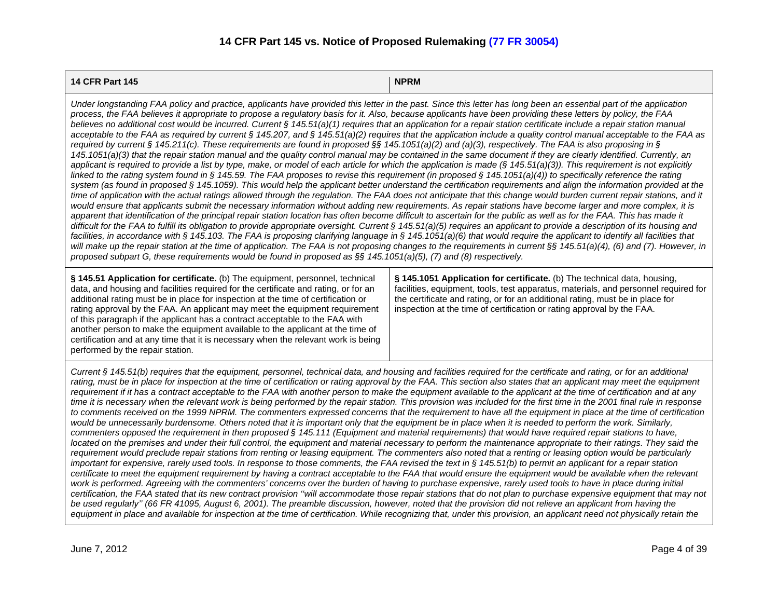| 14 CFR Part 145                                                                                                                                                                                                                                                                                                                                                                                                                                                                                                                                                                                                                                                                                                                                                                                                                                                                                                                                                                                                                                                                                                                                                                                                                                                                                                                                                                                                                                                                                                                                                                                                                                                                                                                                                                                                                                                                                                                                                                                                                                                                                                                                                                                                                                                                                                                                                                                                                                                                                                                                                                                                                                                                                               | <b>NPRM</b>                                                                                                                                                                                                                                                                                                                |
|---------------------------------------------------------------------------------------------------------------------------------------------------------------------------------------------------------------------------------------------------------------------------------------------------------------------------------------------------------------------------------------------------------------------------------------------------------------------------------------------------------------------------------------------------------------------------------------------------------------------------------------------------------------------------------------------------------------------------------------------------------------------------------------------------------------------------------------------------------------------------------------------------------------------------------------------------------------------------------------------------------------------------------------------------------------------------------------------------------------------------------------------------------------------------------------------------------------------------------------------------------------------------------------------------------------------------------------------------------------------------------------------------------------------------------------------------------------------------------------------------------------------------------------------------------------------------------------------------------------------------------------------------------------------------------------------------------------------------------------------------------------------------------------------------------------------------------------------------------------------------------------------------------------------------------------------------------------------------------------------------------------------------------------------------------------------------------------------------------------------------------------------------------------------------------------------------------------------------------------------------------------------------------------------------------------------------------------------------------------------------------------------------------------------------------------------------------------------------------------------------------------------------------------------------------------------------------------------------------------------------------------------------------------------------------------------------------------|----------------------------------------------------------------------------------------------------------------------------------------------------------------------------------------------------------------------------------------------------------------------------------------------------------------------------|
| Under longstanding FAA policy and practice, applicants have provided this letter in the past. Since this letter has long been an essential part of the application<br>process, the FAA believes it appropriate to propose a regulatory basis for it. Also, because applicants have been providing these letters by policy, the FAA<br>believes no additional cost would be incurred. Current § 145.51(a)(1) requires that an application for a repair station certificate include a repair station manual<br>acceptable to the FAA as required by current § 145.207, and § 145.51(a)(2) requires that the application include a quality control manual acceptable to the FAA as<br>required by current § 145.211(c). These requirements are found in proposed §§ 145.1051(a)(2) and (a)(3), respectively. The FAA is also proposing in §<br>145.1051(a)(3) that the repair station manual and the quality control manual may be contained in the same document if they are clearly identified. Currently, an<br>applicant is required to provide a list by type, make, or model of each article for which the application is made $(\S 145.51(a)(3))$ . This requirement is not explicitly<br>linked to the rating system found in § 145.59. The FAA proposes to revise this requirement (in proposed § 145.1051(a)(4)) to specifically reference the rating<br>system (as found in proposed § 145.1059). This would help the applicant better understand the certification requirements and align the information provided at the<br>time of application with the actual ratings allowed through the regulation. The FAA does not anticipate that this change would burden current repair stations, and it<br>would ensure that applicants submit the necessary information without adding new requirements. As repair stations have become larger and more complex, it is<br>apparent that identification of the principal repair station location has often become difficult to ascertain for the public as well as for the FAA. This has made it<br>difficult for the FAA to fulfill its obligation to provide appropriate oversight. Current § 145.51(a)(5) requires an applicant to provide a description of its housing and<br>facilities, in accordance with § 145.103. The FAA is proposing clarifying language in § 145.1051(a)(6) that would require the applicant to identify all facilities that<br>will make up the repair station at the time of application. The FAA is not proposing changes to the requirements in current §§ 145.51(a)(4), (6) and (7). However, in<br>proposed subpart G, these requirements would be found in proposed as $\S$ 145.1051(a)(5), (7) and (8) respectively. |                                                                                                                                                                                                                                                                                                                            |
| § 145.51 Application for certificate. (b) The equipment, personnel, technical<br>data, and housing and facilities required for the certificate and rating, or for an<br>additional rating must be in place for inspection at the time of certification or<br>rating approval by the FAA. An applicant may meet the equipment requirement<br>of this paragraph if the applicant has a contract acceptable to the FAA with<br>another person to make the equipment available to the applicant at the time of<br>certification and at any time that it is necessary when the relevant work is being<br>performed by the repair station.                                                                                                                                                                                                                                                                                                                                                                                                                                                                                                                                                                                                                                                                                                                                                                                                                                                                                                                                                                                                                                                                                                                                                                                                                                                                                                                                                                                                                                                                                                                                                                                                                                                                                                                                                                                                                                                                                                                                                                                                                                                                          | § 145.1051 Application for certificate. (b) The technical data, housing,<br>facilities, equipment, tools, test apparatus, materials, and personnel required for<br>the certificate and rating, or for an additional rating, must be in place for<br>inspection at the time of certification or rating approval by the FAA. |
| Current § 145.51(b) requires that the equipment, personnel, technical data, and housing and facilities required for the certificate and rating, or for an additional<br>rating, must be in place for inspection at the time of certification or rating approval by the FAA. This section also states that an applicant may meet the equipment<br>requirement if it has a contract acceptable to the FAA with another person to make the equipment available to the applicant at the time of certification and at any<br>time it is necessary when the relevant work is being performed by the repair station. This provision was included for the first time in the 2001 final rule in response<br>to comments received on the 1999 NPRM. The commenters expressed concerns that the requirement to have all the equipment in place at the time of certification<br>would be unnecessarily burdensome. Others noted that it is important only that the equipment be in place when it is needed to perform the work. Similarly,<br>commenters opposed the requirement in then proposed § 145.111 (Equipment and material requirements) that would have required repair stations to have,<br>located on the premises and under their full control, the equipment and material necessary to perform the maintenance appropriate to their ratings. They said the<br>requirement would preclude repair stations from renting or leasing equipment. The commenters also noted that a renting or leasing option would be particularly<br>important for expensive, rarely used tools. In response to those comments, the FAA revised the text in § 145.51(b) to permit an applicant for a repair station<br>certificate to meet the equipment requirement by having a contract acceptable to the FAA that would ensure the equipment would be available when the relevant<br>work is performed. Agreeing with the commenters' concerns over the burden of having to purchase expensive, rarely used tools to have in place during initial<br>certification, the FAA stated that its new contract provision "will accommodate those repair stations that do not plan to purchase expensive equipment that may not<br>be used regularly" (66 FR 41095, August 6, 2001). The preamble discussion, however, noted that the provision did not relieve an applicant from having the<br>equipment in place and available for inspection at the time of certification. While recognizing that, under this provision, an applicant need not physically retain the                                                                                                                                                              |                                                                                                                                                                                                                                                                                                                            |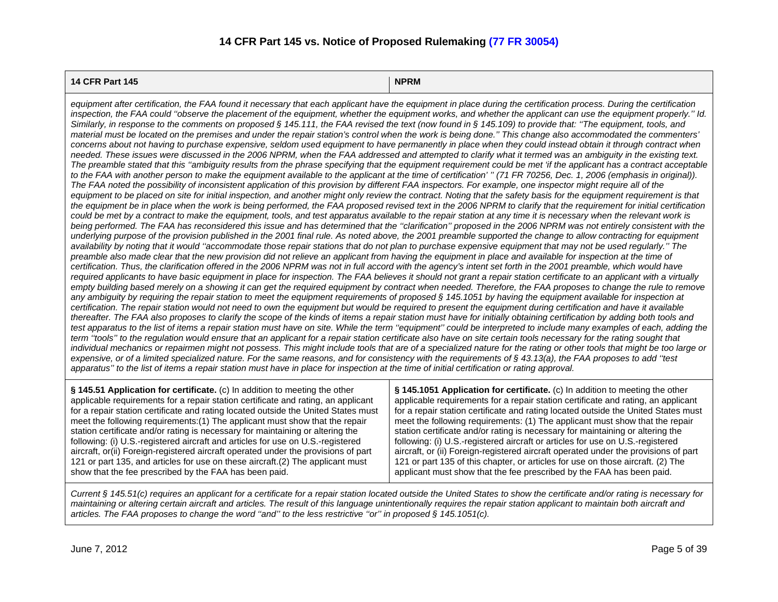#### **14 CFR Part 145 NPRM** equipment after certification, the FAA found it necessary that each applicant have the equipment in place during the certification process. During the certification *inspection, the FAA could ''observe the placement of the equipment, whether the equipment works, and whether the applicant can use the equipment properly.'' Id. Similarly, in response to the comments on proposed § 145.111, the FAA revised the text (now found in § 145.109) to provide that: ''The equipment, tools, and material must be located on the premises and under the repair station's control when the work is being done.'' This change also accommodated the commenters' concerns about not having to purchase expensive, seldom used equipment to have permanently in place when they could instead obtain it through contract when needed. These issues were discussed in the 2006 NPRM, when the FAA addressed and attempted to clarify what it termed was an ambiguity in the existing text. The preamble stated that this ''ambiguity results from the phrase specifying that the equipment requirement could be met 'if the applicant has a contract acceptable to the FAA with another person to make the equipment available to the applicant at the time of certification' '' (71 FR 70256, Dec. 1, 2006 (emphasis in original)). The FAA noted the possibility of inconsistent application of this provision by different FAA inspectors. For example, one inspector might require all of the*  equipment to be placed on site for initial inspection, and another might only review the contract. Noting that the safety basis for the equipment requirement is that *the equipment be in place when the work is being performed, the FAA proposed revised text in the 2006 NPRM to clarify that the requirement for initial certification could be met by a contract to make the equipment, tools, and test apparatus available to the repair station at any time it is necessary when the relevant work is*  being performed. The FAA has reconsidered this issue and has determined that the "clarification" proposed in the 2006 NPRM was not entirely consistent with the *underlying purpose of the provision published in the 2001 final rule. As noted above, the 2001 preamble supported the change to allow contracting for equipment availability by noting that it would ''accommodate those repair stations that do not plan to purchase expensive equipment that may not be used regularly.'' The preamble also made clear that the new provision did not relieve an applicant from having the equipment in place and available for inspection at the time of certification. Thus, the clarification offered in the 2006 NPRM was not in full accord with the agency's intent set forth in the 2001 preamble, which would have required applicants to have basic equipment in place for inspection. The FAA believes it should not grant a repair station certificate to an applicant with a virtually empty building based merely on a showing it can get the required equipment by contract when needed. Therefore, the FAA proposes to change the rule to remove any ambiguity by requiring the repair station to meet the equipment requirements of proposed § 145.1051 by having the equipment available for inspection at certification. The repair station would not need to own the equipment but would be required to present the equipment during certification and have it available thereafter. The FAA also proposes to clarify the scope of the kinds of items a repair station must have for initially obtaining certification by adding both tools and*  test apparatus to the list of items a repair station must have on site. While the term "equipment" could be interpreted to include many examples of each, adding the *term ''tools'' to the regulation would ensure that an applicant for a repair station certificate also have on site certain tools necessary for the rating sought that individual mechanics or repairmen might not possess. This might include tools that are of a specialized nature for the rating or other tools that might be too large or expensive, or of a limited specialized nature. For the same reasons, and for consistency with the requirements of § 43.13(a), the FAA proposes to add ''test apparatus'' to the list of items a repair station must have in place for inspection at the time of initial certification or rating approval.*

**§ 145.51 Application for certificate.** (c) In addition to meeting the other applicable requirements for a repair station certificate and rating, an applicant for a repair station certificate and rating located outside the United States must meet the following requirements:(1) The applicant must show that the repair station certificate and/or rating is necessary for maintaining or altering the following: (i) U.S.-registered aircraft and articles for use on U.S.-registered aircraft, or(ii) Foreign-registered aircraft operated under the provisions of part 121 or part 135, and articles for use on these aircraft.(2) The applicant must show that the fee prescribed by the FAA has been paid.

**§ 145.1051 Application for certificate.** (c) In addition to meeting the other applicable requirements for a repair station certificate and rating, an applicant for a repair station certificate and rating located outside the United States must meet the following requirements: (1) The applicant must show that the repair station certificate and/or rating is necessary for maintaining or altering the following: (i) U.S.-registered aircraft or articles for use on U.S.-registered aircraft, or (ii) Foreign-registered aircraft operated under the provisions of part 121 or part 135 of this chapter, or articles for use on those aircraft. (2) The applicant must show that the fee prescribed by the FAA has been paid.

*Current § 145.51(c) requires an applicant for a certificate for a repair station located outside the United States to show the certificate and/or rating is necessary for maintaining or altering certain aircraft and articles. The result of this language unintentionally requires the repair station applicant to maintain both aircraft and articles. The FAA proposes to change the word ''and'' to the less restrictive ''or'' in proposed § 145.1051(c).*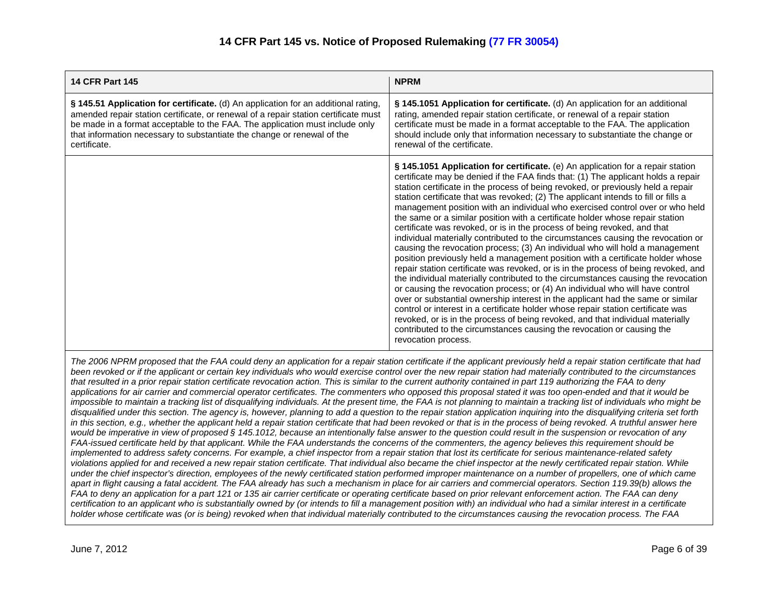| <b>14 CFR Part 145</b>                                                                                                                                                                                                                                                                                                                               | <b>NPRM</b>                                                                                                                                                                                                                                                                                                                                                                                                                                                                                                                                                                                                                                                                                                                                                                                                                                                                                                                                                                                                                                                                                                                                                                                                                                                                                                                                                                                                                                                              |
|------------------------------------------------------------------------------------------------------------------------------------------------------------------------------------------------------------------------------------------------------------------------------------------------------------------------------------------------------|--------------------------------------------------------------------------------------------------------------------------------------------------------------------------------------------------------------------------------------------------------------------------------------------------------------------------------------------------------------------------------------------------------------------------------------------------------------------------------------------------------------------------------------------------------------------------------------------------------------------------------------------------------------------------------------------------------------------------------------------------------------------------------------------------------------------------------------------------------------------------------------------------------------------------------------------------------------------------------------------------------------------------------------------------------------------------------------------------------------------------------------------------------------------------------------------------------------------------------------------------------------------------------------------------------------------------------------------------------------------------------------------------------------------------------------------------------------------------|
| § 145.51 Application for certificate. (d) An application for an additional rating,<br>amended repair station certificate, or renewal of a repair station certificate must<br>be made in a format acceptable to the FAA. The application must include only<br>that information necessary to substantiate the change or renewal of the<br>certificate. | § 145.1051 Application for certificate. (d) An application for an additional<br>rating, amended repair station certificate, or renewal of a repair station<br>certificate must be made in a format acceptable to the FAA. The application<br>should include only that information necessary to substantiate the change or<br>renewal of the certificate.                                                                                                                                                                                                                                                                                                                                                                                                                                                                                                                                                                                                                                                                                                                                                                                                                                                                                                                                                                                                                                                                                                                 |
|                                                                                                                                                                                                                                                                                                                                                      | § 145.1051 Application for certificate. (e) An application for a repair station<br>certificate may be denied if the FAA finds that: (1) The applicant holds a repair<br>station certificate in the process of being revoked, or previously held a repair<br>station certificate that was revoked; (2) The applicant intends to fill or fills a<br>management position with an individual who exercised control over or who held<br>the same or a similar position with a certificate holder whose repair station<br>certificate was revoked, or is in the process of being revoked, and that<br>individual materially contributed to the circumstances causing the revocation or<br>causing the revocation process; (3) An individual who will hold a management<br>position previously held a management position with a certificate holder whose<br>repair station certificate was revoked, or is in the process of being revoked, and<br>the individual materially contributed to the circumstances causing the revocation<br>or causing the revocation process; or (4) An individual who will have control<br>over or substantial ownership interest in the applicant had the same or similar<br>control or interest in a certificate holder whose repair station certificate was<br>revoked, or is in the process of being revoked, and that individual materially<br>contributed to the circumstances causing the revocation or causing the<br>revocation process. |

*The 2006 NPRM proposed that the FAA could deny an application for a repair station certificate if the applicant previously held a repair station certificate that had been revoked or if the applicant or certain key individuals who would exercise control over the new repair station had materially contributed to the circumstances that resulted in a prior repair station certificate revocation action. This is similar to the current authority contained in part 119 authorizing the FAA to deny applications for air carrier and commercial operator certificates. The commenters who opposed this proposal stated it was too open-ended and that it would be impossible to maintain a tracking list of disqualifying individuals. At the present time, the FAA is not planning to maintain a tracking list of individuals who might be disqualified under this section. The agency is, however, planning to add a question to the repair station application inquiring into the disqualifying criteria set forth*  in this section, e.g., whether the applicant held a repair station certificate that had been revoked or that is in the process of being revoked. A truthful answer here would be imperative in view of proposed § 145.1012, because an intentionally false answer to the question could result in the suspension or revocation of any *FAA-issued certificate held by that applicant. While the FAA understands the concerns of the commenters, the agency believes this requirement should be implemented to address safety concerns. For example, a chief inspector from a repair station that lost its certificate for serious maintenance-related safety violations applied for and received a new repair station certificate. That individual also became the chief inspector at the newly certificated repair station. While under the chief inspector's direction, employees of the newly certificated station performed improper maintenance on a number of propellers, one of which came apart in flight causing a fatal accident. The FAA already has such a mechanism in place for air carriers and commercial operators. Section 119.39(b) allows the FAA to deny an application for a part 121 or 135 air carrier certificate or operating certificate based on prior relevant enforcement action. The FAA can deny certification to an applicant who is substantially owned by (or intends to fill a management position with) an individual who had a similar interest in a certificate holder whose certificate was (or is being) revoked when that individual materially contributed to the circumstances causing the revocation process. The FAA*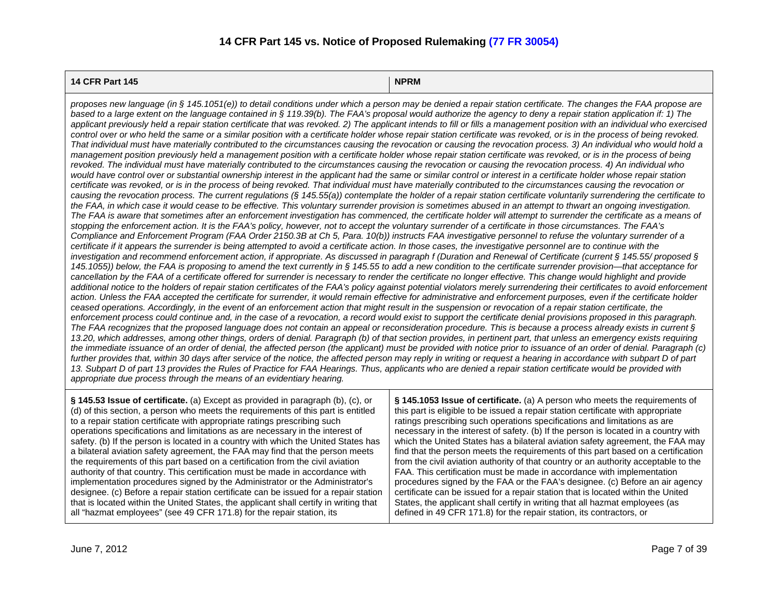| <b>14 CFR Part 145</b>                                                                                                                                                                                                                                                                                                                                                                                                                                                                                                                                                                                                                                                                                                                                                                                                                                                                                                                                                                                                                                                                                                                                                                                                                                                                                                                                                                                                                                                                                                                                                                                                                                                                                                                                                                                                                                                                                                                                                                                                                                                                                                                                                                                                                                                                                                                                                                                                                                                                                                                                                                                                                                                                                                                                                                                                                                                                                                                                                                                                                                                                                                                                                                                                                                                                                                                                                                                                                                                                                                                                                                                                                                                                                                                                                                                                                                                                                                                                                                                                                                                                                                                                                                                                                                                                                                                     | <b>NPRM</b>                                                                                                                                                                                                                                                                                                                                              |
|--------------------------------------------------------------------------------------------------------------------------------------------------------------------------------------------------------------------------------------------------------------------------------------------------------------------------------------------------------------------------------------------------------------------------------------------------------------------------------------------------------------------------------------------------------------------------------------------------------------------------------------------------------------------------------------------------------------------------------------------------------------------------------------------------------------------------------------------------------------------------------------------------------------------------------------------------------------------------------------------------------------------------------------------------------------------------------------------------------------------------------------------------------------------------------------------------------------------------------------------------------------------------------------------------------------------------------------------------------------------------------------------------------------------------------------------------------------------------------------------------------------------------------------------------------------------------------------------------------------------------------------------------------------------------------------------------------------------------------------------------------------------------------------------------------------------------------------------------------------------------------------------------------------------------------------------------------------------------------------------------------------------------------------------------------------------------------------------------------------------------------------------------------------------------------------------------------------------------------------------------------------------------------------------------------------------------------------------------------------------------------------------------------------------------------------------------------------------------------------------------------------------------------------------------------------------------------------------------------------------------------------------------------------------------------------------------------------------------------------------------------------------------------------------------------------------------------------------------------------------------------------------------------------------------------------------------------------------------------------------------------------------------------------------------------------------------------------------------------------------------------------------------------------------------------------------------------------------------------------------------------------------------------------------------------------------------------------------------------------------------------------------------------------------------------------------------------------------------------------------------------------------------------------------------------------------------------------------------------------------------------------------------------------------------------------------------------------------------------------------------------------------------------------------------------------------------------------------------------------------------------------------------------------------------------------------------------------------------------------------------------------------------------------------------------------------------------------------------------------------------------------------------------------------------------------------------------------------------------------------------------------------------------------------------------------------------------------------|----------------------------------------------------------------------------------------------------------------------------------------------------------------------------------------------------------------------------------------------------------------------------------------------------------------------------------------------------------|
| proposes new language (in § 145.1051(e)) to detail conditions under which a person may be denied a repair station certificate. The changes the FAA propose are<br>based to a large extent on the language contained in § 119.39(b). The FAA's proposal would authorize the agency to deny a repair station application if: 1) The<br>control over or who held the same or a similar position with a certificate holder whose repair station certificate was revoked, or is in the process of being revoked.<br>That individual must have materially contributed to the circumstances causing the revocation or causing the revocation process. 3) An individual who would hold a<br>management position previously held a management position with a certificate holder whose repair station certificate was revoked, or is in the process of being<br>revoked. The individual must have materially contributed to the circumstances causing the revocation or causing the revocation process. 4) An individual who<br>would have control over or substantial ownership interest in the applicant had the same or similar control or interest in a certificate holder whose repair station<br>certificate was revoked, or is in the process of being revoked. That individual must have materially contributed to the circumstances causing the revocation or<br>causing the revocation process. The current regulations (§ 145.55(a)) contemplate the holder of a repair station certificate voluntarily surrendering the certificate to<br>the FAA, in which case it would cease to be effective. This voluntary surrender provision is sometimes abused in an attempt to thwart an ongoing investigation.<br>The FAA is aware that sometimes after an enforcement investigation has commenced, the certificate holder will attempt to surrender the certificate as a means of<br>stopping the enforcement action. It is the FAA's policy, however, not to accept the voluntary surrender of a certificate in those circumstances. The FAA's<br>Compliance and Enforcement Program (FAA Order 2150.3B at Ch 5, Para. 10(b)) instructs FAA investigative personnel to refuse the voluntary surrender of a<br>certificate if it appears the surrender is being attempted to avoid a certificate action. In those cases, the investigative personnel are to continue with the<br>investigation and recommend enforcement action, if appropriate. As discussed in paragraph f (Duration and Renewal of Certificate (current § 145.55/ proposed §<br>145.1055)) below, the FAA is proposing to amend the text currently in § 145.55 to add a new condition to the certificate surrender provision—that acceptance for<br>cancellation by the FAA of a certificate offered for surrender is necessary to render the certificate no longer effective. This change would highlight and provide<br>action. Unless the FAA accepted the certificate for surrender, it would remain effective for administrative and enforcement purposes, even if the certificate holder<br>ceased operations. Accordingly, in the event of an enforcement action that might result in the suspension or revocation of a repair station certificate, the<br>enforcement process could continue and, in the case of a revocation, a record would exist to support the certificate denial provisions proposed in this paragraph.<br>The FAA recognizes that the proposed language does not contain an appeal or reconsideration procedure. This is because a process already exists in current $\S$<br>13.20, which addresses, among other things, orders of denial. Paragraph (b) of that section provides, in pertinent part, that unless an emergency exists requiring<br>the immediate issuance of an order of denial, the affected person (the applicant) must be provided with notice prior to issuance of an order of denial. Paragraph (c)<br>further provides that, within 30 days after service of the notice, the affected person may reply in writing or request a hearing in accordance with subpart D of part<br>13. Subpart D of part 13 provides the Rules of Practice for FAA Hearings. Thus, applicants who are denied a repair station certificate would be provided with<br>appropriate due process through the means of an evidentiary hearing. | applicant previously held a repair station certificate that was revoked. 2) The applicant intends to fill or fills a management position with an individual who exercised<br>additional notice to the holders of repair station certificates of the FAA's policy against potential violators merely surrendering their certificates to avoid enforcement |
|                                                                                                                                                                                                                                                                                                                                                                                                                                                                                                                                                                                                                                                                                                                                                                                                                                                                                                                                                                                                                                                                                                                                                                                                                                                                                                                                                                                                                                                                                                                                                                                                                                                                                                                                                                                                                                                                                                                                                                                                                                                                                                                                                                                                                                                                                                                                                                                                                                                                                                                                                                                                                                                                                                                                                                                                                                                                                                                                                                                                                                                                                                                                                                                                                                                                                                                                                                                                                                                                                                                                                                                                                                                                                                                                                                                                                                                                                                                                                                                                                                                                                                                                                                                                                                                                                                                                            |                                                                                                                                                                                                                                                                                                                                                          |

| this part is eligible to be issued a repair station certificate with appropriate<br>(d) of this section, a person who meets the requirements of this part is entitled<br>to a repair station certificate with appropriate ratings prescribing such<br>operations specifications and limitations as are necessary in the interest of<br>safety. (b) If the person is located in a country with which the United States has<br>a bilateral aviation safety agreement, the FAA may find that the person meets<br>the requirements of this part based on a certification from the civil aviation<br>authority of that country. This certification must be made in accordance with<br>implementation procedures signed by the Administrator or the Administrator's<br>designee. (c) Before a repair station certificate can be issued for a repair station<br>that is located within the United States, the applicant shall certify in writing that<br>all "hazmat employees" (see 49 CFR 171.8) for the repair station, its | ratings prescribing such operations specifications and limitations as are<br>necessary in the interest of safety. (b) If the person is located in a country with<br>which the United States has a bilateral aviation safety agreement, the FAA may<br>find that the person meets the requirements of this part based on a certification<br>from the civil aviation authority of that country or an authority acceptable to the<br>FAA. This certification must be made in accordance with implementation<br>procedures signed by the FAA or the FAA's designee. (c) Before an air agency<br>certificate can be issued for a repair station that is located within the United<br>States, the applicant shall certify in writing that all hazmat employees (as<br>defined in 49 CFR 171.8) for the repair station, its contractors, or |
|-------------------------------------------------------------------------------------------------------------------------------------------------------------------------------------------------------------------------------------------------------------------------------------------------------------------------------------------------------------------------------------------------------------------------------------------------------------------------------------------------------------------------------------------------------------------------------------------------------------------------------------------------------------------------------------------------------------------------------------------------------------------------------------------------------------------------------------------------------------------------------------------------------------------------------------------------------------------------------------------------------------------------|--------------------------------------------------------------------------------------------------------------------------------------------------------------------------------------------------------------------------------------------------------------------------------------------------------------------------------------------------------------------------------------------------------------------------------------------------------------------------------------------------------------------------------------------------------------------------------------------------------------------------------------------------------------------------------------------------------------------------------------------------------------------------------------------------------------------------------------|
|-------------------------------------------------------------------------------------------------------------------------------------------------------------------------------------------------------------------------------------------------------------------------------------------------------------------------------------------------------------------------------------------------------------------------------------------------------------------------------------------------------------------------------------------------------------------------------------------------------------------------------------------------------------------------------------------------------------------------------------------------------------------------------------------------------------------------------------------------------------------------------------------------------------------------------------------------------------------------------------------------------------------------|--------------------------------------------------------------------------------------------------------------------------------------------------------------------------------------------------------------------------------------------------------------------------------------------------------------------------------------------------------------------------------------------------------------------------------------------------------------------------------------------------------------------------------------------------------------------------------------------------------------------------------------------------------------------------------------------------------------------------------------------------------------------------------------------------------------------------------------|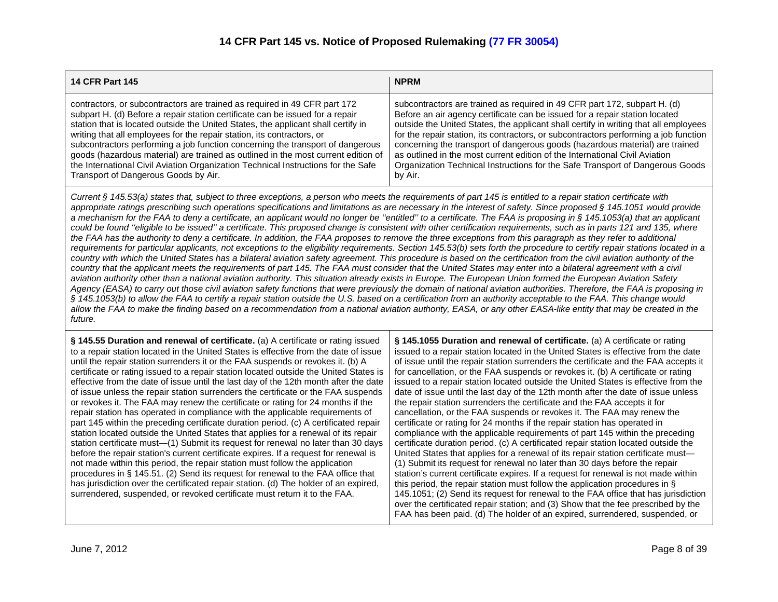| <b>14 CFR Part 145</b>                                                                                                                                                                                                                                                                                                                                                                                                                                                                                                                                                                                                                                                                                                                                                                                                                                                                                                                                                                                                                                                                                                                                                                                                                                                                                                                                                                                                                                                                                                                                                                                                                                                                                                                                                                                                                                                                                                                                                                                                                                               | <b>NPRM</b>                                                                                                                                                                                                                                                                                                                                                                                                                                                                                                                                                                                                                                                                                                                                                                                                                                                                                                                                                                                                                                                                                                                                                                                                                                                                                                                                                                                                                                        |  |
|----------------------------------------------------------------------------------------------------------------------------------------------------------------------------------------------------------------------------------------------------------------------------------------------------------------------------------------------------------------------------------------------------------------------------------------------------------------------------------------------------------------------------------------------------------------------------------------------------------------------------------------------------------------------------------------------------------------------------------------------------------------------------------------------------------------------------------------------------------------------------------------------------------------------------------------------------------------------------------------------------------------------------------------------------------------------------------------------------------------------------------------------------------------------------------------------------------------------------------------------------------------------------------------------------------------------------------------------------------------------------------------------------------------------------------------------------------------------------------------------------------------------------------------------------------------------------------------------------------------------------------------------------------------------------------------------------------------------------------------------------------------------------------------------------------------------------------------------------------------------------------------------------------------------------------------------------------------------------------------------------------------------------------------------------------------------|----------------------------------------------------------------------------------------------------------------------------------------------------------------------------------------------------------------------------------------------------------------------------------------------------------------------------------------------------------------------------------------------------------------------------------------------------------------------------------------------------------------------------------------------------------------------------------------------------------------------------------------------------------------------------------------------------------------------------------------------------------------------------------------------------------------------------------------------------------------------------------------------------------------------------------------------------------------------------------------------------------------------------------------------------------------------------------------------------------------------------------------------------------------------------------------------------------------------------------------------------------------------------------------------------------------------------------------------------------------------------------------------------------------------------------------------------|--|
| contractors, or subcontractors are trained as required in 49 CFR part 172<br>subpart H. (d) Before a repair station certificate can be issued for a repair<br>station that is located outside the United States, the applicant shall certify in<br>writing that all employees for the repair station, its contractors, or<br>subcontractors performing a job function concerning the transport of dangerous<br>goods (hazardous material) are trained as outlined in the most current edition of<br>the International Civil Aviation Organization Technical Instructions for the Safe<br>Transport of Dangerous Goods by Air.                                                                                                                                                                                                                                                                                                                                                                                                                                                                                                                                                                                                                                                                                                                                                                                                                                                                                                                                                                                                                                                                                                                                                                                                                                                                                                                                                                                                                                        | subcontractors are trained as required in 49 CFR part 172, subpart H. (d)<br>Before an air agency certificate can be issued for a repair station located<br>outside the United States, the applicant shall certify in writing that all employees<br>for the repair station, its contractors, or subcontractors performing a job function<br>concerning the transport of dangerous goods (hazardous material) are trained<br>as outlined in the most current edition of the International Civil Aviation<br>Organization Technical Instructions for the Safe Transport of Dangerous Goods<br>by Air.                                                                                                                                                                                                                                                                                                                                                                                                                                                                                                                                                                                                                                                                                                                                                                                                                                                |  |
| Current § 145.53(a) states that, subject to three exceptions, a person who meets the requirements of part 145 is entitled to a repair station certificate with<br>appropriate ratings prescribing such operations specifications and limitations as are necessary in the interest of safety. Since proposed § 145.1051 would provide<br>a mechanism for the FAA to deny a certificate, an applicant would no longer be "entitled" to a certificate. The FAA is proposing in § 145.1053(a) that an applicant<br>could be found "eligible to be issued" a certificate. This proposed change is consistent with other certification requirements, such as in parts 121 and 135, where<br>the FAA has the authority to deny a certificate. In addition, the FAA proposes to remove the three exceptions from this paragraph as they refer to additional<br>requirements for particular applicants, not exceptions to the eligibility requirements. Section 145.53(b) sets forth the procedure to certify repair stations located in a<br>country with which the United States has a bilateral aviation safety agreement. This procedure is based on the certification from the civil aviation authority of the<br>country that the applicant meets the requirements of part 145. The FAA must consider that the United States may enter into a bilateral agreement with a civil<br>aviation authority other than a national aviation authority. This situation already exists in Europe. The European Union formed the European Aviation Safety<br>Agency (EASA) to carry out those civil aviation safety functions that were previously the domain of national aviation authorities. Therefore, the FAA is proposing in<br>§ 145.1053(b) to allow the FAA to certify a repair station outside the U.S. based on a certification from an authority acceptable to the FAA. This change would<br>allow the FAA to make the finding based on a recommendation from a national aviation authority, EASA, or any other EASA-like entity that may be created in the<br>future. |                                                                                                                                                                                                                                                                                                                                                                                                                                                                                                                                                                                                                                                                                                                                                                                                                                                                                                                                                                                                                                                                                                                                                                                                                                                                                                                                                                                                                                                    |  |
| § 145.55 Duration and renewal of certificate. (a) A certificate or rating issued<br>to a repair station located in the United States is effective from the date of issue<br>until the repair station surrenders it or the FAA suspends or revokes it. (b) A<br>certificate or rating issued to a repair station located outside the United States is<br>effective from the date of issue until the last day of the 12th month after the date<br>of issue unless the repair station surrenders the certificate or the FAA suspends<br>or revokes it. The FAA may renew the certificate or rating for 24 months if the<br>repair station has operated in compliance with the applicable requirements of<br>part 145 within the preceding certificate duration period. (c) A certificated repair<br>station located outside the United States that applies for a renewal of its repair<br>station certificate must—(1) Submit its request for renewal no later than 30 days<br>before the repair station's current certificate expires. If a request for renewal is<br>not made within this period, the repair station must follow the application<br>procedures in § 145.51. (2) Send its request for renewal to the FAA office that<br>has jurisdiction over the certificated repair station. (d) The holder of an expired,<br>surrendered, suspended, or revoked certificate must return it to the FAA.                                                                                                                                                                                                                                                                                                                                                                                                                                                                                                                                                                                                                                                              | § 145.1055 Duration and renewal of certificate. (a) A certificate or rating<br>issued to a repair station located in the United States is effective from the date<br>of issue until the repair station surrenders the certificate and the FAA accepts it<br>for cancellation, or the FAA suspends or revokes it. (b) A certificate or rating<br>issued to a repair station located outside the United States is effective from the<br>date of issue until the last day of the 12th month after the date of issue unless<br>the repair station surrenders the certificate and the FAA accepts it for<br>cancellation, or the FAA suspends or revokes it. The FAA may renew the<br>certificate or rating for 24 months if the repair station has operated in<br>compliance with the applicable requirements of part 145 within the preceding<br>certificate duration period. (c) A certificated repair station located outside the<br>United States that applies for a renewal of its repair station certificate must-<br>(1) Submit its request for renewal no later than 30 days before the repair<br>station's current certificate expires. If a request for renewal is not made within<br>this period, the repair station must follow the application procedures in §<br>145.1051; (2) Send its request for renewal to the FAA office that has jurisdiction<br>over the certificated repair station; and (3) Show that the fee prescribed by the |  |

FAA has been paid. (d) The holder of an expired, surrendered, suspended, or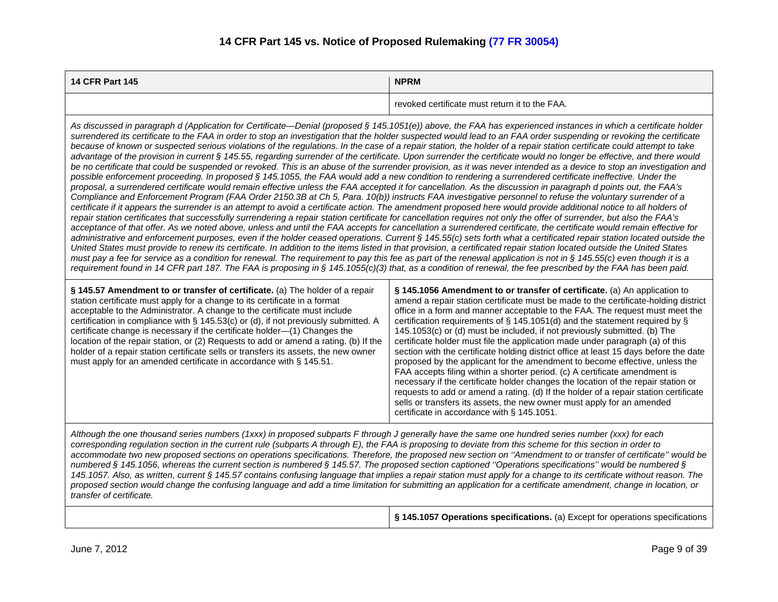| <b>14 CFR Part 145</b>                                                                                                                                                                                                                                                                                                                                                                                                                                                                                                                                                                                                                                                                                                                                                                                                                                                                                                                                                                                                                                                                                                                                                                                                                                                                                                                                                                                                                                                                                                                                                                                                                                                                                                                                                                                                                                                                                                                                                                                                                                                                                                                                                                                                                                                                                                                                                                                                                                                                                                                                                       | <b>NPRM</b>                                                                                                                                                                                                                                                                                                                                                                                                                                                                                                                                                                                                                                                                                                                                                                                                                                                                                                                                                                                                                                                    |
|------------------------------------------------------------------------------------------------------------------------------------------------------------------------------------------------------------------------------------------------------------------------------------------------------------------------------------------------------------------------------------------------------------------------------------------------------------------------------------------------------------------------------------------------------------------------------------------------------------------------------------------------------------------------------------------------------------------------------------------------------------------------------------------------------------------------------------------------------------------------------------------------------------------------------------------------------------------------------------------------------------------------------------------------------------------------------------------------------------------------------------------------------------------------------------------------------------------------------------------------------------------------------------------------------------------------------------------------------------------------------------------------------------------------------------------------------------------------------------------------------------------------------------------------------------------------------------------------------------------------------------------------------------------------------------------------------------------------------------------------------------------------------------------------------------------------------------------------------------------------------------------------------------------------------------------------------------------------------------------------------------------------------------------------------------------------------------------------------------------------------------------------------------------------------------------------------------------------------------------------------------------------------------------------------------------------------------------------------------------------------------------------------------------------------------------------------------------------------------------------------------------------------------------------------------------------------|----------------------------------------------------------------------------------------------------------------------------------------------------------------------------------------------------------------------------------------------------------------------------------------------------------------------------------------------------------------------------------------------------------------------------------------------------------------------------------------------------------------------------------------------------------------------------------------------------------------------------------------------------------------------------------------------------------------------------------------------------------------------------------------------------------------------------------------------------------------------------------------------------------------------------------------------------------------------------------------------------------------------------------------------------------------|
|                                                                                                                                                                                                                                                                                                                                                                                                                                                                                                                                                                                                                                                                                                                                                                                                                                                                                                                                                                                                                                                                                                                                                                                                                                                                                                                                                                                                                                                                                                                                                                                                                                                                                                                                                                                                                                                                                                                                                                                                                                                                                                                                                                                                                                                                                                                                                                                                                                                                                                                                                                              | revoked certificate must return it to the FAA.                                                                                                                                                                                                                                                                                                                                                                                                                                                                                                                                                                                                                                                                                                                                                                                                                                                                                                                                                                                                                 |
| As discussed in paragraph d (Application for Certificate—Denial (proposed § 145.1051(e)) above, the FAA has experienced instances in which a certificate holder<br>surrendered its certificate to the FAA in order to stop an investigation that the holder suspected would lead to an FAA order suspending or revoking the certificate<br>because of known or suspected serious violations of the regulations. In the case of a repair station, the holder of a repair station certificate could attempt to take<br>advantage of the provision in current § 145.55, regarding surrender of the certificate. Upon surrender the certificate would no longer be effective, and there would<br>be no certificate that could be suspended or revoked. This is an abuse of the surrender provision, as it was never intended as a device to stop an investigation and<br>possible enforcement proceeding. In proposed § 145.1055, the FAA would add a new condition to rendering a surrendered certificate ineffective. Under the<br>proposal, a surrendered certificate would remain effective unless the FAA accepted it for cancellation. As the discussion in paragraph d points out, the FAA's<br>Compliance and Enforcement Program (FAA Order 2150.3B at Ch 5, Para. 10(b)) instructs FAA investigative personnel to refuse the voluntary surrender of a<br>certificate if it appears the surrender is an attempt to avoid a certificate action. The amendment proposed here would provide additional notice to all holders of<br>repair station certificates that successfully surrendering a repair station certificate for cancellation requires not only the offer of surrender, but also the FAA's<br>acceptance of that offer. As we noted above, unless and until the FAA accepts for cancellation a surrendered certificate, the certificate would remain effective for<br>administrative and enforcement purposes, even if the holder ceased operations. Current § 145.55(c) sets forth what a certificated repair station located outside the<br>United States must provide to renew its certificate. In addition to the items listed in that provision, a certificated repair station located outside the United States<br>must pay a fee for service as a condition for renewal. The requirement to pay this fee as part of the renewal application is not in § 145.55(c) even though it is a<br>requirement found in 14 CFR part 187. The FAA is proposing in § 145.1055(c)(3) that, as a condition of renewal, the fee prescribed by the FAA has been paid. |                                                                                                                                                                                                                                                                                                                                                                                                                                                                                                                                                                                                                                                                                                                                                                                                                                                                                                                                                                                                                                                                |
| § 145.57 Amendment to or transfer of certificate. (a) The holder of a repair<br>station certificate must apply for a change to its certificate in a format<br>acceptable to the Administrator. A change to the certificate must include<br>certification in compliance with § 145.53(c) or (d), if not previously submitted. A<br>certificate change is necessary if the certificate holder-(1) Changes the<br>location of the repair station, or (2) Requests to add or amend a rating. (b) If the<br>holder of a repair station certificate sells or transfers its assets, the new owner<br>must apply for an amended certificate in accordance with § 145.51.                                                                                                                                                                                                                                                                                                                                                                                                                                                                                                                                                                                                                                                                                                                                                                                                                                                                                                                                                                                                                                                                                                                                                                                                                                                                                                                                                                                                                                                                                                                                                                                                                                                                                                                                                                                                                                                                                                             | § 145.1056 Amendment to or transfer of certificate. (a) An application to<br>amend a repair station certificate must be made to the certificate-holding district<br>office in a form and manner acceptable to the FAA. The request must meet the<br>certification requirements of $\S$ 145.1051(d) and the statement required by $\S$<br>145.1053(c) or (d) must be included, if not previously submitted. (b) The<br>certificate holder must file the application made under paragraph (a) of this<br>section with the certificate holding district office at least 15 days before the date<br>proposed by the applicant for the amendment to become effective, unless the<br>FAA accepts filing within a shorter period. (c) A certificate amendment is<br>necessary if the certificate holder changes the location of the repair station or<br>requests to add or amend a rating. (d) If the holder of a repair station certificate<br>sells or transfers its assets, the new owner must apply for an amended<br>certificate in accordance with § 145.1051. |
| Although the one thousand series numbers (1xxx) in proposed subparts F through J generally have the same one hundred series number (xxx) for each<br>corresponding regulation section in the current rule (subparts A through E), the FAA is proposing to deviate from this scheme for this section in order to<br>accommodate two new proposed sections on operations specifications. Therefore, the proposed new section on "Amendment to or transfer of certificate" would be<br>numbered § 145.1056, whereas the current section is numbered § 145.57. The proposed section captioned "Operations specifications" would be numbered §<br>145.1057. Also, as written, current § 145.57 contains confusing language that implies a repair station must apply for a change to its certificate without reason. The<br>proposed section would change the confusing language and add a time limitation for submitting an application for a certificate amendment, change in location, or<br>transfer of certificate.                                                                                                                                                                                                                                                                                                                                                                                                                                                                                                                                                                                                                                                                                                                                                                                                                                                                                                                                                                                                                                                                                                                                                                                                                                                                                                                                                                                                                                                                                                                                                           |                                                                                                                                                                                                                                                                                                                                                                                                                                                                                                                                                                                                                                                                                                                                                                                                                                                                                                                                                                                                                                                                |

**§ 145.1057 Operations specifications.** (a) Except for operations specifications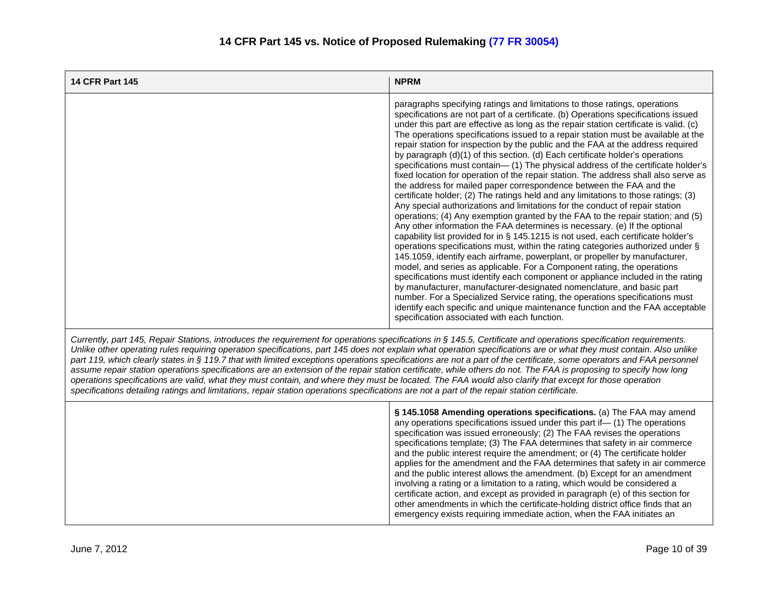| <b>14 CFR Part 145</b>                                                                                                                                                                                                                                                                                                                                                                                                                                                                                                                                                                                                                                                                                                                                                                                                                                                                                                                                                                           | <b>NPRM</b>                                                                                                                                                                                                                                                                                                                                                                                                                                                                                                                                                                                                                                                                                                                                                                                                                                                                                                                                                                                                                                                                                                                                                                                                                                                                                                                                                                                                                                                                                                                                                                                                                                                                                                                                                                                                                 |
|--------------------------------------------------------------------------------------------------------------------------------------------------------------------------------------------------------------------------------------------------------------------------------------------------------------------------------------------------------------------------------------------------------------------------------------------------------------------------------------------------------------------------------------------------------------------------------------------------------------------------------------------------------------------------------------------------------------------------------------------------------------------------------------------------------------------------------------------------------------------------------------------------------------------------------------------------------------------------------------------------|-----------------------------------------------------------------------------------------------------------------------------------------------------------------------------------------------------------------------------------------------------------------------------------------------------------------------------------------------------------------------------------------------------------------------------------------------------------------------------------------------------------------------------------------------------------------------------------------------------------------------------------------------------------------------------------------------------------------------------------------------------------------------------------------------------------------------------------------------------------------------------------------------------------------------------------------------------------------------------------------------------------------------------------------------------------------------------------------------------------------------------------------------------------------------------------------------------------------------------------------------------------------------------------------------------------------------------------------------------------------------------------------------------------------------------------------------------------------------------------------------------------------------------------------------------------------------------------------------------------------------------------------------------------------------------------------------------------------------------------------------------------------------------------------------------------------------------|
|                                                                                                                                                                                                                                                                                                                                                                                                                                                                                                                                                                                                                                                                                                                                                                                                                                                                                                                                                                                                  | paragraphs specifying ratings and limitations to those ratings, operations<br>specifications are not part of a certificate. (b) Operations specifications issued<br>under this part are effective as long as the repair station certificate is valid. (c)<br>The operations specifications issued to a repair station must be available at the<br>repair station for inspection by the public and the FAA at the address required<br>by paragraph (d)(1) of this section. (d) Each certificate holder's operations<br>specifications must contain- (1) The physical address of the certificate holder's<br>fixed location for operation of the repair station. The address shall also serve as<br>the address for mailed paper correspondence between the FAA and the<br>certificate holder; (2) The ratings held and any limitations to those ratings; (3)<br>Any special authorizations and limitations for the conduct of repair station<br>operations; (4) Any exemption granted by the FAA to the repair station; and (5)<br>Any other information the FAA determines is necessary. (e) If the optional<br>capability list provided for in § 145.1215 is not used, each certificate holder's<br>operations specifications must, within the rating categories authorized under §<br>145.1059, identify each airframe, powerplant, or propeller by manufacturer,<br>model, and series as applicable. For a Component rating, the operations<br>specifications must identify each component or appliance included in the rating<br>by manufacturer, manufacturer-designated nomenclature, and basic part<br>number. For a Specialized Service rating, the operations specifications must<br>identify each specific and unique maintenance function and the FAA acceptable<br>specification associated with each function. |
| Currently, part 145, Repair Stations, introduces the requirement for operations specifications in § 145.5, Certificate and operations specification requirements.<br>Unlike other operating rules requiring operation specifications, part 145 does not explain what operation specifications are or what they must contain. Also unlike<br>part 119, which clearly states in § 119.7 that with limited exceptions operations specifications are not a part of the certificate, some operators and FAA personnel<br>assume repair station operations specifications are an extension of the repair station certificate, while others do not. The FAA is proposing to specify how long<br>operations specifications are valid, what they must contain, and where they must be located. The FAA would also clarify that except for those operation<br>specifications detailing ratings and limitations, repair station operations specifications are not a part of the repair station certificate. |                                                                                                                                                                                                                                                                                                                                                                                                                                                                                                                                                                                                                                                                                                                                                                                                                                                                                                                                                                                                                                                                                                                                                                                                                                                                                                                                                                                                                                                                                                                                                                                                                                                                                                                                                                                                                             |
|                                                                                                                                                                                                                                                                                                                                                                                                                                                                                                                                                                                                                                                                                                                                                                                                                                                                                                                                                                                                  | § 145.1058 Amending operations specifications. (a) The FAA may amend<br>any operations specifications issued under this part if-(1) The operations<br>specification was issued erroneously; (2) The FAA revises the operations<br>specifications template; (3) The FAA determines that safety in air commerce<br>and the public interest require the amendment; or (4) The certificate holder<br>applies for the amendment and the FAA determines that safety in air commerce<br>and the public interest allows the amendment. (b) Except for an amendment<br>involving a rating or a limitation to a rating, which would be considered a<br>certificate action, and except as provided in paragraph (e) of this section for<br>other amendments in which the certificate-holding district office finds that an<br>emergency exists requiring immediate action, when the FAA initiates an                                                                                                                                                                                                                                                                                                                                                                                                                                                                                                                                                                                                                                                                                                                                                                                                                                                                                                                                   |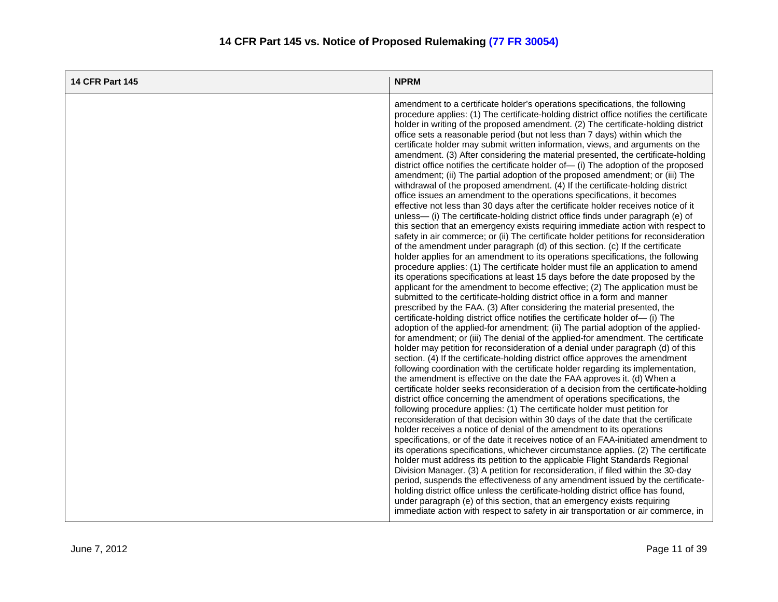| <b>14 CFR Part 145</b> | <b>NPRM</b>                                                                                                                                                                                                                                                                                                                                                                                                                                                                                                                                                                                                                                                                                                                                                                                                                                                                                                                                                                                                                                                                                                                                                                                                                                                                                                                                                                                                                                                                                                                                                                                                                                                                                                                                                                                                                                                                                                                                                                                                                                                                                                                                                                                                                                                                                                                                                                                                                                                                                                                                                                                                                                                                                                                                                                                                                                                                                                                                                                                                                                                                                                                                              |
|------------------------|----------------------------------------------------------------------------------------------------------------------------------------------------------------------------------------------------------------------------------------------------------------------------------------------------------------------------------------------------------------------------------------------------------------------------------------------------------------------------------------------------------------------------------------------------------------------------------------------------------------------------------------------------------------------------------------------------------------------------------------------------------------------------------------------------------------------------------------------------------------------------------------------------------------------------------------------------------------------------------------------------------------------------------------------------------------------------------------------------------------------------------------------------------------------------------------------------------------------------------------------------------------------------------------------------------------------------------------------------------------------------------------------------------------------------------------------------------------------------------------------------------------------------------------------------------------------------------------------------------------------------------------------------------------------------------------------------------------------------------------------------------------------------------------------------------------------------------------------------------------------------------------------------------------------------------------------------------------------------------------------------------------------------------------------------------------------------------------------------------------------------------------------------------------------------------------------------------------------------------------------------------------------------------------------------------------------------------------------------------------------------------------------------------------------------------------------------------------------------------------------------------------------------------------------------------------------------------------------------------------------------------------------------------------------------------------------------------------------------------------------------------------------------------------------------------------------------------------------------------------------------------------------------------------------------------------------------------------------------------------------------------------------------------------------------------------------------------------------------------------------------------------------------------|
|                        | amendment to a certificate holder's operations specifications, the following<br>procedure applies: (1) The certificate-holding district office notifies the certificate<br>holder in writing of the proposed amendment. (2) The certificate-holding district<br>office sets a reasonable period (but not less than 7 days) within which the<br>certificate holder may submit written information, views, and arguments on the<br>amendment. (3) After considering the material presented, the certificate-holding<br>district office notifies the certificate holder of— (i) The adoption of the proposed<br>amendment; (ii) The partial adoption of the proposed amendment; or (iii) The<br>withdrawal of the proposed amendment. (4) If the certificate-holding district<br>office issues an amendment to the operations specifications, it becomes<br>effective not less than 30 days after the certificate holder receives notice of it<br>unless-(i) The certificate-holding district office finds under paragraph (e) of<br>this section that an emergency exists requiring immediate action with respect to<br>safety in air commerce; or (ii) The certificate holder petitions for reconsideration<br>of the amendment under paragraph (d) of this section. (c) If the certificate<br>holder applies for an amendment to its operations specifications, the following<br>procedure applies: (1) The certificate holder must file an application to amend<br>its operations specifications at least 15 days before the date proposed by the<br>applicant for the amendment to become effective; (2) The application must be<br>submitted to the certificate-holding district office in a form and manner<br>prescribed by the FAA. (3) After considering the material presented, the<br>certificate-holding district office notifies the certificate holder of- (i) The<br>adoption of the applied-for amendment; (ii) The partial adoption of the applied-<br>for amendment; or (iii) The denial of the applied-for amendment. The certificate<br>holder may petition for reconsideration of a denial under paragraph (d) of this<br>section. (4) If the certificate-holding district office approves the amendment<br>following coordination with the certificate holder regarding its implementation,<br>the amendment is effective on the date the FAA approves it. (d) When a<br>certificate holder seeks reconsideration of a decision from the certificate-holding<br>district office concerning the amendment of operations specifications, the<br>following procedure applies: (1) The certificate holder must petition for<br>reconsideration of that decision within 30 days of the date that the certificate<br>holder receives a notice of denial of the amendment to its operations<br>specifications, or of the date it receives notice of an FAA-initiated amendment to<br>its operations specifications, whichever circumstance applies. (2) The certificate<br>holder must address its petition to the applicable Flight Standards Regional<br>Division Manager. (3) A petition for reconsideration, if filed within the 30-day |
|                        | period, suspends the effectiveness of any amendment issued by the certificate-<br>holding district office unless the certificate-holding district office has found,<br>under paragraph (e) of this section, that an emergency exists requiring<br>immediate action with respect to safety in air transportation or air commerce, in                                                                                                                                                                                                                                                                                                                                                                                                                                                                                                                                                                                                                                                                                                                                                                                                                                                                                                                                                                                                                                                                                                                                                                                                                                                                                                                                                                                                                                                                                                                                                                                                                                                                                                                                                                                                                                                                                                                                                                                                                                                                                                                                                                                                                                                                                                                                                                                                                                                                                                                                                                                                                                                                                                                                                                                                                      |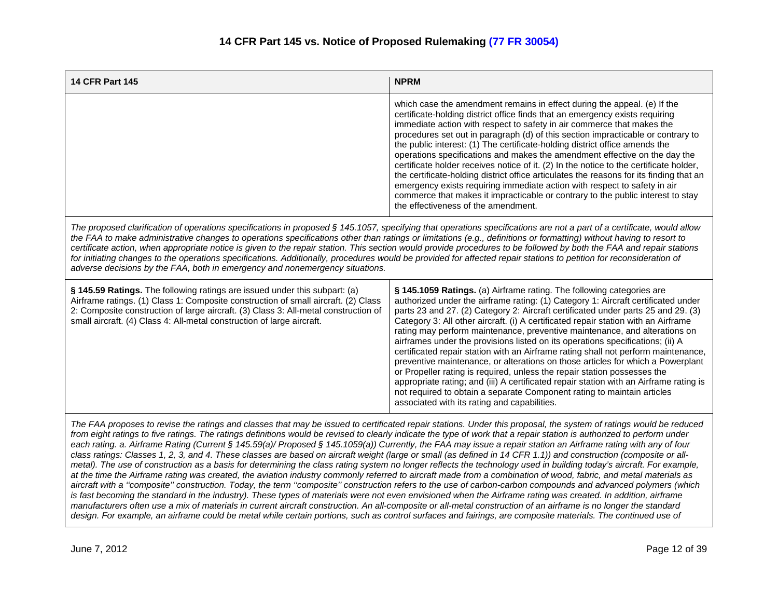| 14 CFR Part 145                                                                                                                                                                                                                                                                                                                                                                                                                                                                                                                                                                                                                                                                                                                                                                                                                                                                                                                                                                                                                                                                                                                                                                                                                                                                                                                                                   | <b>NPRM</b>                                                                                                                                                                                                                                                                                                                                                                                                                                                                                                                                                                                                                                                                                                                                                                                                                                                                                                                                                                     |  |
|-------------------------------------------------------------------------------------------------------------------------------------------------------------------------------------------------------------------------------------------------------------------------------------------------------------------------------------------------------------------------------------------------------------------------------------------------------------------------------------------------------------------------------------------------------------------------------------------------------------------------------------------------------------------------------------------------------------------------------------------------------------------------------------------------------------------------------------------------------------------------------------------------------------------------------------------------------------------------------------------------------------------------------------------------------------------------------------------------------------------------------------------------------------------------------------------------------------------------------------------------------------------------------------------------------------------------------------------------------------------|---------------------------------------------------------------------------------------------------------------------------------------------------------------------------------------------------------------------------------------------------------------------------------------------------------------------------------------------------------------------------------------------------------------------------------------------------------------------------------------------------------------------------------------------------------------------------------------------------------------------------------------------------------------------------------------------------------------------------------------------------------------------------------------------------------------------------------------------------------------------------------------------------------------------------------------------------------------------------------|--|
|                                                                                                                                                                                                                                                                                                                                                                                                                                                                                                                                                                                                                                                                                                                                                                                                                                                                                                                                                                                                                                                                                                                                                                                                                                                                                                                                                                   | which case the amendment remains in effect during the appeal. (e) If the<br>certificate-holding district office finds that an emergency exists requiring<br>immediate action with respect to safety in air commerce that makes the<br>procedures set out in paragraph (d) of this section impracticable or contrary to<br>the public interest: (1) The certificate-holding district office amends the<br>operations specifications and makes the amendment effective on the day the<br>certificate holder receives notice of it. (2) In the notice to the certificate holder,<br>the certificate-holding district office articulates the reasons for its finding that an<br>emergency exists requiring immediate action with respect to safety in air<br>commerce that makes it impracticable or contrary to the public interest to stay<br>the effectiveness of the amendment.                                                                                                 |  |
| The proposed clarification of operations specifications in proposed § 145.1057, specifying that operations specifications are not a part of a certificate, would allow<br>the FAA to make administrative changes to operations specifications other than ratings or limitations (e.g., definitions or formatting) without having to resort to<br>certificate action, when appropriate notice is given to the repair station. This section would provide procedures to be followed by both the FAA and repair stations<br>for initiating changes to the operations specifications. Additionally, procedures would be provided for affected repair stations to petition for reconsideration of<br>adverse decisions by the FAA, both in emergency and nonemergency situations.                                                                                                                                                                                                                                                                                                                                                                                                                                                                                                                                                                                      |                                                                                                                                                                                                                                                                                                                                                                                                                                                                                                                                                                                                                                                                                                                                                                                                                                                                                                                                                                                 |  |
| § 145.59 Ratings. The following ratings are issued under this subpart: (a)<br>Airframe ratings. (1) Class 1: Composite construction of small aircraft. (2) Class<br>2: Composite construction of large aircraft. (3) Class 3: All-metal construction of<br>small aircraft. (4) Class 4: All-metal construction of large aircraft.                                                                                                                                                                                                                                                                                                                                                                                                                                                                                                                                                                                                                                                                                                                                                                                                                                                                                                                                                                                                                                 | § 145.1059 Ratings. (a) Airframe rating. The following categories are<br>authorized under the airframe rating: (1) Category 1: Aircraft certificated under<br>parts 23 and 27. (2) Category 2: Aircraft certificated under parts 25 and 29. (3)<br>Category 3: All other aircraft. (i) A certificated repair station with an Airframe<br>rating may perform maintenance, preventive maintenance, and alterations on<br>airframes under the provisions listed on its operations specifications; (ii) A<br>certificated repair station with an Airframe rating shall not perform maintenance,<br>preventive maintenance, or alterations on those articles for which a Powerplant<br>or Propeller rating is required, unless the repair station possesses the<br>appropriate rating; and (iii) A certificated repair station with an Airframe rating is<br>not required to obtain a separate Component rating to maintain articles<br>associated with its rating and capabilities. |  |
| The FAA proposes to revise the ratings and classes that may be issued to certificated repair stations. Under this proposal, the system of ratings would be reduced<br>from eight ratings to five ratings. The ratings definitions would be revised to clearly indicate the type of work that a repair station is authorized to perform under<br>each rating. a. Airframe Rating (Current § 145.59(a)/ Proposed § 145.1059(a)) Currently, the FAA may issue a repair station an Airframe rating with any of four<br>class ratings: Classes 1, 2, 3, and 4. These classes are based on aircraft weight (large or small (as defined in 14 CFR 1.1)) and construction (composite or all-<br>metal). The use of construction as a basis for determining the class rating system no longer reflects the technology used in building today's aircraft. For example,<br>at the time the Airframe rating was created, the aviation industry commonly referred to aircraft made from a combination of wood, fabric, and metal materials as<br>aircraft with a "composite" construction. Today, the term "composite" construction refers to the use of carbon-carbon compounds and advanced polymers (which<br>is fast becoming the standard in the industry). These types of materials were not even envisioned when the Airframe rating was created. In addition, airframe |                                                                                                                                                                                                                                                                                                                                                                                                                                                                                                                                                                                                                                                                                                                                                                                                                                                                                                                                                                                 |  |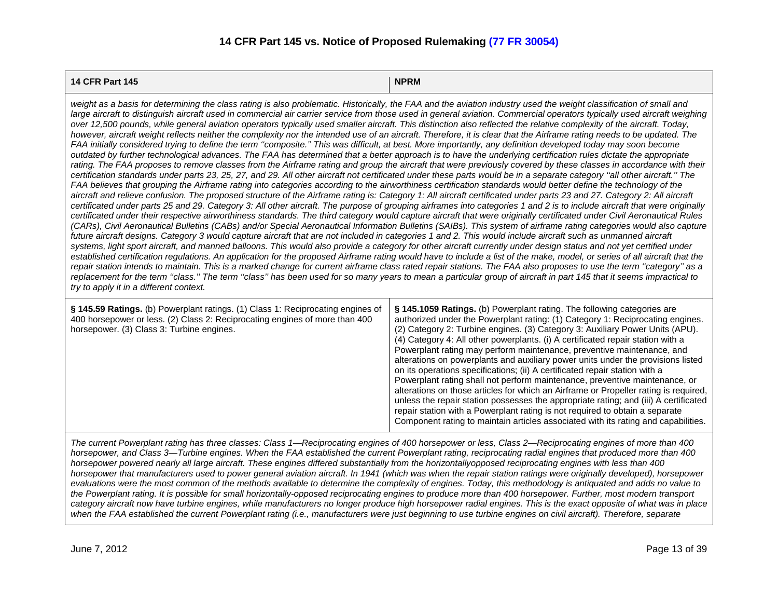| <b>14 CFR Part 145</b>                                                                                                                                                                                                                                                                                                                                                                                                                                                                                                                                                                                                                                                                                                                                                                                                                                                                                                                                                                                                                                                                                                                                                                                                                                                                                                                                                                                                                                                                                                                                                                                                                                                                                                                                                                                                                                                                                                                                                                                                                                                                                                                                                                                                                                                                                                                                                                                                                                                       | <b>NPRM</b>                                                                                                                                                                                                                                                                                                                                                                                                                                                                                                                                                                                                                                                                                                                                                                                                                                                                                                                                                                                                     |
|------------------------------------------------------------------------------------------------------------------------------------------------------------------------------------------------------------------------------------------------------------------------------------------------------------------------------------------------------------------------------------------------------------------------------------------------------------------------------------------------------------------------------------------------------------------------------------------------------------------------------------------------------------------------------------------------------------------------------------------------------------------------------------------------------------------------------------------------------------------------------------------------------------------------------------------------------------------------------------------------------------------------------------------------------------------------------------------------------------------------------------------------------------------------------------------------------------------------------------------------------------------------------------------------------------------------------------------------------------------------------------------------------------------------------------------------------------------------------------------------------------------------------------------------------------------------------------------------------------------------------------------------------------------------------------------------------------------------------------------------------------------------------------------------------------------------------------------------------------------------------------------------------------------------------------------------------------------------------------------------------------------------------------------------------------------------------------------------------------------------------------------------------------------------------------------------------------------------------------------------------------------------------------------------------------------------------------------------------------------------------------------------------------------------------------------------------------------------------|-----------------------------------------------------------------------------------------------------------------------------------------------------------------------------------------------------------------------------------------------------------------------------------------------------------------------------------------------------------------------------------------------------------------------------------------------------------------------------------------------------------------------------------------------------------------------------------------------------------------------------------------------------------------------------------------------------------------------------------------------------------------------------------------------------------------------------------------------------------------------------------------------------------------------------------------------------------------------------------------------------------------|
| weight as a basis for determining the class rating is also problematic. Historically, the FAA and the aviation industry used the weight classification of small and<br>over 12,500 pounds, while general aviation operators typically used smaller aircraft. This distinction also reflected the relative complexity of the aircraft. Today,<br>however, aircraft weight reflects neither the complexity nor the intended use of an aircraft. Therefore, it is clear that the Airframe rating needs to be updated. The<br>FAA initially considered trying to define the term "composite." This was difficult, at best. More importantly, any definition developed today may soon become<br>outdated by further technological advances. The FAA has determined that a better approach is to have the underlying certification rules dictate the appropriate<br>certification standards under parts 23, 25, 27, and 29. All other aircraft not certificated under these parts would be in a separate category "all other aircraft." The<br>FAA believes that grouping the Airframe rating into categories according to the airworthiness certification standards would better define the technology of the<br>aircraft and relieve confusion. The proposed structure of the Airframe rating is: Category 1: All aircraft certificated under parts 23 and 27. Category 2: All aircraft<br>certificated under their respective airworthiness standards. The third category would capture aircraft that were originally certificated under Civil Aeronautical Rules<br>future aircraft designs. Category 3 would capture aircraft that are not included in categories 1 and 2. This would include aircraft such as unmanned aircraft<br>systems, light sport aircraft, and manned balloons. This would also provide a category for other aircraft currently under design status and not yet certified under<br>established certification regulations. An application for the proposed Airframe rating would have to include a list of the make, model, or series of all aircraft that the<br>repair station intends to maintain. This is a marked change for current airframe class rated repair stations. The FAA also proposes to use the term "category" as a<br>replacement for the term "class." The term "class" has been used for so many years to mean a particular group of aircraft in part 145 that it seems impractical to<br>try to apply it in a different context. | large aircraft to distinguish aircraft used in commercial air carrier service from those used in general aviation. Commercial operators typically used aircraft weighing<br>rating. The FAA proposes to remove classes from the Airframe rating and group the aircraft that were previously covered by these classes in accordance with their<br>certificated under parts 25 and 29. Category 3: All other aircraft. The purpose of grouping airframes into categories 1 and 2 is to include aircraft that were originally<br>(CARs), Civil Aeronautical Bulletins (CABs) and/or Special Aeronautical Information Bulletins (SAIBs). This system of airframe rating categories would also capture                                                                                                                                                                                                                                                                                                               |
| § 145.59 Ratings. (b) Powerplant ratings. (1) Class 1: Reciprocating engines of<br>400 horsepower or less. (2) Class 2: Reciprocating engines of more than 400<br>horsepower. (3) Class 3: Turbine engines.                                                                                                                                                                                                                                                                                                                                                                                                                                                                                                                                                                                                                                                                                                                                                                                                                                                                                                                                                                                                                                                                                                                                                                                                                                                                                                                                                                                                                                                                                                                                                                                                                                                                                                                                                                                                                                                                                                                                                                                                                                                                                                                                                                                                                                                                  | § 145.1059 Ratings. (b) Powerplant rating. The following categories are<br>authorized under the Powerplant rating: (1) Category 1: Reciprocating engines.<br>(2) Category 2: Turbine engines. (3) Category 3: Auxiliary Power Units (APU).<br>(4) Category 4: All other powerplants. (i) A certificated repair station with a<br>Powerplant rating may perform maintenance, preventive maintenance, and<br>alterations on powerplants and auxiliary power units under the provisions listed<br>on its operations specifications; (ii) A certificated repair station with a<br>Powerplant rating shall not perform maintenance, preventive maintenance, or<br>alterations on those articles for which an Airframe or Propeller rating is required.<br>unless the repair station possesses the appropriate rating; and (iii) A certificated<br>repair station with a Powerplant rating is not required to obtain a separate<br>Component rating to maintain articles associated with its rating and capabilities. |

*The current Powerplant rating has three classes: Class 1—Reciprocating engines of 400 horsepower or less, Class 2—Reciprocating engines of more than 400 horsepower, and Class 3—Turbine engines. When the FAA established the current Powerplant rating, reciprocating radial engines that produced more than 400 horsepower powered nearly all large aircraft. These engines differed substantially from the horizontallyopposed reciprocating engines with less than 400 horsepower that manufacturers used to power general aviation aircraft. In 1941 (which was when the repair station ratings were originally developed), horsepower evaluations were the most common of the methods available to determine the complexity of engines. Today, this methodology is antiquated and adds no value to the Powerplant rating. It is possible for small horizontally-opposed reciprocating engines to produce more than 400 horsepower. Further, most modern transport category aircraft now have turbine engines, while manufacturers no longer produce high horsepower radial engines. This is the exact opposite of what was in place*  when the FAA established the current Powerplant rating (i.e., manufacturers were just beginning to use turbine engines on civil aircraft). Therefore, separate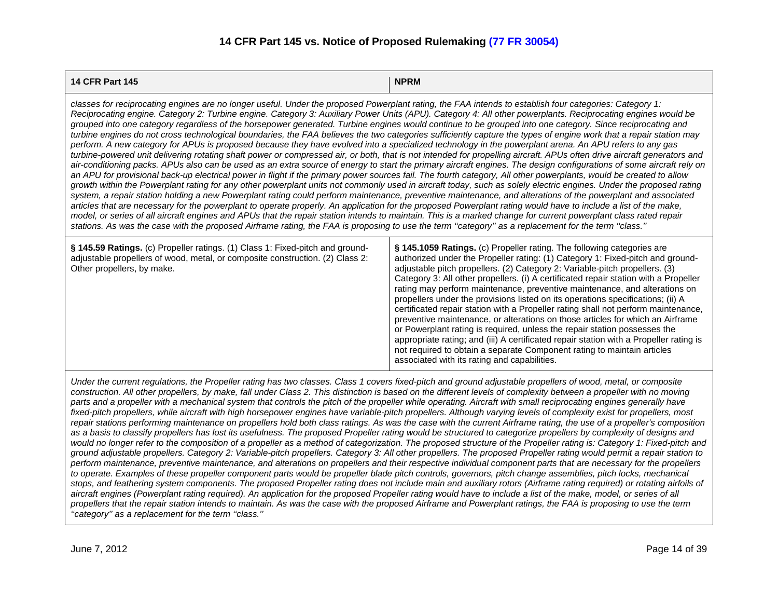| 14 CFR Part 145                                                                                                                                                                                                                                                                                                                                                                                                                                                                                                                                                                                                                                                                                                                                                                                                                                                                                                                                                                                                                                                                                                                                                                                                                                                                                                                                                                                                                                                                                                                                                                                                                                                                                                                                                                                                                                                                                                                                                                                                                                                                                                                                                                   | <b>NPRM</b>                                                                                                                                                                                                                                                                                                                                                                                                                                                                                                                                                                                                                                                                                                                                                                                                                                                                                                                                                                |
|-----------------------------------------------------------------------------------------------------------------------------------------------------------------------------------------------------------------------------------------------------------------------------------------------------------------------------------------------------------------------------------------------------------------------------------------------------------------------------------------------------------------------------------------------------------------------------------------------------------------------------------------------------------------------------------------------------------------------------------------------------------------------------------------------------------------------------------------------------------------------------------------------------------------------------------------------------------------------------------------------------------------------------------------------------------------------------------------------------------------------------------------------------------------------------------------------------------------------------------------------------------------------------------------------------------------------------------------------------------------------------------------------------------------------------------------------------------------------------------------------------------------------------------------------------------------------------------------------------------------------------------------------------------------------------------------------------------------------------------------------------------------------------------------------------------------------------------------------------------------------------------------------------------------------------------------------------------------------------------------------------------------------------------------------------------------------------------------------------------------------------------------------------------------------------------|----------------------------------------------------------------------------------------------------------------------------------------------------------------------------------------------------------------------------------------------------------------------------------------------------------------------------------------------------------------------------------------------------------------------------------------------------------------------------------------------------------------------------------------------------------------------------------------------------------------------------------------------------------------------------------------------------------------------------------------------------------------------------------------------------------------------------------------------------------------------------------------------------------------------------------------------------------------------------|
| classes for reciprocating engines are no longer useful. Under the proposed Powerplant rating, the FAA intends to establish four categories: Category 1:<br>Reciprocating engine. Category 2: Turbine engine. Category 3: Auxiliary Power Units (APU). Category 4: All other powerplants. Reciprocating engines would be<br>grouped into one category regardless of the horsepower generated. Turbine engines would continue to be grouped into one category. Since reciprocating and<br>turbine engines do not cross technological boundaries, the FAA believes the two categories sufficiently capture the types of engine work that a repair station may<br>perform. A new category for APUs is proposed because they have evolved into a specialized technology in the powerplant arena. An APU refers to any gas<br>turbine-powered unit delivering rotating shaft power or compressed air, or both, that is not intended for propelling aircraft. APUs often drive aircraft generators and<br>air-conditioning packs. APUs also can be used as an extra source of energy to start the primary aircraft engines. The design configurations of some aircraft rely on<br>an APU for provisional back-up electrical power in flight if the primary power sources fail. The fourth category, All other powerplants, would be created to allow<br>growth within the Powerplant rating for any other powerplant units not commonly used in aircraft today, such as solely electric engines. Under the proposed rating<br>system, a repair station holding a new Powerplant rating could perform maintenance, preventive maintenance, and alterations of the powerplant and associated<br>articles that are necessary for the powerplant to operate properly. An application for the proposed Powerplant rating would have to include a list of the make,<br>model, or series of all aircraft engines and APUs that the repair station intends to maintain. This is a marked change for current powerplant class rated repair<br>stations. As was the case with the proposed Airframe rating, the FAA is proposing to use the term "category" as a replacement for the term "class." |                                                                                                                                                                                                                                                                                                                                                                                                                                                                                                                                                                                                                                                                                                                                                                                                                                                                                                                                                                            |
| § 145.59 Ratings. (c) Propeller ratings. (1) Class 1: Fixed-pitch and ground-<br>adjustable propellers of wood, metal, or composite construction. (2) Class 2:<br>Other propellers, by make.                                                                                                                                                                                                                                                                                                                                                                                                                                                                                                                                                                                                                                                                                                                                                                                                                                                                                                                                                                                                                                                                                                                                                                                                                                                                                                                                                                                                                                                                                                                                                                                                                                                                                                                                                                                                                                                                                                                                                                                      | § 145.1059 Ratings. (c) Propeller rating. The following categories are<br>authorized under the Propeller rating: (1) Category 1: Fixed-pitch and ground-<br>adjustable pitch propellers. (2) Category 2: Variable-pitch propellers. (3)<br>Category 3: All other propellers. (i) A certificated repair station with a Propeller<br>rating may perform maintenance, preventive maintenance, and alterations on<br>propellers under the provisions listed on its operations specifications; (ii) A<br>certificated repair station with a Propeller rating shall not perform maintenance,<br>preventive maintenance, or alterations on those articles for which an Airframe<br>or Powerplant rating is required, unless the repair station possesses the<br>appropriate rating; and (iii) A certificated repair station with a Propeller rating is<br>not required to obtain a separate Component rating to maintain articles<br>associated with its rating and capabilities. |
| Under the current regulations, the Propeller rating has two classes. Class 1 covers fixed-pitch and ground adjustable propellers of wood, metal, or composite<br>construction. All other propellers, by make, fall under Class 2. This distinction is based on the different levels of complexity between a propeller with no moving<br>parts and a propeller with a mechanical system that controls the pitch of the propeller while operating. Aircraft with small reciprocating engines generally have<br>fixed-pitch propellers, while aircraft with high horsepower engines have variable-pitch propellers. Although varying levels of complexity exist for propellers, most<br>repair stations performing maintenance on propellers hold both class ratings. As was the case with the current Airframe rating, the use of a propeller's composition<br>as a basis to classify propellers has lost its usefulness. The proposed Propeller rating would be structured to categorize propellers by complexity of designs and<br>would no longer refer to the composition of a propeller as a method of categorization. The proposed structure of the Propeller rating is: Category 1: Fixed-pitch and<br>ground adjustable propellers. Category 2: Variable-pitch propellers. Category 3: All other propellers. The proposed Propeller rating would permit a repair station to<br>perform maintenance, preventive maintenance, and alterations on propellers and their respective individual component parts that are necessary for the propellers<br>to operate. Examples of these propeller component parts would be propeller blade pitch controls, governors, pitch change assemblies, pitch locks, mechanical                                                                                                                                                                                                                                                                                                                                                                                                                                                             |                                                                                                                                                                                                                                                                                                                                                                                                                                                                                                                                                                                                                                                                                                                                                                                                                                                                                                                                                                            |

*stops, and feathering system components. The proposed Propeller rating does not include main and auxiliary rotors (Airframe rating required) or rotating airfoils of aircraft engines (Powerplant rating required). An application for the proposed Propeller rating would have to include a list of the make, model, or series of all propellers that the repair station intends to maintain. As was the case with the proposed Airframe and Powerplant ratings, the FAA is proposing to use the term ''category'' as a replacement for the term ''class.''*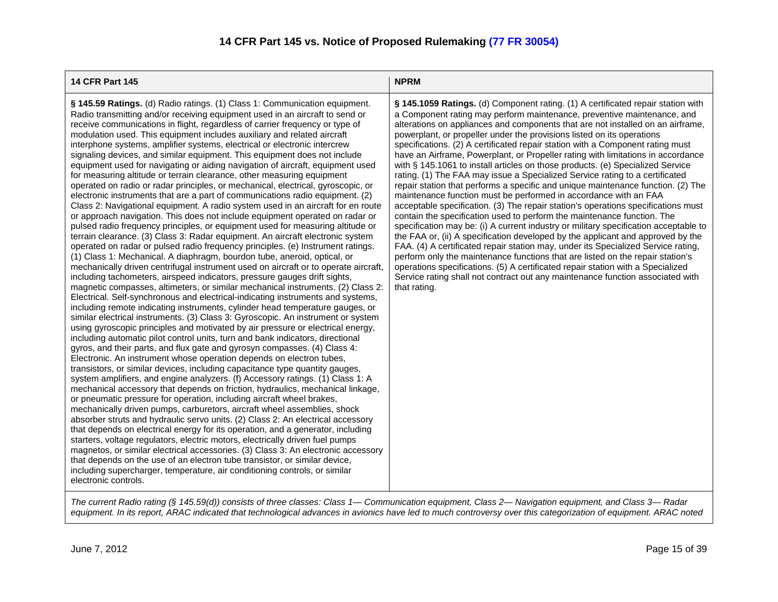| <b>14 CFR Part 145</b>                                                                                                                                                                                                                                                                                                                                                                                                                                                                                                                                                                                                                                                                                                                                                                                                                                                                                                                                                                                                                                                                                                                                                                                                                                                                                                                                                                                                                                                                                                                                                                                                                                                                                                                                                                                                                                                                                                                                                                                                                                                                                                                                                                                                                                                                                                                                                                                                                                                                                                                                                                                                                                                                                                                                                                                                                                                                                                                                                                                                                                                                                    | <b>NPRM</b>                                                                                                                                                                                                                                                                                                                                                                                                                                                                                                                                                                                                                                                                                                                                                                                                                                                                                                                                                                                                                                                                                                                                                                                                                                                                                                                                                                                                                                                                                                                     |
|-----------------------------------------------------------------------------------------------------------------------------------------------------------------------------------------------------------------------------------------------------------------------------------------------------------------------------------------------------------------------------------------------------------------------------------------------------------------------------------------------------------------------------------------------------------------------------------------------------------------------------------------------------------------------------------------------------------------------------------------------------------------------------------------------------------------------------------------------------------------------------------------------------------------------------------------------------------------------------------------------------------------------------------------------------------------------------------------------------------------------------------------------------------------------------------------------------------------------------------------------------------------------------------------------------------------------------------------------------------------------------------------------------------------------------------------------------------------------------------------------------------------------------------------------------------------------------------------------------------------------------------------------------------------------------------------------------------------------------------------------------------------------------------------------------------------------------------------------------------------------------------------------------------------------------------------------------------------------------------------------------------------------------------------------------------------------------------------------------------------------------------------------------------------------------------------------------------------------------------------------------------------------------------------------------------------------------------------------------------------------------------------------------------------------------------------------------------------------------------------------------------------------------------------------------------------------------------------------------------------------------------------------------------------------------------------------------------------------------------------------------------------------------------------------------------------------------------------------------------------------------------------------------------------------------------------------------------------------------------------------------------------------------------------------------------------------------------------------------------|---------------------------------------------------------------------------------------------------------------------------------------------------------------------------------------------------------------------------------------------------------------------------------------------------------------------------------------------------------------------------------------------------------------------------------------------------------------------------------------------------------------------------------------------------------------------------------------------------------------------------------------------------------------------------------------------------------------------------------------------------------------------------------------------------------------------------------------------------------------------------------------------------------------------------------------------------------------------------------------------------------------------------------------------------------------------------------------------------------------------------------------------------------------------------------------------------------------------------------------------------------------------------------------------------------------------------------------------------------------------------------------------------------------------------------------------------------------------------------------------------------------------------------|
| § 145.59 Ratings. (d) Radio ratings. (1) Class 1: Communication equipment.<br>Radio transmitting and/or receiving equipment used in an aircraft to send or<br>receive communications in flight, regardless of carrier frequency or type of<br>modulation used. This equipment includes auxiliary and related aircraft<br>interphone systems, amplifier systems, electrical or electronic intercrew<br>signaling devices, and similar equipment. This equipment does not include<br>equipment used for navigating or aiding navigation of aircraft, equipment used<br>for measuring altitude or terrain clearance, other measuring equipment<br>operated on radio or radar principles, or mechanical, electrical, gyroscopic, or<br>electronic instruments that are a part of communications radio equipment. (2)<br>Class 2: Navigational equipment. A radio system used in an aircraft for en route<br>or approach navigation. This does not include equipment operated on radar or<br>pulsed radio frequency principles, or equipment used for measuring altitude or<br>terrain clearance. (3) Class 3: Radar equipment. An aircraft electronic system<br>operated on radar or pulsed radio frequency principles. (e) Instrument ratings.<br>(1) Class 1: Mechanical. A diaphragm, bourdon tube, aneroid, optical, or<br>mechanically driven centrifugal instrument used on aircraft or to operate aircraft,<br>including tachometers, airspeed indicators, pressure gauges drift sights,<br>magnetic compasses, altimeters, or similar mechanical instruments. (2) Class 2:<br>Electrical. Self-synchronous and electrical-indicating instruments and systems,<br>including remote indicating instruments, cylinder head temperature gauges, or<br>similar electrical instruments. (3) Class 3: Gyroscopic. An instrument or system<br>using gyroscopic principles and motivated by air pressure or electrical energy,<br>including automatic pilot control units, turn and bank indicators, directional<br>gyros, and their parts, and flux gate and gyrosyn compasses. (4) Class 4:<br>Electronic. An instrument whose operation depends on electron tubes,<br>transistors, or similar devices, including capacitance type quantity gauges,<br>system amplifiers, and engine analyzers. (f) Accessory ratings. (1) Class 1: A<br>mechanical accessory that depends on friction, hydraulics, mechanical linkage,<br>or pneumatic pressure for operation, including aircraft wheel brakes,<br>mechanically driven pumps, carburetors, aircraft wheel assemblies, shock<br>absorber struts and hydraulic servo units. (2) Class 2: An electrical accessory<br>that depends on electrical energy for its operation, and a generator, including<br>starters, voltage regulators, electric motors, electrically driven fuel pumps<br>magnetos, or similar electrical accessories. (3) Class 3: An electronic accessory<br>that depends on the use of an electron tube transistor, or similar device,<br>including supercharger, temperature, air conditioning controls, or similar<br>electronic controls. | § 145.1059 Ratings. (d) Component rating. (1) A certificated repair station with<br>a Component rating may perform maintenance, preventive maintenance, and<br>alterations on appliances and components that are not installed on an airframe,<br>powerplant, or propeller under the provisions listed on its operations<br>specifications. (2) A certificated repair station with a Component rating must<br>have an Airframe, Powerplant, or Propeller rating with limitations in accordance<br>with § 145.1061 to install articles on those products. (e) Specialized Service<br>rating. (1) The FAA may issue a Specialized Service rating to a certificated<br>repair station that performs a specific and unique maintenance function. (2) The<br>maintenance function must be performed in accordance with an FAA<br>acceptable specification. (3) The repair station's operations specifications must<br>contain the specification used to perform the maintenance function. The<br>specification may be: (i) A current industry or military specification acceptable to<br>the FAA or, (ii) A specification developed by the applicant and approved by the<br>FAA. (4) A certificated repair station may, under its Specialized Service rating,<br>perform only the maintenance functions that are listed on the repair station's<br>operations specifications. (5) A certificated repair station with a Specialized<br>Service rating shall not contract out any maintenance function associated with<br>that rating. |

*The current Radio rating (§ 145.59(d)) consists of three classes: Class 1— Communication equipment, Class 2— Navigation equipment, and Class 3— Radar equipment. In its report, ARAC indicated that technological advances in avionics have led to much controversy over this categorization of equipment. ARAC noted*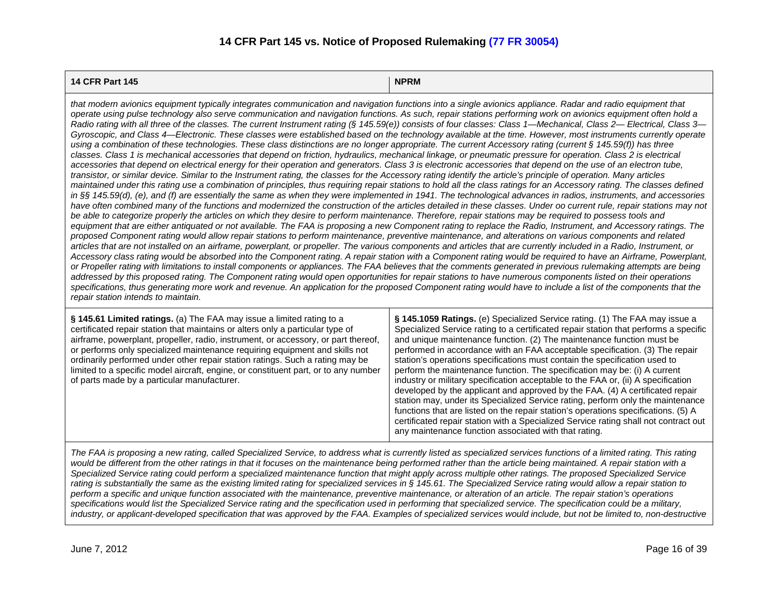| <b>14 CFR Part 145</b>                                                                                                                                                                                                                                                                                                                                                                                                                                                                                                                                                                                                                                                                                                                                                                                                                                                                                                                                                                                                                                                                                                                                                                                                                                                                                                                                                                                                                                                                                                                                                                                                                                                                                                                                                                                                                                                                                                                                                                                                                                                                                                                                                                                                       | <b>NPRM</b>                                                                                                                                                                                                                                                                                                                                                                                                                                                                                                                                                                                                                                                                                                                                                                                                                                                                                                                                                                                                           |
|------------------------------------------------------------------------------------------------------------------------------------------------------------------------------------------------------------------------------------------------------------------------------------------------------------------------------------------------------------------------------------------------------------------------------------------------------------------------------------------------------------------------------------------------------------------------------------------------------------------------------------------------------------------------------------------------------------------------------------------------------------------------------------------------------------------------------------------------------------------------------------------------------------------------------------------------------------------------------------------------------------------------------------------------------------------------------------------------------------------------------------------------------------------------------------------------------------------------------------------------------------------------------------------------------------------------------------------------------------------------------------------------------------------------------------------------------------------------------------------------------------------------------------------------------------------------------------------------------------------------------------------------------------------------------------------------------------------------------------------------------------------------------------------------------------------------------------------------------------------------------------------------------------------------------------------------------------------------------------------------------------------------------------------------------------------------------------------------------------------------------------------------------------------------------------------------------------------------------|-----------------------------------------------------------------------------------------------------------------------------------------------------------------------------------------------------------------------------------------------------------------------------------------------------------------------------------------------------------------------------------------------------------------------------------------------------------------------------------------------------------------------------------------------------------------------------------------------------------------------------------------------------------------------------------------------------------------------------------------------------------------------------------------------------------------------------------------------------------------------------------------------------------------------------------------------------------------------------------------------------------------------|
| that modern avionics equipment typically integrates communication and navigation functions into a single avionics appliance. Radar and radio equipment that<br>operate using pulse technology also serve communication and navigation functions. As such, repair stations performing work on avionics equipment often hold a<br>using a combination of these technologies. These class distinctions are no longer appropriate. The current Accessory rating (current § 145.59(f)) has three<br>classes. Class 1 is mechanical accessories that depend on friction, hydraulics, mechanical linkage, or pneumatic pressure for operation. Class 2 is electrical<br>accessories that depend on electrical energy for their operation and generators. Class 3 is electronic accessories that depend on the use of an electron tube,<br>transistor, or similar device. Similar to the Instrument rating, the classes for the Accessory rating identify the article's principle of operation. Many articles<br>maintained under this rating use a combination of principles, thus requiring repair stations to hold all the class ratings for an Accessory rating. The classes defined<br>be able to categorize properly the articles on which they desire to perform maintenance. Therefore, repair stations may be required to possess tools and<br>proposed Component rating would allow repair stations to perform maintenance, preventive maintenance, and alterations on various components and related<br>articles that are not installed on an airframe, powerplant, or propeller. The various components and articles that are currently included in a Radio, Instrument, or<br>or Propeller rating with limitations to install components or appliances. The FAA believes that the comments generated in previous rulemaking attempts are being<br>addressed by this proposed rating. The Component rating would open opportunities for repair stations to have numerous components listed on their operations<br>specifications, thus generating more work and revenue. An application for the proposed Component rating would have to include a list of the components that the<br>repair station intends to maintain. | Radio rating with all three of the classes. The current Instrument rating (§ 145.59(e)) consists of four classes: Class 1—Mechanical, Class 2— Electrical, Class 3—<br>Gyroscopic, and Class 4—Electronic. These classes were established based on the technology available at the time. However, most instruments currently operate<br>in §§ 145.59(d), (e), and (f) are essentially the same as when they were implemented in 1941. The technological advances in radios, instruments, and accessories<br>have often combined many of the functions and modernized the construction of the articles detailed in these classes. Under oo current rule, repair stations may not<br>equipment that are either antiquated or not available. The FAA is proposing a new Component rating to replace the Radio, Instrument, and Accessory ratings. The<br>Accessory class rating would be absorbed into the Component rating. A repair station with a Component rating would be required to have an Airframe, Powerplant, |
| § 145.61 Limited ratings. (a) The FAA may issue a limited rating to a<br>certificated repair station that maintains or alters only a particular type of<br>airframe, powerplant, propeller, radio, instrument, or accessory, or part thereof,<br>or performs only specialized maintenance requiring equipment and skills not<br>ordinarily performed under other repair station ratings. Such a rating may be<br>limited to a specific model aircraft, engine, or constituent part, or to any number<br>of parts made by a particular manufacturer.                                                                                                                                                                                                                                                                                                                                                                                                                                                                                                                                                                                                                                                                                                                                                                                                                                                                                                                                                                                                                                                                                                                                                                                                                                                                                                                                                                                                                                                                                                                                                                                                                                                                          | § 145.1059 Ratings. (e) Specialized Service rating. (1) The FAA may issue a<br>Specialized Service rating to a certificated repair station that performs a specific<br>and unique maintenance function. (2) The maintenance function must be<br>performed in accordance with an FAA acceptable specification. (3) The repair<br>station's operations specifications must contain the specification used to<br>perform the maintenance function. The specification may be: (i) A current<br>industry or military specification acceptable to the FAA or, (ii) A specification                                                                                                                                                                                                                                                                                                                                                                                                                                          |

*The FAA is proposing a new rating, called Specialized Service, to address what is currently listed as specialized services functions of a limited rating. This rating would be different from the other ratings in that it focuses on the maintenance being performed rather than the article being maintained. A repair station with a Specialized Service rating could perform a specialized maintenance function that might apply across multiple other ratings. The proposed Specialized Service rating is substantially the same as the existing limited rating for specialized services in § 145.61. The Specialized Service rating would allow a repair station to perform a specific and unique function associated with the maintenance, preventive maintenance, or alteration of an article. The repair station's operations specifications would list the Specialized Service rating and the specification used in performing that specialized service. The specification could be a military,*  industry, or applicant-developed specification that was approved by the FAA. Examples of specialized services would include, but not be limited to, non-destructive

developed by the applicant and approved by the FAA. (4) A certificated repair station may, under its Specialized Service rating, perform only the maintenance functions that are listed on the repair station's operations specifications. (5) A certificated repair station with a Specialized Service rating shall not contract out

any maintenance function associated with that rating.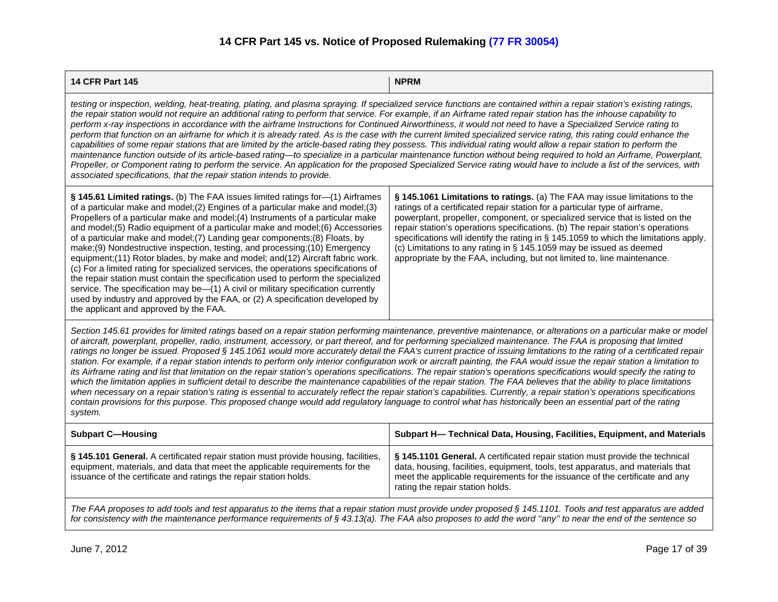| <b>14 CFR Part 145</b>                                                                                                                                                                                                                                                                                                                                                                                                                                                                                                                                                                                                                                                                                                                                                                                                                                                                                                                                                                                                                                                                                                                                                                                                                                                                                                                                                                                            | <b>NPRM</b>                                                                                                                                                                                                                                                                                                                                                                                                                                                                                                                                                                 |
|-------------------------------------------------------------------------------------------------------------------------------------------------------------------------------------------------------------------------------------------------------------------------------------------------------------------------------------------------------------------------------------------------------------------------------------------------------------------------------------------------------------------------------------------------------------------------------------------------------------------------------------------------------------------------------------------------------------------------------------------------------------------------------------------------------------------------------------------------------------------------------------------------------------------------------------------------------------------------------------------------------------------------------------------------------------------------------------------------------------------------------------------------------------------------------------------------------------------------------------------------------------------------------------------------------------------------------------------------------------------------------------------------------------------|-----------------------------------------------------------------------------------------------------------------------------------------------------------------------------------------------------------------------------------------------------------------------------------------------------------------------------------------------------------------------------------------------------------------------------------------------------------------------------------------------------------------------------------------------------------------------------|
| testing or inspection, welding, heat-treating, plating, and plasma spraying. If specialized service functions are contained within a repair station's existing ratings,<br>the repair station would not require an additional rating to perform that service. For example, if an Airframe rated repair station has the inhouse capability to<br>perform x-ray inspections in accordance with the airframe Instructions for Continued Airworthiness, it would not need to have a Specialized Service rating to<br>perform that function on an airframe for which it is already rated. As is the case with the current limited specialized service rating, this rating could enhance the<br>capabilities of some repair stations that are limited by the article-based rating they possess. This individual rating would allow a repair station to perform the<br>maintenance function outside of its article-based rating-to specialize in a particular maintenance function without being required to hold an Airframe, Powerplant,<br>Propeller, or Component rating to perform the service. An application for the proposed Specialized Service rating would have to include a list of the services, with<br>associated specifications, that the repair station intends to provide.                                                                                                                             |                                                                                                                                                                                                                                                                                                                                                                                                                                                                                                                                                                             |
| § 145.61 Limited ratings. (b) The FAA issues limited ratings for-(1) Airframes<br>of a particular make and model; $(2)$ Engines of a particular make and model; $(3)$<br>Propellers of a particular make and model; (4) Instruments of a particular make<br>and model; (5) Radio equipment of a particular make and model; (6) Accessories<br>of a particular make and model; (7) Landing gear components; (8) Floats, by<br>make; (9) Nondestructive inspection, testing, and processing; (10) Emergency<br>equipment; (11) Rotor blades, by make and model; and (12) Aircraft fabric work.<br>(c) For a limited rating for specialized services, the operations specifications of<br>the repair station must contain the specification used to perform the specialized<br>service. The specification may be—(1) A civil or military specification currently<br>used by industry and approved by the FAA, or (2) A specification developed by<br>the applicant and approved by the FAA.                                                                                                                                                                                                                                                                                                                                                                                                                          | § 145.1061 Limitations to ratings. (a) The FAA may issue limitations to the<br>ratings of a certificated repair station for a particular type of airframe,<br>powerplant, propeller, component, or specialized service that is listed on the<br>repair station's operations specifications. (b) The repair station's operations<br>specifications will identify the rating in § 145.1059 to which the limitations apply.<br>(c) Limitations to any rating in § 145.1059 may be issued as deemed<br>appropriate by the FAA, including, but not limited to, line maintenance. |
| Section 145.61 provides for limited ratings based on a repair station performing maintenance, preventive maintenance, or alterations on a particular make or model<br>of aircraft, powerplant, propeller, radio, instrument, accessory, or part thereof, and for performing specialized maintenance. The FAA is proposing that limited<br>ratings no longer be issued. Proposed § 145.1061 would more accurately detail the FAA's current practice of issuing limitations to the rating of a certificated repair<br>station. For example, if a repair station intends to perform only interior configuration work or aircraft painting, the FAA would issue the repair station a limitation to<br>its Airframe rating and list that limitation on the repair station's operations specifications. The repair station's operations specifications would specify the rating to<br>which the limitation applies in sufficient detail to describe the maintenance capabilities of the repair station. The FAA believes that the ability to place limitations<br>when necessary on a repair station's rating is essential to accurately reflect the repair station's capabilities. Currently, a repair station's operations specifications<br>contain provisions for this purpose. This proposed change would add regulatory language to control what has historically been an essential part of the rating<br>system. |                                                                                                                                                                                                                                                                                                                                                                                                                                                                                                                                                                             |

| <b>Subpart C-Housing</b>                                                                                                                                                                                                                | Subpart H- Technical Data, Housing, Facilities, Equipment, and Materials                                                                                                                                                                                                            |
|-----------------------------------------------------------------------------------------------------------------------------------------------------------------------------------------------------------------------------------------|-------------------------------------------------------------------------------------------------------------------------------------------------------------------------------------------------------------------------------------------------------------------------------------|
| § 145.101 General. A certificated repair station must provide housing, facilities,<br>equipment, materials, and data that meet the applicable requirements for the<br>issuance of the certificate and ratings the repair station holds. | § 145.1101 General. A certificated repair station must provide the technical<br>data, housing, facilities, equipment, tools, test apparatus, and materials that<br>meet the applicable requirements for the issuance of the certificate and any<br>rating the repair station holds. |
| The FAA proposes to add tools and test apparatus to the items that a repair station must provide under proposed § 145.1101. Tools and test apparatus are added                                                                          |                                                                                                                                                                                                                                                                                     |

*The FAA proposes to add tools and test apparatus to the items that a repair station must provide under proposed § 145.1101. Tools and test apparatus are added for consistency with the maintenance performance requirements of § 43.13(a). The FAA also proposes to add the word ''any'' to near the end of the sentence so*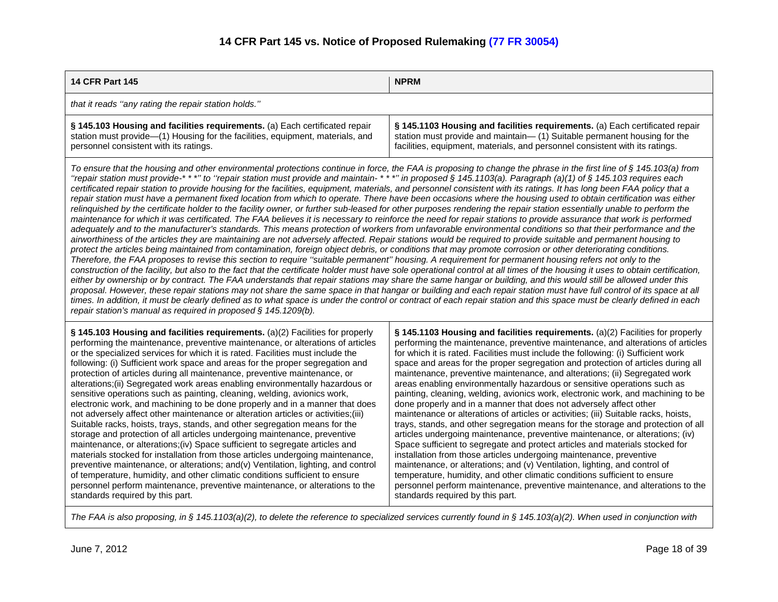| <b>14 CFR Part 145</b>                                                                                                                                                                                  | <b>NPRM</b>                                                                                                                                                                                                                               |
|---------------------------------------------------------------------------------------------------------------------------------------------------------------------------------------------------------|-------------------------------------------------------------------------------------------------------------------------------------------------------------------------------------------------------------------------------------------|
| that it reads "any rating the repair station holds."                                                                                                                                                    |                                                                                                                                                                                                                                           |
| § 145.103 Housing and facilities requirements. (a) Each certificated repair<br>station must provide-(1) Housing for the facilities, equipment, materials, and<br>personnel consistent with its ratings. | § 145.1103 Housing and facilities requirements. (a) Each certificated repair<br>station must provide and maintain— (1) Suitable permanent housing for the<br>facilities, equipment, materials, and personnel consistent with its ratings. |
| て はなしし とうしゅう いしょう とうしょう とうしょう しんしょう しょうしょう しょうしょう こうしょうめんしょう                                                                                                                                            |                                                                                                                                                                                                                                           |

*To ensure that the housing and other environmental protections continue in force, the FAA is proposing to change the phrase in the first line of § 145.103(a) from ''repair station must provide-\* \* \*'' to ''repair station must provide and maintain- \* \* \*'' in proposed § 145.1103(a). Paragraph (a)(1) of § 145.103 requires each certificated repair station to provide housing for the facilities, equipment, materials, and personnel consistent with its ratings. It has long been FAA policy that a repair station must have a permanent fixed location from which to operate. There have been occasions where the housing used to obtain certification was either relinquished by the certificate holder to the facility owner, or further sub-leased for other purposes rendering the repair station essentially unable to perform the maintenance for which it was certificated. The FAA believes it is necessary to reinforce the need for repair stations to provide assurance that work is performed adequately and to the manufacturer's standards. This means protection of workers from unfavorable environmental conditions so that their performance and the airworthiness of the articles they are maintaining are not adversely affected. Repair stations would be required to provide suitable and permanent housing to protect the articles being maintained from contamination, foreign object debris, or conditions that may promote corrosion or other deteriorating conditions. Therefore, the FAA proposes to revise this section to require ''suitable permanent'' housing. A requirement for permanent housing refers not only to the construction of the facility, but also to the fact that the certificate holder must have sole operational control at all times of the housing it uses to obtain certification, either by ownership or by contract. The FAA understands that repair stations may share the same hangar or building, and this would still be allowed under this proposal. However, these repair stations may not share the same space in that hangar or building and each repair station must have full control of its space at all times. In addition, it must be clearly defined as to what space is under the control or contract of each repair station and this space must be clearly defined in each repair station's manual as required in proposed § 145.1209(b).*

**§ 145.103 Housing and facilities requirements.** (a)(2) Facilities for properly performing the maintenance, preventive maintenance, or alterations of articles or the specialized services for which it is rated. Facilities must include the following: (i) Sufficient work space and areas for the proper segregation and protection of articles during all maintenance, preventive maintenance, or alterations;(ii) Segregated work areas enabling environmentally hazardous or sensitive operations such as painting, cleaning, welding, avionics work, electronic work, and machining to be done properly and in a manner that does not adversely affect other maintenance or alteration articles or activities;(iii) Suitable racks, hoists, trays, stands, and other segregation means for the storage and protection of all articles undergoing maintenance, preventive maintenance, or alterations;(iv) Space sufficient to segregate articles and materials stocked for installation from those articles undergoing maintenance, preventive maintenance, or alterations; and(v) Ventilation, lighting, and control of temperature, humidity, and other climatic conditions sufficient to ensure personnel perform maintenance, preventive maintenance, or alterations to the standards required by this part.

**§ 145.1103 Housing and facilities requirements.** (a)(2) Facilities for properly performing the maintenance, preventive maintenance, and alterations of articles for which it is rated. Facilities must include the following: (i) Sufficient work space and areas for the proper segregation and protection of articles during all maintenance, preventive maintenance, and alterations; (ii) Segregated work areas enabling environmentally hazardous or sensitive operations such as painting, cleaning, welding, avionics work, electronic work, and machining to be done properly and in a manner that does not adversely affect other maintenance or alterations of articles or activities; (iii) Suitable racks, hoists, trays, stands, and other segregation means for the storage and protection of all articles undergoing maintenance, preventive maintenance, or alterations; (iv) Space sufficient to segregate and protect articles and materials stocked for installation from those articles undergoing maintenance, preventive maintenance, or alterations; and (v) Ventilation, lighting, and control of temperature, humidity, and other climatic conditions sufficient to ensure personnel perform maintenance, preventive maintenance, and alterations to the standards required by this part.

*The FAA is also proposing, in § 145.1103(a)(2), to delete the reference to specialized services currently found in § 145.103(a)(2). When used in conjunction with*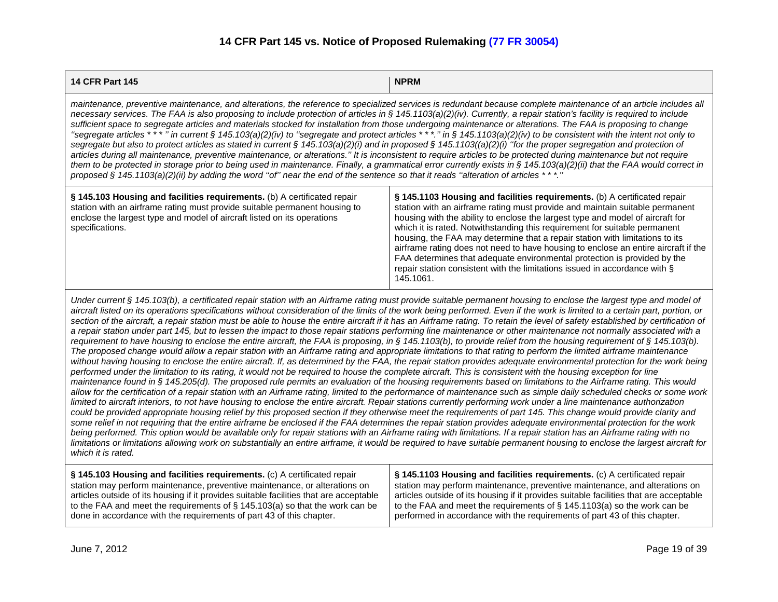| <b>14 CFR Part 145</b>                                                                                                                                                                                                                                                                                                                                                                                                                                                                                                                                                                                                                                                                                                                                                                                                                                                                                                                                                                                                                                                                                                                                                                                                                                                                                                                                                                                                                                                                                                                                                                                                                                                                                                                                                                                                                                                                                                                                                                                                                                                                                                                                                                                                                                                                                                                                                                                                                                                                                                                                                                                                                  | <b>NPRM</b>                                                                                                                                                                                                                                                                                                                                                                                                                                                                                                                                                                                                                                                            |
|-----------------------------------------------------------------------------------------------------------------------------------------------------------------------------------------------------------------------------------------------------------------------------------------------------------------------------------------------------------------------------------------------------------------------------------------------------------------------------------------------------------------------------------------------------------------------------------------------------------------------------------------------------------------------------------------------------------------------------------------------------------------------------------------------------------------------------------------------------------------------------------------------------------------------------------------------------------------------------------------------------------------------------------------------------------------------------------------------------------------------------------------------------------------------------------------------------------------------------------------------------------------------------------------------------------------------------------------------------------------------------------------------------------------------------------------------------------------------------------------------------------------------------------------------------------------------------------------------------------------------------------------------------------------------------------------------------------------------------------------------------------------------------------------------------------------------------------------------------------------------------------------------------------------------------------------------------------------------------------------------------------------------------------------------------------------------------------------------------------------------------------------------------------------------------------------------------------------------------------------------------------------------------------------------------------------------------------------------------------------------------------------------------------------------------------------------------------------------------------------------------------------------------------------------------------------------------------------------------------------------------------------|------------------------------------------------------------------------------------------------------------------------------------------------------------------------------------------------------------------------------------------------------------------------------------------------------------------------------------------------------------------------------------------------------------------------------------------------------------------------------------------------------------------------------------------------------------------------------------------------------------------------------------------------------------------------|
| maintenance, preventive maintenance, and alterations, the reference to specialized services is redundant because complete maintenance of an article includes all<br>necessary services. The FAA is also proposing to include protection of articles in § 145.1103(a)(2)(iv). Currently, a repair station's facility is required to include<br>sufficient space to segregate articles and materials stocked for installation from those undergoing maintenance or alterations. The FAA is proposing to change<br>"segregate articles * * * " in current § 145.103(a)(2)(iv) to "segregate and protect articles * * *." in § 145.1103(a)(2)(iv) to be consistent with the intent not only to<br>segregate but also to protect articles as stated in current § 145.103(a)(2)(i) and in proposed § 145.1103((a)(2)(i) "for the proper segregation and protection of<br>articles during all maintenance, preventive maintenance, or alterations." It is inconsistent to require articles to be protected during maintenance but not require<br>them to be protected in storage prior to being used in maintenance. Finally, a grammatical error currently exists in § 145.103(a)(2)(ii) that the FAA would correct in<br>proposed § 145.1103(a)(2)(ii) by adding the word "of" near the end of the sentence so that it reads "alteration of articles ***."                                                                                                                                                                                                                                                                                                                                                                                                                                                                                                                                                                                                                                                                                                                                                                                                                                                                                                                                                                                                                                                                                                                                                                                                                                                                                   |                                                                                                                                                                                                                                                                                                                                                                                                                                                                                                                                                                                                                                                                        |
| § 145.103 Housing and facilities requirements. (b) A certificated repair<br>station with an airframe rating must provide suitable permanent housing to<br>enclose the largest type and model of aircraft listed on its operations<br>specifications.                                                                                                                                                                                                                                                                                                                                                                                                                                                                                                                                                                                                                                                                                                                                                                                                                                                                                                                                                                                                                                                                                                                                                                                                                                                                                                                                                                                                                                                                                                                                                                                                                                                                                                                                                                                                                                                                                                                                                                                                                                                                                                                                                                                                                                                                                                                                                                                    | § 145.1103 Housing and facilities requirements. (b) A certificated repair<br>station with an airframe rating must provide and maintain suitable permanent<br>housing with the ability to enclose the largest type and model of aircraft for<br>which it is rated. Notwithstanding this requirement for suitable permanent<br>housing, the FAA may determine that a repair station with limitations to its<br>airframe rating does not need to have housing to enclose an entire aircraft if the<br>FAA determines that adequate environmental protection is provided by the<br>repair station consistent with the limitations issued in accordance with §<br>145.1061. |
| Under current § 145.103(b), a certificated repair station with an Airframe rating must provide suitable permanent housing to enclose the largest type and model of<br>aircraft listed on its operations specifications without consideration of the limits of the work being performed. Even if the work is limited to a certain part, portion, or<br>section of the aircraft, a repair station must be able to house the entire aircraft if it has an Airframe rating. To retain the level of safety established by certification of<br>a repair station under part 145, but to lessen the impact to those repair stations performing line maintenance or other maintenance not normally associated with a<br>requirement to have housing to enclose the entire aircraft, the FAA is proposing, in § 145.1103(b), to provide relief from the housing requirement of § 145.103(b).<br>The proposed change would allow a repair station with an Airframe rating and appropriate limitations to that rating to perform the limited airframe maintenance<br>without having housing to enclose the entire aircraft. If, as determined by the FAA, the repair station provides adequate environmental protection for the work being<br>performed under the limitation to its rating, it would not be required to house the complete aircraft. This is consistent with the housing exception for line<br>maintenance found in § 145.205(d). The proposed rule permits an evaluation of the housing requirements based on limitations to the Airframe rating. This would<br>allow for the certification of a repair station with an Airframe rating, limited to the performance of maintenance such as simple daily scheduled checks or some work<br>limited to aircraft interiors, to not have housing to enclose the entire aircraft. Repair stations currently performing work under a line maintenance authorization<br>could be provided appropriate housing relief by this proposed section if they otherwise meet the requirements of part 145. This change would provide clarity and<br>some relief in not requiring that the entire airframe be enclosed if the FAA determines the repair station provides adequate environmental protection for the work<br>being performed. This option would be available only for repair stations with an Airframe rating with limitations. If a repair station has an Airframe rating with no<br>limitations or limitations allowing work on substantially an entire airframe, it would be required to have suitable permanent housing to enclose the largest aircraft for<br>which it is rated. |                                                                                                                                                                                                                                                                                                                                                                                                                                                                                                                                                                                                                                                                        |
| § 145.103 Housing and facilities requirements. (c) A certificated repair<br>station may perform maintenance, preventive maintenance, or alterations on<br>articles outside of its housing if it provides suitable facilities that are acceptable                                                                                                                                                                                                                                                                                                                                                                                                                                                                                                                                                                                                                                                                                                                                                                                                                                                                                                                                                                                                                                                                                                                                                                                                                                                                                                                                                                                                                                                                                                                                                                                                                                                                                                                                                                                                                                                                                                                                                                                                                                                                                                                                                                                                                                                                                                                                                                                        | § 145.1103 Housing and facilities requirements. (c) A certificated repair<br>station may perform maintenance, preventive maintenance, and alterations on<br>articles outside of its housing if it provides suitable facilities that are acceptable                                                                                                                                                                                                                                                                                                                                                                                                                     |

articles outside of its housing if it provides suitable facilities that are acceptable to the FAA and meet the requirements of § 145.1103(a) so the work can be performed in accordance with the requirements of part 43 of this chapter.

to the FAA and meet the requirements of § 145.103(a) so that the work can be

done in accordance with the requirements of part 43 of this chapter.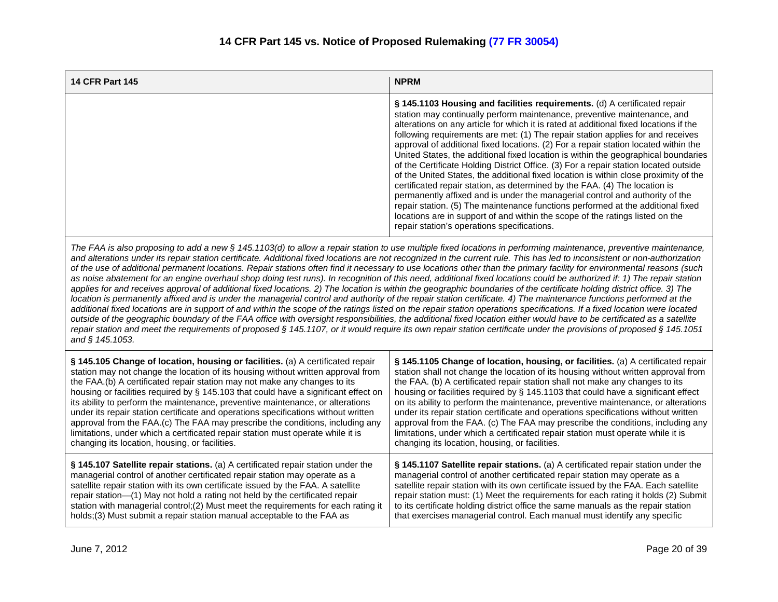| § 145.1103 Housing and facilities requirements. (d) A certificated repair<br>station may continually perform maintenance, preventive maintenance, and<br>alterations on any article for which it is rated at additional fixed locations if the<br>following requirements are met: (1) The repair station applies for and receives<br>approval of additional fixed locations. (2) For a repair station located within the<br>United States, the additional fixed location is within the geographical boundaries<br>of the Certificate Holding District Office. (3) For a repair station located outside<br>of the United States, the additional fixed location is within close proximity of the<br>certificated repair station, as determined by the FAA. (4) The location is<br>permanently affixed and is under the managerial control and authority of the<br>repair station. (5) The maintenance functions performed at the additional fixed<br>locations are in support of and within the scope of the ratings listed on the<br>repair station's operations specifications. | <b>14 CFR Part 145</b> | <b>NPRM</b> |
|---------------------------------------------------------------------------------------------------------------------------------------------------------------------------------------------------------------------------------------------------------------------------------------------------------------------------------------------------------------------------------------------------------------------------------------------------------------------------------------------------------------------------------------------------------------------------------------------------------------------------------------------------------------------------------------------------------------------------------------------------------------------------------------------------------------------------------------------------------------------------------------------------------------------------------------------------------------------------------------------------------------------------------------------------------------------------------|------------------------|-------------|
|                                                                                                                                                                                                                                                                                                                                                                                                                                                                                                                                                                                                                                                                                                                                                                                                                                                                                                                                                                                                                                                                                 |                        |             |

The FAA is also proposing to add a new § 145.1103(d) to allow a repair station to use multiple fixed locations in performing maintenance, preventive maintenance, and alterations under its repair station certificate. Additional fixed locations are not recognized in the current rule. This has led to inconsistent or non-authorization *of the use of additional permanent locations. Repair stations often find it necessary to use locations other than the primary facility for environmental reasons (such as noise abatement for an engine overhaul shop doing test runs). In recognition of this need, additional fixed locations could be authorized if: 1) The repair station applies for and receives approval of additional fixed locations. 2) The location is within the geographic boundaries of the certificate holding district office. 3) The location is permanently affixed and is under the managerial control and authority of the repair station certificate. 4) The maintenance functions performed at the additional fixed locations are in support of and within the scope of the ratings listed on the repair station operations specifications. If a fixed location were located outside of the geographic boundary of the FAA office with oversight responsibilities, the additional fixed location either would have to be certificated as a satellite repair station and meet the requirements of proposed § 145.1107, or it would require its own repair station certificate under the provisions of proposed § 145.1051 and § 145.1053.*

| § 145.105 Change of location, housing or facilities. (a) A certificated repair      | § 145.1105 Change of location, housing, or facilities. (a) A certificated repair    |
|-------------------------------------------------------------------------------------|-------------------------------------------------------------------------------------|
| station may not change the location of its housing without written approval from    | station shall not change the location of its housing without written approval from  |
| the FAA.(b) A certificated repair station may not make any changes to its           | the FAA. (b) A certificated repair station shall not make any changes to its        |
| housing or facilities required by § 145.103 that could have a significant effect on | housing or facilities required by § 145.1103 that could have a significant effect   |
| its ability to perform the maintenance, preventive maintenance, or alterations      | on its ability to perform the maintenance, preventive maintenance, or alterations   |
| under its repair station certificate and operations specifications without written  | under its repair station certificate and operations specifications without written  |
| approval from the FAA.(c) The FAA may prescribe the conditions, including any       | approval from the FAA. (c) The FAA may prescribe the conditions, including any      |
| limitations, under which a certificated repair station must operate while it is     | limitations, under which a certificated repair station must operate while it is     |
| changing its location, housing, or facilities.                                      | changing its location, housing, or facilities.                                      |
| § 145.107 Satellite repair stations. (a) A certificated repair station under the    | § 145.1107 Satellite repair stations. (a) A certificated repair station under the   |
| managerial control of another certificated repair station may operate as a          | managerial control of another certificated repair station may operate as a          |
| satellite repair station with its own certificate issued by the FAA. A satellite    | satellite repair station with its own certificate issued by the FAA. Each satellite |
| repair station—(1) May not hold a rating not held by the certificated repair        | repair station must: (1) Meet the requirements for each rating it holds (2) Submit  |
| station with managerial control; (2) Must meet the requirements for each rating it  | to its certificate holding district office the same manuals as the repair station   |
| holds: (3) Must submit a repair station manual acceptable to the FAA as             | that exercises managerial control. Each manual must identify any specific           |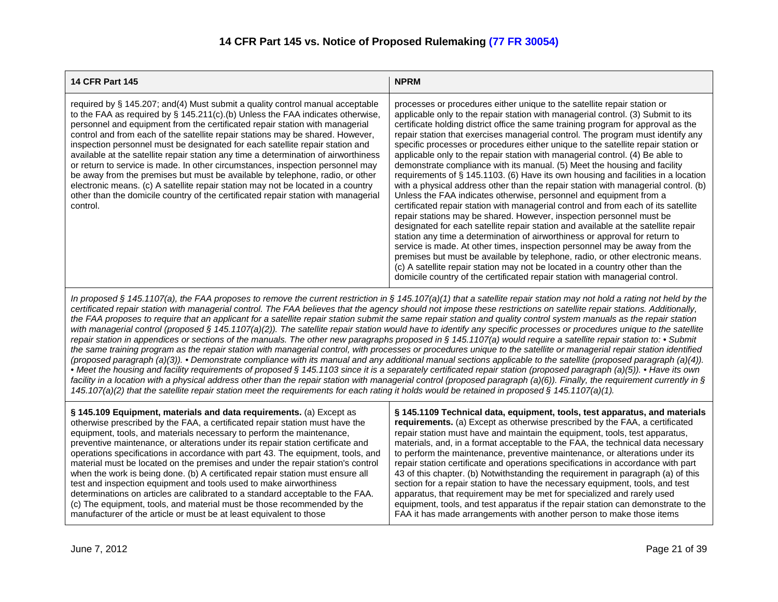| <b>14 CFR Part 145</b>                                                                                                                                                                                                                                                                                                                                                                                                                                                                                                                                                                                                                                                                                                                                                                                                                                                 | <b>NPRM</b>                                                                                                                                                                                                                                                                                                                                                                                                                                                                                                                                                                                                                                                                                                                                                                                                                                                                                                                                                                                                                                                                                                                                                                                                                                                                                                                                                                                                                                                                                                  |
|------------------------------------------------------------------------------------------------------------------------------------------------------------------------------------------------------------------------------------------------------------------------------------------------------------------------------------------------------------------------------------------------------------------------------------------------------------------------------------------------------------------------------------------------------------------------------------------------------------------------------------------------------------------------------------------------------------------------------------------------------------------------------------------------------------------------------------------------------------------------|--------------------------------------------------------------------------------------------------------------------------------------------------------------------------------------------------------------------------------------------------------------------------------------------------------------------------------------------------------------------------------------------------------------------------------------------------------------------------------------------------------------------------------------------------------------------------------------------------------------------------------------------------------------------------------------------------------------------------------------------------------------------------------------------------------------------------------------------------------------------------------------------------------------------------------------------------------------------------------------------------------------------------------------------------------------------------------------------------------------------------------------------------------------------------------------------------------------------------------------------------------------------------------------------------------------------------------------------------------------------------------------------------------------------------------------------------------------------------------------------------------------|
| required by § 145.207; and (4) Must submit a quality control manual acceptable<br>to the FAA as required by $\S$ 145.211(c).(b) Unless the FAA indicates otherwise,<br>personnel and equipment from the certificated repair station with managerial<br>control and from each of the satellite repair stations may be shared. However,<br>inspection personnel must be designated for each satellite repair station and<br>available at the satellite repair station any time a determination of airworthiness<br>or return to service is made. In other circumstances, inspection personnel may<br>be away from the premises but must be available by telephone, radio, or other<br>electronic means. (c) A satellite repair station may not be located in a country<br>other than the domicile country of the certificated repair station with managerial<br>control. | processes or procedures either unique to the satellite repair station or<br>applicable only to the repair station with managerial control. (3) Submit to its<br>certificate holding district office the same training program for approval as the<br>repair station that exercises managerial control. The program must identify any<br>specific processes or procedures either unique to the satellite repair station or<br>applicable only to the repair station with managerial control. (4) Be able to<br>demonstrate compliance with its manual. (5) Meet the housing and facility<br>requirements of § 145.1103. (6) Have its own housing and facilities in a location<br>with a physical address other than the repair station with managerial control. (b)<br>Unless the FAA indicates otherwise, personnel and equipment from a<br>certificated repair station with managerial control and from each of its satellite<br>repair stations may be shared. However, inspection personnel must be<br>designated for each satellite repair station and available at the satellite repair<br>station any time a determination of airworthiness or approval for return to<br>service is made. At other times, inspection personnel may be away from the<br>premises but must be available by telephone, radio, or other electronic means.<br>(c) A satellite repair station may not be located in a country other than the<br>domicile country of the certificated repair station with managerial control. |

*In proposed § 145.1107(a), the FAA proposes to remove the current restriction in § 145.107(a)(1) that a satellite repair station may not hold a rating not held by the certificated repair station with managerial control. The FAA believes that the agency should not impose these restrictions on satellite repair stations. Additionally, the FAA proposes to require that an applicant for a satellite repair station submit the same repair station and quality control system manuals as the repair station*  with managerial control (proposed § 145.1107(a)(2)). The satellite repair station would have to identify any specific processes or procedures unique to the satellite *repair station in appendices or sections of the manuals. The other new paragraphs proposed in § 145.1107(a) would require a satellite repair station to: • Submit the same training program as the repair station with managerial control, with processes or procedures unique to the satellite or managerial repair station identified (proposed paragraph (a)(3)). • Demonstrate compliance with its manual and any additional manual sections applicable to the satellite (proposed paragraph (a)(4)).*  • Meet the housing and facility requirements of proposed § 145.1103 since it is a separately certificated repair station (proposed paragraph (a)(5)). • Have its own *facility in a location with a physical address other than the repair station with managerial control (proposed paragraph (a)(6)). Finally, the requirement currently in § 145.107(a)(2) that the satellite repair station meet the requirements for each rating it holds would be retained in proposed § 145.1107(a)(1).*

| § 145.109 Equipment, materials and data requirements. (a) Except as             | § 145.1109 Technical data, equipment, tools, test apparatus, and materials        |
|---------------------------------------------------------------------------------|-----------------------------------------------------------------------------------|
| otherwise prescribed by the FAA, a certificated repair station must have the    | requirements. (a) Except as otherwise prescribed by the FAA, a certificated       |
| equipment, tools, and materials necessary to perform the maintenance,           | repair station must have and maintain the equipment, tools, test apparatus,       |
| preventive maintenance, or alterations under its repair station certificate and | materials, and, in a format acceptable to the FAA, the technical data necessary   |
| operations specifications in accordance with part 43. The equipment, tools, and | to perform the maintenance, preventive maintenance, or alterations under its      |
| material must be located on the premises and under the repair station's control | repair station certificate and operations specifications in accordance with part  |
| when the work is being done. (b) A certificated repair station must ensure all  | 43 of this chapter. (b) Notwithstanding the requirement in paragraph (a) of this  |
| test and inspection equipment and tools used to make airworthiness              | section for a repair station to have the necessary equipment, tools, and test     |
| determinations on articles are calibrated to a standard acceptable to the FAA.  | apparatus, that requirement may be met for specialized and rarely used            |
| (c) The equipment, tools, and material must be those recommended by the         | equipment, tools, and test apparatus if the repair station can demonstrate to the |
| manufacturer of the article or must be at least equivalent to those             | FAA it has made arrangements with another person to make those items              |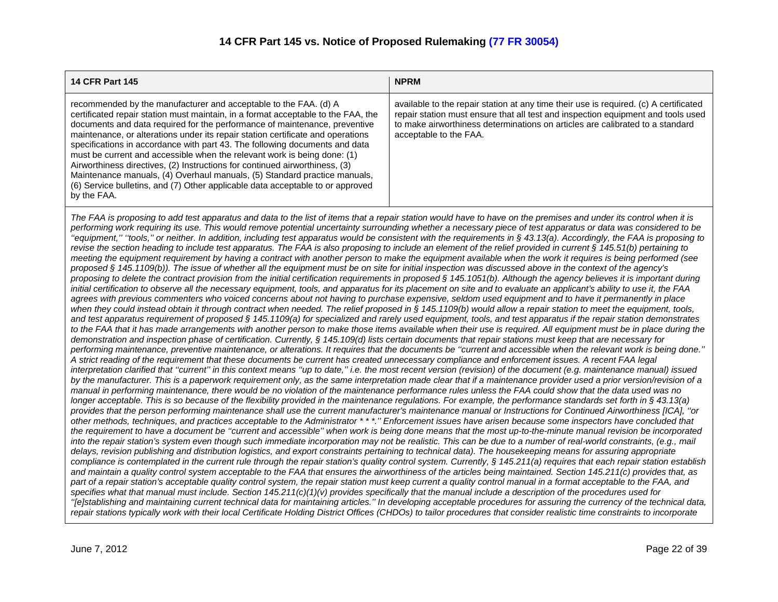| <b>14 CFR Part 145</b>                                                                                                                                                                                                                                                                                                                                                                                                                                                                                                                                                                                                                                                                                                                         | <b>NPRM</b>                                                                                                                                                                                                                                                                          |
|------------------------------------------------------------------------------------------------------------------------------------------------------------------------------------------------------------------------------------------------------------------------------------------------------------------------------------------------------------------------------------------------------------------------------------------------------------------------------------------------------------------------------------------------------------------------------------------------------------------------------------------------------------------------------------------------------------------------------------------------|--------------------------------------------------------------------------------------------------------------------------------------------------------------------------------------------------------------------------------------------------------------------------------------|
| recommended by the manufacturer and acceptable to the FAA. (d) A<br>certificated repair station must maintain, in a format acceptable to the FAA, the<br>documents and data required for the performance of maintenance, preventive<br>maintenance, or alterations under its repair station certificate and operations<br>specifications in accordance with part 43. The following documents and data<br>must be current and accessible when the relevant work is being done: (1)<br>Airworthiness directives, (2) Instructions for continued airworthiness, (3)<br>Maintenance manuals, (4) Overhaul manuals, (5) Standard practice manuals,<br>(6) Service bulletins, and (7) Other applicable data acceptable to or approved<br>by the FAA. | available to the repair station at any time their use is required. (c) A certificated<br>repair station must ensure that all test and inspection equipment and tools used<br>to make airworthiness determinations on articles are calibrated to a standard<br>acceptable to the FAA. |

*The FAA is proposing to add test apparatus and data to the list of items that a repair station would have to have on the premises and under its control when it is performing work requiring its use. This would remove potential uncertainty surrounding whether a necessary piece of test apparatus or data was considered to be ''equipment,'' ''tools,'' or neither. In addition, including test apparatus would be consistent with the requirements in § 43.13(a). Accordingly, the FAA is proposing to revise the section heading to include test apparatus. The FAA is also proposing to include an element of the relief provided in current § 145.51(b) pertaining to meeting the equipment requirement by having a contract with another person to make the equipment available when the work it requires is being performed (see proposed § 145.1109(b)). The issue of whether all the equipment must be on site for initial inspection was discussed above in the context of the agency's proposing to delete the contract provision from the initial certification requirements in proposed § 145.1051(b). Although the agency believes it is important during initial certification to observe all the necessary equipment, tools, and apparatus for its placement on site and to evaluate an applicant's ability to use it, the FAA agrees with previous commenters who voiced concerns about not having to purchase expensive, seldom used equipment and to have it permanently in place when they could instead obtain it through contract when needed. The relief proposed in § 145.1109(b) would allow a repair station to meet the equipment, tools, and test apparatus requirement of proposed § 145.1109(a) for specialized and rarely used equipment, tools, and test apparatus if the repair station demonstrates*  to the FAA that it has made arrangements with another person to make those items available when their use is required. All equipment must be in place during the *demonstration and inspection phase of certification. Currently, § 145.109(d) lists certain documents that repair stations must keep that are necessary for performing maintenance, preventive maintenance, or alterations. It requires that the documents be ''current and accessible when the relevant work is being done.'' A strict reading of the requirement that these documents be current has created unnecessary compliance and enforcement issues. A recent FAA legal interpretation clarified that ''current'' in this context means ''up to date,'' i.e. the most recent version (revision) of the document (e.g. maintenance manual) issued*  by the manufacturer. This is a paperwork requirement only, as the same interpretation made clear that if a maintenance provider used a prior version/revision of a *manual in performing maintenance, there would be no violation of the maintenance performance rules unless the FAA could show that the data used was no longer acceptable. This is so because of the flexibility provided in the maintenance regulations. For example, the performance standards set forth in § 43.13(a) provides that the person performing maintenance shall use the current manufacturer's maintenance manual or Instructions for Continued Airworthiness [ICA], ''or other methods, techniques, and practices acceptable to the Administrator \* \* \*.'' Enforcement issues have arisen because some inspectors have concluded that the requirement to have a document be ''current and accessible'' when work is being done means that the most up-to-the-minute manual revision be incorporated into the repair station's system even though such immediate incorporation may not be realistic. This can be due to a number of real-world constraints, (e.g., mail delays, revision publishing and distribution logistics, and export constraints pertaining to technical data). The housekeeping means for assuring appropriate compliance is contemplated in the current rule through the repair station's quality control system. Currently, § 145.211(a) requires that each repair station establish and maintain a quality control system acceptable to the FAA that ensures the airworthiness of the articles being maintained. Section 145.211(c) provides that, as part of a repair station's acceptable quality control system, the repair station must keep current a quality control manual in a format acceptable to the FAA, and specifies what that manual must include. Section 145.211(c)(1)(v) provides specifically that the manual include a description of the procedures used for ''[e]stablishing and maintaining current technical data for maintaining articles.'' In developing acceptable procedures for assuring the currency of the technical data,*  repair stations typically work with their local Certificate Holding District Offices (CHDOs) to tailor procedures that consider realistic time constraints to incorporate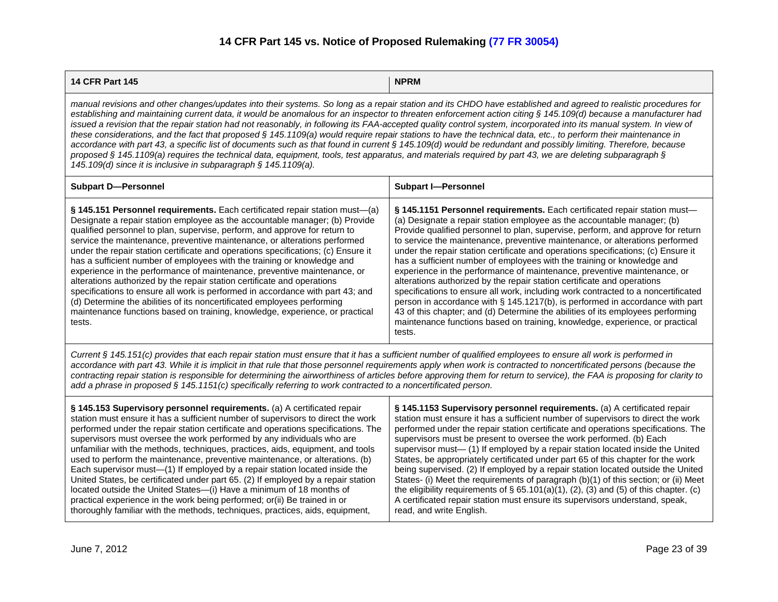| <b>14 CFR Part 145</b>                                                                                                                                                                                                                                                                                                                                                                                                                                                                                                                                                                                                                                                                                                                                                                                                                                                                                                                                                                                                                                                        | <b>NPRM</b>                                                               |
|-------------------------------------------------------------------------------------------------------------------------------------------------------------------------------------------------------------------------------------------------------------------------------------------------------------------------------------------------------------------------------------------------------------------------------------------------------------------------------------------------------------------------------------------------------------------------------------------------------------------------------------------------------------------------------------------------------------------------------------------------------------------------------------------------------------------------------------------------------------------------------------------------------------------------------------------------------------------------------------------------------------------------------------------------------------------------------|---------------------------------------------------------------------------|
| manual revisions and other changes/updates into their systems. So long as a repair station and its CHDO have established and agreed to realistic procedures for<br>establishing and maintaining current data, it would be anomalous for an inspector to threaten enforcement action citing § 145.109(d) because a manufacturer had<br>issued a revision that the repair station had not reasonably, in following its FAA-accepted quality control system, incorporated into its manual system. In view of<br>these considerations, and the fact that proposed § 145.1109(a) would require repair stations to have the technical data, etc., to perform their maintenance in<br>accordance with part 43, a specific list of documents such as that found in current § 145.109(d) would be redundant and possibly limiting. Therefore, because<br>proposed § 145.1109(a) requires the technical data, equipment, tools, test apparatus, and materials required by part 43, we are deleting subparagraph §<br>145.109(d) since it is inclusive in subparagraph $\S$ 145.1109(a). |                                                                           |
| <b>Subpart D-Personnel</b>                                                                                                                                                                                                                                                                                                                                                                                                                                                                                                                                                                                                                                                                                                                                                                                                                                                                                                                                                                                                                                                    | <b>Subpart I-Personnel</b>                                                |
| § 145.151 Personnel requirements. Each certificated repair station must—(a)                                                                                                                                                                                                                                                                                                                                                                                                                                                                                                                                                                                                                                                                                                                                                                                                                                                                                                                                                                                                   | § 145.1151 Personnel requirements. Each certificated repair station must— |

Designate a repair station employee as the accountable manager; (b) Provide qualified personnel to plan, supervise, perform, and approve for return to service the maintenance, preventive maintenance, or alterations performed under the repair station certificate and operations specifications; (c) Ensure it has a sufficient number of employees with the training or knowledge and experience in the performance of maintenance, preventive maintenance, or alterations authorized by the repair station certificate and operations specifications to ensure all work is performed in accordance with part 43; and (d) Determine the abilities of its noncertificated employees performing maintenance functions based on training, knowledge, experience, or practical tests. (a) Designate a repair station employee as the accountable manager; (b) Provide qualified personnel to plan, supervise, perform, and approve for return to service the maintenance, preventive maintenance, or alterations performed under the repair station certificate and operations specifications; (c) Ensure it has a sufficient number of employees with the training or knowledge and experience in the performance of maintenance, preventive maintenance, or alterations authorized by the repair station certificate and operations specifications to ensure all work, including work contracted to a noncertificated person in accordance with § 145.1217(b), is performed in accordance with part 43 of this chapter; and (d) Determine the abilities of its employees performing maintenance functions based on training, knowledge, experience, or practical tests.

*Current § 145.151(c) provides that each repair station must ensure that it has a sufficient number of qualified employees to ensure all work is performed in accordance with part 43. While it is implicit in that rule that those personnel requirements apply when work is contracted to noncertificated persons (because the contracting repair station is responsible for determining the airworthiness of articles before approving them for return to service), the FAA is proposing for clarity to add a phrase in proposed § 145.1151(c) specifically referring to work contracted to a noncertificated person.*

| States, be appropriately certificated under part 65 of this chapter for the work<br>used to perform the maintenance, preventive maintenance, or alterations. (b)<br>being supervised. (2) If employed by a repair station located outside the United<br>Each supervisor must—(1) If employed by a repair station located inside the<br>United States, be certificated under part 65. (2) If employed by a repair station<br>States- (i) Meet the requirements of paragraph (b)(1) of this section; or (ii) Meet<br>located outside the United States-(i) Have a minimum of 18 months of<br>the eligibility requirements of $\S$ 65.101(a)(1), (2), (3) and (5) of this chapter. (c)<br>practical experience in the work being performed; or(ii) Be trained in or<br>A certificated repair station must ensure its supervisors understand, speak,<br>thoroughly familiar with the methods, techniques, practices, aids, equipment,<br>read, and write English. |
|---------------------------------------------------------------------------------------------------------------------------------------------------------------------------------------------------------------------------------------------------------------------------------------------------------------------------------------------------------------------------------------------------------------------------------------------------------------------------------------------------------------------------------------------------------------------------------------------------------------------------------------------------------------------------------------------------------------------------------------------------------------------------------------------------------------------------------------------------------------------------------------------------------------------------------------------------------------|
|---------------------------------------------------------------------------------------------------------------------------------------------------------------------------------------------------------------------------------------------------------------------------------------------------------------------------------------------------------------------------------------------------------------------------------------------------------------------------------------------------------------------------------------------------------------------------------------------------------------------------------------------------------------------------------------------------------------------------------------------------------------------------------------------------------------------------------------------------------------------------------------------------------------------------------------------------------------|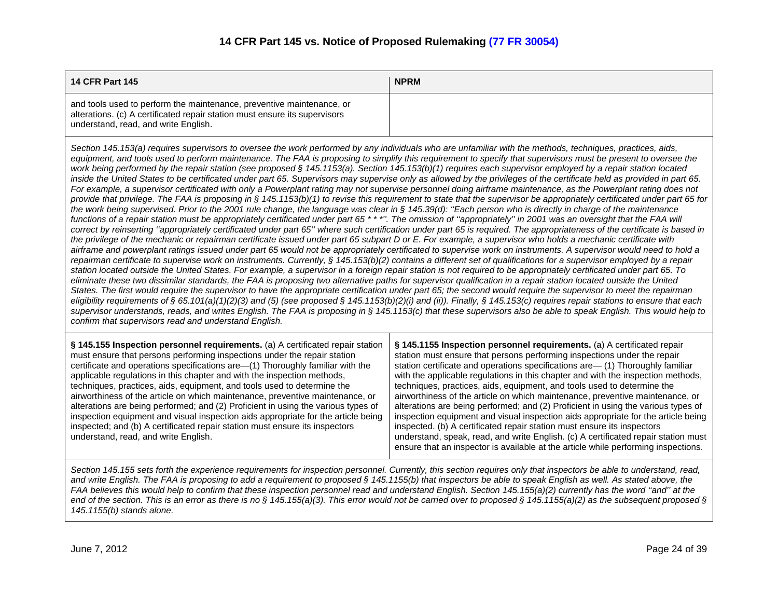| <b>14 CFR Part 145</b>                                                                                                                                                                      | <b>NPRM</b> |
|---------------------------------------------------------------------------------------------------------------------------------------------------------------------------------------------|-------------|
| and tools used to perform the maintenance, preventive maintenance, or<br>alterations. (c) A certificated repair station must ensure its supervisors<br>understand, read, and write English. |             |

*Section 145.153(a) requires supervisors to oversee the work performed by any individuals who are unfamiliar with the methods, techniques, practices, aids,*  equipment, and tools used to perform maintenance. The FAA is proposing to simplify this requirement to specify that supervisors must be present to oversee the *work being performed by the repair station (see proposed § 145.1153(a). Section 145.153(b)(1) requires each supervisor employed by a repair station located*  inside the United States to be certificated under part 65. Supervisors may supervise only as allowed by the privileges of the certificate held as provided in part 65. *For example, a supervisor certificated with only a Powerplant rating may not supervise personnel doing airframe maintenance, as the Powerplant rating does not provide that privilege. The FAA is proposing in § 145.1153(b)(1) to revise this requirement to state that the supervisor be appropriately certificated under part 65 for the work being supervised. Prior to the 2001 rule change, the language was clear in § 145.39(d): ''Each person who is directly in charge of the maintenance*  functions of a repair station must be appropriately certificated under part 65<sup>\*</sup>\*". The omission of "appropriately" in 2001 was an oversight that the FAA will *correct by reinserting ''appropriately certificated under part 65'' where such certification under part 65 is required. The appropriateness of the certificate is based in the privilege of the mechanic or repairman certificate issued under part 65 subpart D or E. For example, a supervisor who holds a mechanic certificate with airframe and powerplant ratings issued under part 65 would not be appropriately certificated to supervise work on instruments. A supervisor would need to hold a repairman certificate to supervise work on instruments. Currently, § 145.153(b)(2) contains a different set of qualifications for a supervisor employed by a repair station located outside the United States. For example, a supervisor in a foreign repair station is not required to be appropriately certificated under part 65. To eliminate these two dissimilar standards, the FAA is proposing two alternative paths for supervisor qualification in a repair station located outside the United States. The first would require the supervisor to have the appropriate certification under part 65; the second would require the supervisor to meet the repairman eligibility requirements of § 65.101(a)(1)(2)(3) and (5) (see proposed § 145.1153(b)(2)(i) and (ii)). Finally, § 145.153(c) requires repair stations to ensure that each supervisor understands, reads, and writes English. The FAA is proposing in § 145.1153(c) that these supervisors also be able to speak English. This would help to confirm that supervisors read and understand English.*

*Section 145.155 sets forth the experience requirements for inspection personnel. Currently, this section requires only that inspectors be able to understand, read, and write English. The FAA is proposing to add a requirement to proposed § 145.1155(b) that inspectors be able to speak English as well. As stated above, the FAA believes this would help to confirm that these inspection personnel read and understand English. Section 145.155(a)(2) currently has the word ''and'' at the*  end of the section. This is an error as there is no § 145.155(a)(3). This error would not be carried over to proposed § 145.1155(a)(2) as the subsequent proposed § *145.1155(b) stands alone.*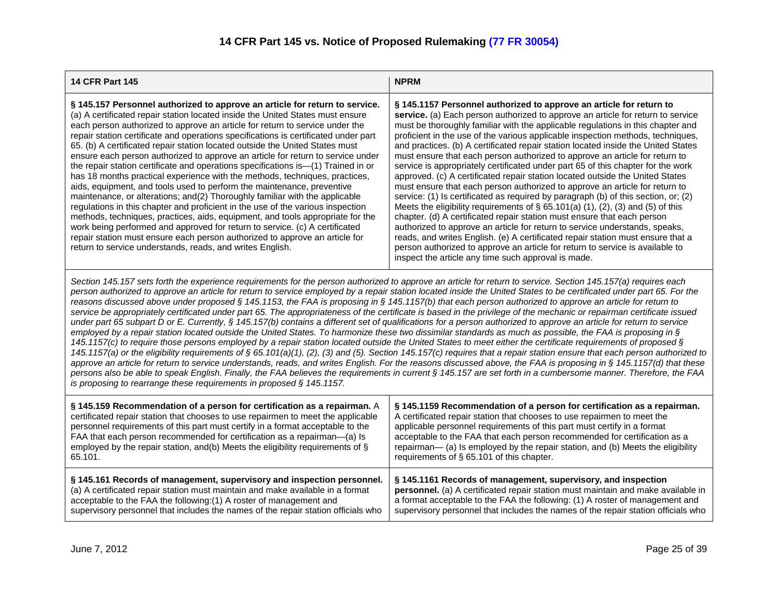| <b>14 CFR Part 145</b>                                                                                                                                                                                                                                                                                                                                                                                                                                                                                                                                                                                                                                                                                                                                                                                                                                                                                                                                                                                                                                                                                                                                                                                                               | <b>NPRM</b>                                                                                                                                                                                                                                                                                                                                                                                                                                                                                                                                                                                                                                                                                                                                                                                                                                                                                                                                                                                                                                                                                                                                                                                                                                                                                                           |
|--------------------------------------------------------------------------------------------------------------------------------------------------------------------------------------------------------------------------------------------------------------------------------------------------------------------------------------------------------------------------------------------------------------------------------------------------------------------------------------------------------------------------------------------------------------------------------------------------------------------------------------------------------------------------------------------------------------------------------------------------------------------------------------------------------------------------------------------------------------------------------------------------------------------------------------------------------------------------------------------------------------------------------------------------------------------------------------------------------------------------------------------------------------------------------------------------------------------------------------|-----------------------------------------------------------------------------------------------------------------------------------------------------------------------------------------------------------------------------------------------------------------------------------------------------------------------------------------------------------------------------------------------------------------------------------------------------------------------------------------------------------------------------------------------------------------------------------------------------------------------------------------------------------------------------------------------------------------------------------------------------------------------------------------------------------------------------------------------------------------------------------------------------------------------------------------------------------------------------------------------------------------------------------------------------------------------------------------------------------------------------------------------------------------------------------------------------------------------------------------------------------------------------------------------------------------------|
| § 145.157 Personnel authorized to approve an article for return to service.<br>(a) A certificated repair station located inside the United States must ensure<br>each person authorized to approve an article for return to service under the<br>repair station certificate and operations specifications is certificated under part<br>65. (b) A certificated repair station located outside the United States must<br>ensure each person authorized to approve an article for return to service under<br>the repair station certificate and operations specifications is—(1) Trained in or<br>has 18 months practical experience with the methods, techniques, practices,<br>aids, equipment, and tools used to perform the maintenance, preventive<br>maintenance, or alterations; and(2) Thoroughly familiar with the applicable<br>regulations in this chapter and proficient in the use of the various inspection<br>methods, techniques, practices, aids, equipment, and tools appropriate for the<br>work being performed and approved for return to service. (c) A certificated<br>repair station must ensure each person authorized to approve an article for<br>return to service understands, reads, and writes English. | § 145.1157 Personnel authorized to approve an article for return to<br>service. (a) Each person authorized to approve an article for return to service<br>must be thoroughly familiar with the applicable regulations in this chapter and<br>proficient in the use of the various applicable inspection methods, techniques,<br>and practices. (b) A certificated repair station located inside the United States<br>must ensure that each person authorized to approve an article for return to<br>service is appropriately certificated under part 65 of this chapter for the work<br>approved. (c) A certificated repair station located outside the United States<br>must ensure that each person authorized to approve an article for return to<br>service: (1) Is certificated as required by paragraph (b) of this section, or; (2)<br>Meets the eligibility requirements of $\S$ 65.101(a) (1), (2), (3) and (5) of this<br>chapter. (d) A certificated repair station must ensure that each person<br>authorized to approve an article for return to service understands, speaks,<br>reads, and writes English. (e) A certificated repair station must ensure that a<br>person authorized to approve an article for return to service is available to<br>inspect the article any time such approval is made. |
| Section 145.157 sets forth the experience requirements for the person authorized to approve an article for return to service. Section 145.157(a) requires each<br>person authorized to approve an article for return to service employed by a repair station located inside the United States to be certificated under part 65. For the<br>recepted discussed above under prepayed $\& 145, 1452$ the $E\Lambda$ is prepaying in $\& 145, 1457/h$ that each person outherized to enprove an orticle for return to                                                                                                                                                                                                                                                                                                                                                                                                                                                                                                                                                                                                                                                                                                                    |                                                                                                                                                                                                                                                                                                                                                                                                                                                                                                                                                                                                                                                                                                                                                                                                                                                                                                                                                                                                                                                                                                                                                                                                                                                                                                                       |

*reasons discussed above under proposed § 145.1153, the FAA is proposing in § 145.1157(b) that each person authorized to approve an article for return to*  service be appropriately certificated under part 65. The appropriateness of the certificate is based in the privilege of the mechanic or repairman certificate issued *under part 65 subpart D or E. Currently, § 145.157(b) contains a different set of qualifications for a person authorized to approve an article for return to service employed by a repair station located outside the United States. To harmonize these two dissimilar standards as much as possible, the FAA is proposing in § 145.1157(c) to require those persons employed by a repair station located outside the United States to meet either the certificate requirements of proposed § 145.1157(a) or the eligibility requirements of § 65.101(a)(1), (2), (3) and (5). Section 145.157(c) requires that a repair station ensure that each person authorized to approve an article for return to service understands, reads, and writes English. For the reasons discussed above, the FAA is proposing in § 145.1157(d) that these persons also be able to speak English. Finally, the FAA believes the requirements in current § 145.157 are set forth in a cumbersome manner. Therefore, the FAA is proposing to rearrange these requirements in proposed § 145.1157.*

| § 145.159 Recommendation of a person for certification as a repairman. A          | § 145.1159 Recommendation of a person for certification as a repairman.           |
|-----------------------------------------------------------------------------------|-----------------------------------------------------------------------------------|
| certificated repair station that chooses to use repairmen to meet the applicable  | A certificated repair station that chooses to use repairmen to meet the           |
| personnel requirements of this part must certify in a format acceptable to the    | applicable personnel requirements of this part must certify in a format           |
| FAA that each person recommended for certification as a repairman—(a) Is          | acceptable to the FAA that each person recommended for certification as a         |
| employed by the repair station, and(b) Meets the eligibility requirements of $\S$ | repairman— (a) Is employed by the repair station, and (b) Meets the eligibility   |
| 65.101.                                                                           | requirements of $\S$ 65.101 of this chapter.                                      |
| § 145.161 Records of management, supervisory and inspection personnel.            | § 145.1161 Records of management, supervisory, and inspection                     |
| (a) A certificated repair station must maintain and make available in a format    | personnel. (a) A certificated repair station must maintain and make available in  |
| acceptable to the FAA the following: (1) A roster of management and               | a format acceptable to the FAA the following: (1) A roster of management and      |
| supervisory personnel that includes the names of the repair station officials who | supervisory personnel that includes the names of the repair station officials who |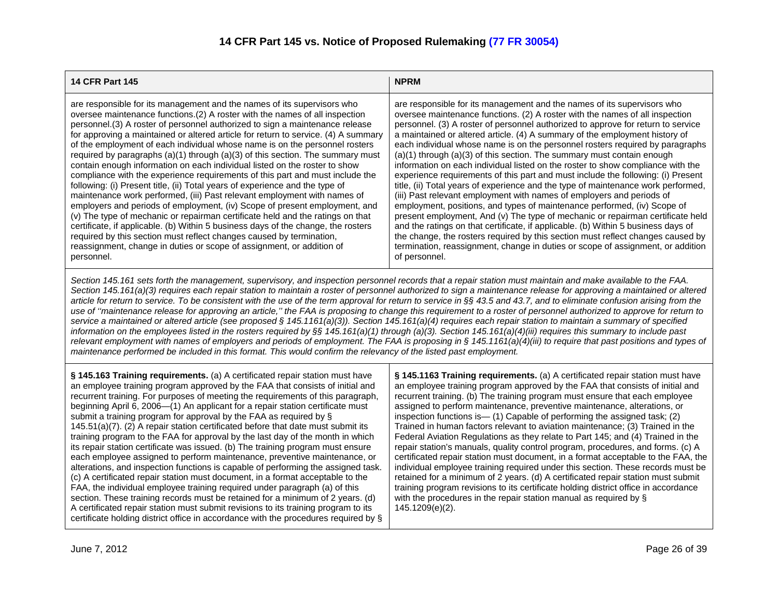| <b>14 CFR Part 145</b>                                                             | <b>NPRM</b>                                                                       |
|------------------------------------------------------------------------------------|-----------------------------------------------------------------------------------|
| are responsible for its management and the names of its supervisors who            | are responsible for its management and the names of its supervisors who           |
| oversee maintenance functions. (2) A roster with the names of all inspection       | oversee maintenance functions. (2) A roster with the names of all inspection      |
| personnel. (3) A roster of personnel authorized to sign a maintenance release      | personnel. (3) A roster of personnel authorized to approve for return to service  |
| for approving a maintained or altered article for return to service. (4) A summary | a maintained or altered article. (4) A summary of the employment history of       |
| of the employment of each individual whose name is on the personnel rosters        | each individual whose name is on the personnel rosters required by paragraphs     |
| required by paragraphs (a)(1) through (a)(3) of this section. The summary must     | $(a)(1)$ through $(a)(3)$ of this section. The summary must contain enough        |
| contain enough information on each individual listed on the roster to show         | information on each individual listed on the roster to show compliance with the   |
| compliance with the experience requirements of this part and must include the      | experience requirements of this part and must include the following: (i) Present  |
| following: (i) Present title, (ii) Total years of experience and the type of       | title, (ii) Total years of experience and the type of maintenance work performed, |
| maintenance work performed, (iii) Past relevant employment with names of           | (iii) Past relevant employment with names of employers and periods of             |
| employers and periods of employment, (iv) Scope of present employment, and         | employment, positions, and types of maintenance performed, (iv) Scope of          |
| (v) The type of mechanic or repairman certificate held and the ratings on that     | present employment, And (v) The type of mechanic or repairman certificate held    |
| certificate, if applicable. (b) Within 5 business days of the change, the rosters  | and the ratings on that certificate, if applicable. (b) Within 5 business days of |
| required by this section must reflect changes caused by termination,               | the change, the rosters required by this section must reflect changes caused by   |
| reassignment, change in duties or scope of assignment, or addition of              | termination, reassignment, change in duties or scope of assignment, or addition   |
| personnel.                                                                         | of personnel.                                                                     |

*Section 145.161 sets forth the management, supervisory, and inspection personnel records that a repair station must maintain and make available to the FAA. Section 145.161(a)(3) requires each repair station to maintain a roster of personnel authorized to sign a maintenance release for approving a maintained or altered article for return to service. To be consistent with the use of the term approval for return to service in §§ 43.5 and 43.7, and to eliminate confusion arising from the use of ''maintenance release for approving an article,'' the FAA is proposing to change this requirement to a roster of personnel authorized to approve for return to service a maintained or altered article (see proposed § 145.1161(a)(3)). Section 145.161(a)(4) requires each repair station to maintain a summary of specified information on the employees listed in the rosters required by §§ 145.161(a)(1) through (a)(3). Section 145.161(a)(4)(iii) requires this summary to include past relevant employment with names of employers and periods of employment. The FAA is proposing in § 145.1161(a)(4)(iii) to require that past positions and types of maintenance performed be included in this format. This would confirm the relevancy of the listed past employment.*

**§ 145.163 Training requirements.** (a) A certificated repair station must have an employee training program approved by the FAA that consists of initial and recurrent training. For purposes of meeting the requirements of this paragraph, beginning April 6, 2006—(1) An applicant for a repair station certificate must submit a training program for approval by the FAA as required by § 145.51(a)(7). (2) A repair station certificated before that date must submit its training program to the FAA for approval by the last day of the month in which its repair station certificate was issued. (b) The training program must ensure each employee assigned to perform maintenance, preventive maintenance, or alterations, and inspection functions is capable of performing the assigned task. (c) A certificated repair station must document, in a format acceptable to the FAA, the individual employee training required under paragraph (a) of this section. These training records must be retained for a minimum of 2 years. (d) A certificated repair station must submit revisions to its training program to its certificate holding district office in accordance with the procedures required by § **§ 145.1163 Training requirements.** (a) A certificated repair station must have an employee training program approved by the FAA that consists of initial and recurrent training. (b) The training program must ensure that each employee assigned to perform maintenance, preventive maintenance, alterations, or inspection functions is— (1) Capable of performing the assigned task; (2) Trained in human factors relevant to aviation maintenance; (3) Trained in the Federal Aviation Regulations as they relate to Part 145; and (4) Trained in the repair station's manuals, quality control program, procedures, and forms. (c) A certificated repair station must document, in a format acceptable to the FAA, the individual employee training required under this section. These records must be retained for a minimum of 2 years. (d) A certificated repair station must submit training program revisions to its certificate holding district office in accordance with the procedures in the repair station manual as required by § 145.1209(e)(2).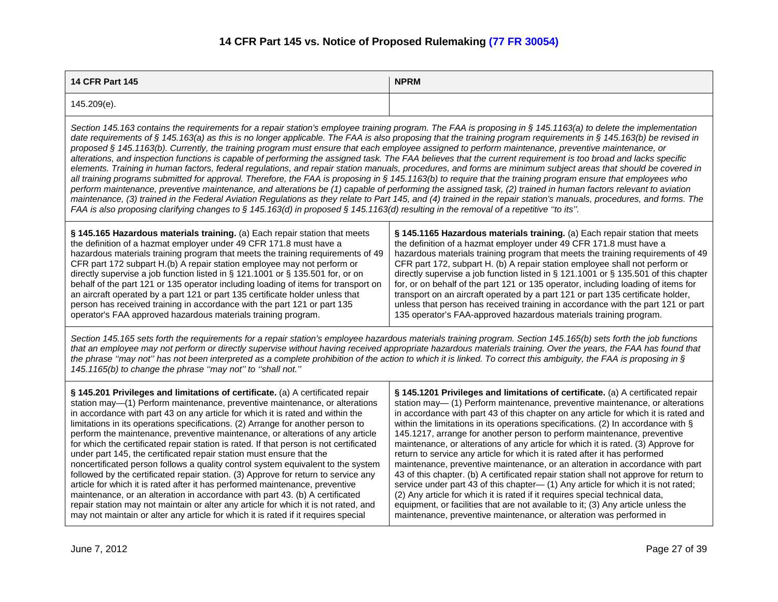| 14 CFR Part 145                                                                                                                                                                                                                                                                                                                                                                                                                                                                                                                                                                                                                                                                                                                                                                                                                                                                                                                                                                                                                                                                                                                                                                                                                                                                                                                                                                                                                                                                     | <b>NPRM</b>                                                                                                                                                                                                                                                                                                                                                                                                                                                                                                                                                                                                                                                                                                                                                                                                                                                                                                                                                                                                                                                                                           |
|-------------------------------------------------------------------------------------------------------------------------------------------------------------------------------------------------------------------------------------------------------------------------------------------------------------------------------------------------------------------------------------------------------------------------------------------------------------------------------------------------------------------------------------------------------------------------------------------------------------------------------------------------------------------------------------------------------------------------------------------------------------------------------------------------------------------------------------------------------------------------------------------------------------------------------------------------------------------------------------------------------------------------------------------------------------------------------------------------------------------------------------------------------------------------------------------------------------------------------------------------------------------------------------------------------------------------------------------------------------------------------------------------------------------------------------------------------------------------------------|-------------------------------------------------------------------------------------------------------------------------------------------------------------------------------------------------------------------------------------------------------------------------------------------------------------------------------------------------------------------------------------------------------------------------------------------------------------------------------------------------------------------------------------------------------------------------------------------------------------------------------------------------------------------------------------------------------------------------------------------------------------------------------------------------------------------------------------------------------------------------------------------------------------------------------------------------------------------------------------------------------------------------------------------------------------------------------------------------------|
| 145.209(e).                                                                                                                                                                                                                                                                                                                                                                                                                                                                                                                                                                                                                                                                                                                                                                                                                                                                                                                                                                                                                                                                                                                                                                                                                                                                                                                                                                                                                                                                         |                                                                                                                                                                                                                                                                                                                                                                                                                                                                                                                                                                                                                                                                                                                                                                                                                                                                                                                                                                                                                                                                                                       |
| Section 145.163 contains the requirements for a repair station's employee training program. The FAA is proposing in § 145.1163(a) to delete the implementation<br>date requirements of § 145.163(a) as this is no longer applicable. The FAA is also proposing that the training program requirements in § 145.163(b) be revised in<br>proposed § 145.1163(b). Currently, the training program must ensure that each employee assigned to perform maintenance, preventive maintenance, or<br>alterations, and inspection functions is capable of performing the assigned task. The FAA believes that the current requirement is too broad and lacks specific<br>elements. Training in human factors, federal regulations, and repair station manuals, procedures, and forms are minimum subject areas that should be covered in<br>all training programs submitted for approval. Therefore, the FAA is proposing in § 145.1163(b) to require that the training program ensure that employees who<br>perform maintenance, preventive maintenance, and alterations be (1) capable of performing the assigned task, (2) trained in human factors relevant to aviation<br>maintenance, (3) trained in the Federal Aviation Regulations as they relate to Part 145, and (4) trained in the repair station's manuals, procedures, and forms. The<br>FAA is also proposing clarifying changes to § 145.163(d) in proposed § 145.1163(d) resulting in the removal of a repetitive "to its". |                                                                                                                                                                                                                                                                                                                                                                                                                                                                                                                                                                                                                                                                                                                                                                                                                                                                                                                                                                                                                                                                                                       |
| § 145.165 Hazardous materials training. (a) Each repair station that meets<br>the definition of a hazmat employer under 49 CFR 171.8 must have a<br>hazardous materials training program that meets the training requirements of 49<br>CFR part 172 subpart H.(b) A repair station employee may not perform or<br>directly supervise a job function listed in § 121.1001 or § 135.501 for, or on<br>behalf of the part 121 or 135 operator including loading of items for transport on<br>an aircraft operated by a part 121 or part 135 certificate holder unless that<br>person has received training in accordance with the part 121 or part 135<br>operator's FAA approved hazardous materials training program.                                                                                                                                                                                                                                                                                                                                                                                                                                                                                                                                                                                                                                                                                                                                                                | § 145.1165 Hazardous materials training. (a) Each repair station that meets<br>the definition of a hazmat employer under 49 CFR 171.8 must have a<br>hazardous materials training program that meets the training requirements of 49<br>CFR part 172, subpart H. (b) A repair station employee shall not perform or<br>directly supervise a job function listed in § 121.1001 or § 135.501 of this chapter<br>for, or on behalf of the part 121 or 135 operator, including loading of items for<br>transport on an aircraft operated by a part 121 or part 135 certificate holder,<br>unless that person has received training in accordance with the part 121 or part<br>135 operator's FAA-approved hazardous materials training program.                                                                                                                                                                                                                                                                                                                                                           |
| Section 145.165 sets forth the requirements for a repair station's employee hazardous materials training program. Section 145.165(b) sets forth the job functions<br>that an employee may not perform or directly supervise without having received appropriate hazardous materials training. Over the years, the FAA has found that<br>the phrase "may not" has not been interpreted as a complete prohibition of the action to which it is linked. To correct this ambiguity, the FAA is proposing in §<br>145.1165(b) to change the phrase "may not" to "shall not."                                                                                                                                                                                                                                                                                                                                                                                                                                                                                                                                                                                                                                                                                                                                                                                                                                                                                                             |                                                                                                                                                                                                                                                                                                                                                                                                                                                                                                                                                                                                                                                                                                                                                                                                                                                                                                                                                                                                                                                                                                       |
| § 145.201 Privileges and limitations of certificate. (a) A certificated repair<br>station may-(1) Perform maintenance, preventive maintenance, or alterations<br>in accordance with part 43 on any article for which it is rated and within the<br>limitations in its operations specifications. (2) Arrange for another person to<br>perform the maintenance, preventive maintenance, or alterations of any article<br>for which the certificated repair station is rated. If that person is not certificated<br>under part 145, the certificated repair station must ensure that the<br>noncertificated person follows a quality control system equivalent to the system<br>followed by the certificated repair station. (3) Approve for return to service any<br>article for which it is rated after it has performed maintenance, preventive<br>maintenance, or an alteration in accordance with part 43. (b) A certificated<br>repair station may not maintain or alter any article for which it is not rated, and<br>may not maintain or alter any article for which it is rated if it requires special                                                                                                                                                                                                                                                                                                                                                                       | § 145.1201 Privileges and limitations of certificate. (a) A certificated repair<br>station may-(1) Perform maintenance, preventive maintenance, or alterations<br>in accordance with part 43 of this chapter on any article for which it is rated and<br>within the limitations in its operations specifications. (2) In accordance with $\S$<br>145.1217, arrange for another person to perform maintenance, preventive<br>maintenance, or alterations of any article for which it is rated. (3) Approve for<br>return to service any article for which it is rated after it has performed<br>maintenance, preventive maintenance, or an alteration in accordance with part<br>43 of this chapter. (b) A certificated repair station shall not approve for return to<br>service under part 43 of this chapter-(1) Any article for which it is not rated;<br>(2) Any article for which it is rated if it requires special technical data,<br>equipment, or facilities that are not available to it; (3) Any article unless the<br>maintenance, preventive maintenance, or alteration was performed in |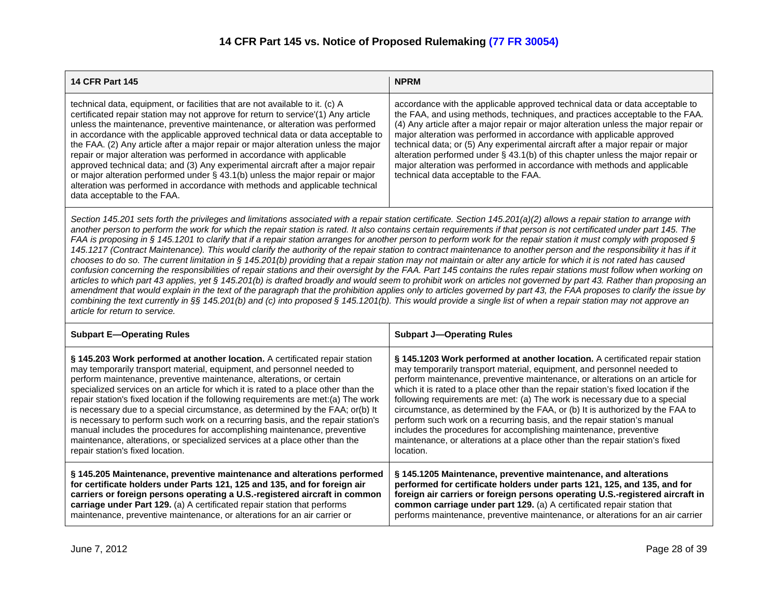| <b>14 CFR Part 145</b>                                                                                                                                                                                                                                                                                                                                                                                                                                                                                                                                                                                                                                                                                                                                                                                                                                                                                                                                                                                                                                                                                                                                                                                                                                                                                                                                                                                                                                                                                                                                                                                | <b>NPRM</b>                                                                                                                                                                                                                                                                                                                                                                                                                                                                                                                                                                                                                                                                                                                               |
|-------------------------------------------------------------------------------------------------------------------------------------------------------------------------------------------------------------------------------------------------------------------------------------------------------------------------------------------------------------------------------------------------------------------------------------------------------------------------------------------------------------------------------------------------------------------------------------------------------------------------------------------------------------------------------------------------------------------------------------------------------------------------------------------------------------------------------------------------------------------------------------------------------------------------------------------------------------------------------------------------------------------------------------------------------------------------------------------------------------------------------------------------------------------------------------------------------------------------------------------------------------------------------------------------------------------------------------------------------------------------------------------------------------------------------------------------------------------------------------------------------------------------------------------------------------------------------------------------------|-------------------------------------------------------------------------------------------------------------------------------------------------------------------------------------------------------------------------------------------------------------------------------------------------------------------------------------------------------------------------------------------------------------------------------------------------------------------------------------------------------------------------------------------------------------------------------------------------------------------------------------------------------------------------------------------------------------------------------------------|
| technical data, equipment, or facilities that are not available to it. (c) A<br>certificated repair station may not approve for return to service'(1) Any article<br>unless the maintenance, preventive maintenance, or alteration was performed<br>in accordance with the applicable approved technical data or data acceptable to<br>the FAA. (2) Any article after a major repair or major alteration unless the major<br>repair or major alteration was performed in accordance with applicable<br>approved technical data; and (3) Any experimental aircraft after a major repair<br>or major alteration performed under § 43.1(b) unless the major repair or major<br>alteration was performed in accordance with methods and applicable technical<br>data acceptable to the FAA.                                                                                                                                                                                                                                                                                                                                                                                                                                                                                                                                                                                                                                                                                                                                                                                                               | accordance with the applicable approved technical data or data acceptable to<br>the FAA, and using methods, techniques, and practices acceptable to the FAA.<br>(4) Any article after a major repair or major alteration unless the major repair or<br>major alteration was performed in accordance with applicable approved<br>technical data; or (5) Any experimental aircraft after a major repair or major<br>alteration performed under $\S$ 43.1(b) of this chapter unless the major repair or<br>major alteration was performed in accordance with methods and applicable<br>technical data acceptable to the FAA.                                                                                                                 |
| Section 145.201 sets forth the privileges and limitations associated with a repair station certificate. Section 145.201(a)(2) allows a repair station to arrange with<br>another person to perform the work for which the repair station is rated. It also contains certain requirements if that person is not certificated under part 145. The<br>FAA is proposing in § 145.1201 to clarify that if a repair station arranges for another person to perform work for the repair station it must comply with proposed §<br>145.1217 (Contract Maintenance). This would clarify the authority of the repair station to contract maintenance to another person and the responsibility it has if it<br>chooses to do so. The current limitation in § 145.201(b) providing that a repair station may not maintain or alter any article for which it is not rated has caused<br>confusion concerning the responsibilities of repair stations and their oversight by the FAA. Part 145 contains the rules repair stations must follow when working on<br>articles to which part 43 applies, yet § 145.201(b) is drafted broadly and would seem to prohibit work on articles not governed by part 43. Rather than proposing an<br>amendment that would explain in the text of the paragraph that the prohibition applies only to articles governed by part 43, the FAA proposes to clarify the issue by<br>combining the text currently in §§ 145.201(b) and (c) into proposed § 145.1201(b). This would provide a single list of when a repair station may not approve an<br>article for return to service. |                                                                                                                                                                                                                                                                                                                                                                                                                                                                                                                                                                                                                                                                                                                                           |
| <b>Subpart E-Operating Rules</b>                                                                                                                                                                                                                                                                                                                                                                                                                                                                                                                                                                                                                                                                                                                                                                                                                                                                                                                                                                                                                                                                                                                                                                                                                                                                                                                                                                                                                                                                                                                                                                      | <b>Subpart J-Operating Rules</b>                                                                                                                                                                                                                                                                                                                                                                                                                                                                                                                                                                                                                                                                                                          |
| § 145.203 Work performed at another location. A certificated repair station<br>may temporarily transport material, equipment, and personnel needed to<br>perform maintenance, preventive maintenance, alterations, or certain<br>specialized services on an article for which it is rated to a place other than the<br>repair station's fixed location if the following requirements are met:(a) The work<br>is necessary due to a special circumstance, as determined by the FAA; or(b) It<br>is necessary to perform such work on a recurring basis, and the repair station's<br>manual includes the procedures for accomplishing maintenance, preventive<br>maintenance, alterations, or specialized services at a place other than the<br>repair station's fixed location.                                                                                                                                                                                                                                                                                                                                                                                                                                                                                                                                                                                                                                                                                                                                                                                                                        | § 145.1203 Work performed at another location. A certificated repair station<br>may temporarily transport material, equipment, and personnel needed to<br>perform maintenance, preventive maintenance, or alterations on an article for<br>which it is rated to a place other than the repair station's fixed location if the<br>following requirements are met: (a) The work is necessary due to a special<br>circumstance, as determined by the FAA, or (b) It is authorized by the FAA to<br>perform such work on a recurring basis, and the repair station's manual<br>includes the procedures for accomplishing maintenance, preventive<br>maintenance, or alterations at a place other than the repair station's fixed<br>location. |
| § 145.205 Maintenance, preventive maintenance and alterations performed<br>for certificate holders under Parts 121, 125 and 135, and for foreign air<br>carriers or foreign persons operating a U.S.-registered aircraft in common<br>carriage under Part 129. (a) A certificated repair station that performs<br>maintenance, preventive maintenance, or alterations for an air carrier or                                                                                                                                                                                                                                                                                                                                                                                                                                                                                                                                                                                                                                                                                                                                                                                                                                                                                                                                                                                                                                                                                                                                                                                                           | § 145.1205 Maintenance, preventive maintenance, and alterations<br>performed for certificate holders under parts 121, 125, and 135, and for<br>foreign air carriers or foreign persons operating U.S.-registered aircraft in<br>common carriage under part 129. (a) A certificated repair station that<br>performs maintenance, preventive maintenance, or alterations for an air carrier                                                                                                                                                                                                                                                                                                                                                 |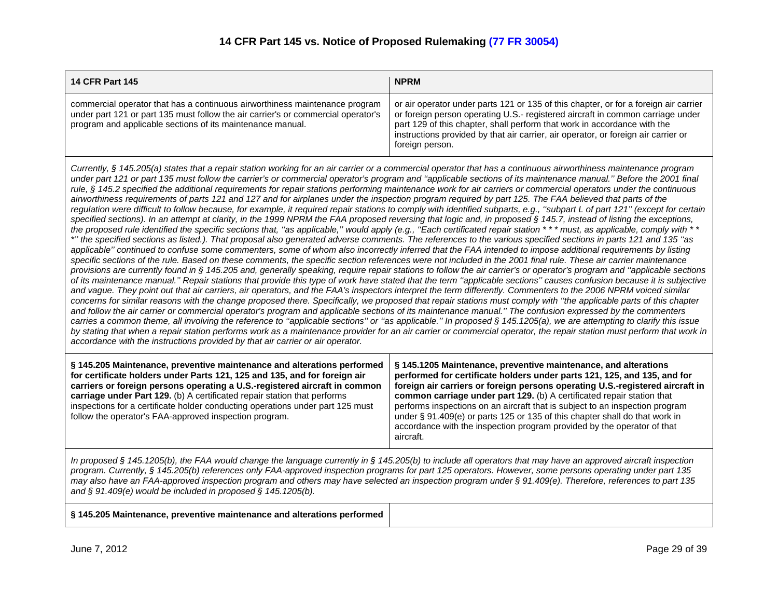| 14 CFR Part 145                                                                                                                                                                                                                | <b>NPRM</b>                                                                                                                                                                                                                                                                                                                                                 |
|--------------------------------------------------------------------------------------------------------------------------------------------------------------------------------------------------------------------------------|-------------------------------------------------------------------------------------------------------------------------------------------------------------------------------------------------------------------------------------------------------------------------------------------------------------------------------------------------------------|
| commercial operator that has a continuous airworthiness maintenance program<br>under part 121 or part 135 must follow the air carrier's or commercial operator's<br>program and applicable sections of its maintenance manual. | or air operator under parts 121 or 135 of this chapter, or for a foreign air carrier<br>or foreign person operating U.S.- registered aircraft in common carriage under<br>part 129 of this chapter, shall perform that work in accordance with the<br>instructions provided by that air carrier, air operator, or foreign air carrier or<br>foreign person. |

*Currently, § 145.205(a) states that a repair station working for an air carrier or a commercial operator that has a continuous airworthiness maintenance program under part 121 or part 135 must follow the carrier's or commercial operator's program and ''applicable sections of its maintenance manual.'' Before the 2001 final rule, § 145.2 specified the additional requirements for repair stations performing maintenance work for air carriers or commercial operators under the continuous airworthiness requirements of parts 121 and 127 and for airplanes under the inspection program required by part 125. The FAA believed that parts of the regulation were difficult to follow because, for example, it required repair stations to comply with identified subparts, e.g., ''subpart L of part 121'' (except for certain*  specified sections). In an attempt at clarity, in the 1999 NPRM the FAA proposed reversing that logic and, in proposed § 145.7, instead of listing the exceptions, *the proposed rule identified the specific sections that, ''as applicable,'' would apply (e.g., ''Each certificated repair station \* \* \* must, as applicable, comply with \* \* \*'' the specified sections as listed.). That proposal also generated adverse comments. The references to the various specified sections in parts 121 and 135 ''as applicable'' continued to confuse some commenters, some of whom also incorrectly inferred that the FAA intended to impose additional requirements by listing specific sections of the rule. Based on these comments, the specific section references were not included in the 2001 final rule. These air carrier maintenance provisions are currently found in § 145.205 and, generally speaking, require repair stations to follow the air carrier's or operator's program and ''applicable sections of its maintenance manual.'' Repair stations that provide this type of work have stated that the term ''applicable sections'' causes confusion because it is subjective*  and vague. They point out that air carriers, air operators, and the FAA's inspectors interpret the term differently. Commenters to the 2006 NPRM voiced similar *concerns for similar reasons with the change proposed there. Specifically, we proposed that repair stations must comply with ''the applicable parts of this chapter and follow the air carrier or commercial operator's program and applicable sections of its maintenance manual.'' The confusion expressed by the commenters carries a common theme, all involving the reference to ''applicable sections'' or ''as applicable.'' In proposed § 145.1205(a), we are attempting to clarify this issue by stating that when a repair station performs work as a maintenance provider for an air carrier or commercial operator, the repair station must perform that work in accordance with the instructions provided by that air carrier or air operator.*

*In proposed § 145.1205(b), the FAA would change the language currently in § 145.205(b) to include all operators that may have an approved aircraft inspection program. Currently, § 145.205(b) references only FAA-approved inspection programs for part 125 operators. However, some persons operating under part 135 may also have an FAA-approved inspection program and others may have selected an inspection program under § 91.409(e). Therefore, references to part 135 and § 91.409(e) would be included in proposed § 145.1205(b).*

**§ 145.205 Maintenance, preventive maintenance and alterations performed**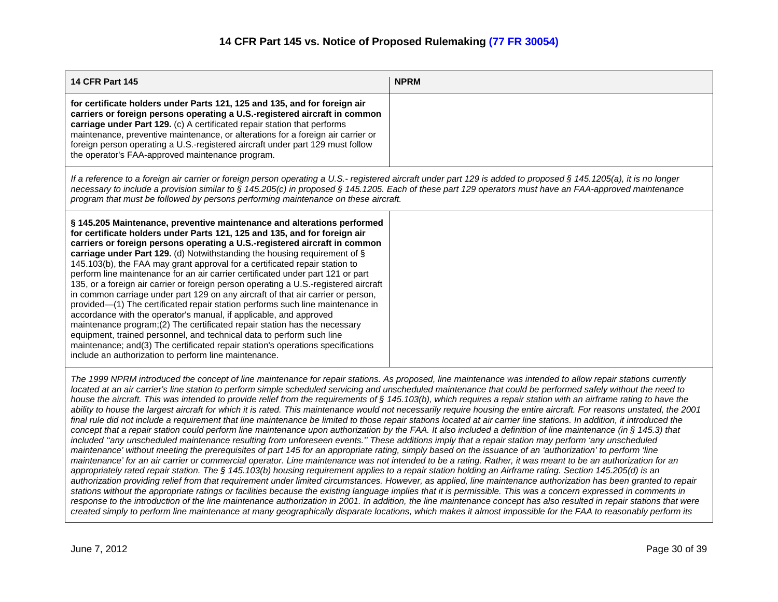| <b>14 CFR Part 145</b>                                                                                                                                                                                                                                                                                                                                                                                                                                        | <b>NPRM</b> |
|---------------------------------------------------------------------------------------------------------------------------------------------------------------------------------------------------------------------------------------------------------------------------------------------------------------------------------------------------------------------------------------------------------------------------------------------------------------|-------------|
| for certificate holders under Parts 121, 125 and 135, and for foreign air<br>carriers or foreign persons operating a U.S.-registered aircraft in common<br>carriage under Part 129. (c) A certificated repair station that performs<br>maintenance, preventive maintenance, or alterations for a foreign air carrier or<br>foreign person operating a U.S.-registered aircraft under part 129 must follow<br>the operator's FAA-approved maintenance program. |             |
| If a reference to a foreign air carrier or foreign person operating a U.S.- registered aircraft under part 129 is added to proposed § 145.1205(a), it is no longer                                                                                                                                                                                                                                                                                            |             |

*necessary to include a provision similar to § 145.205(c) in proposed § 145.1205. Each of these part 129 operators must have an FAA-approved maintenance program that must be followed by persons performing maintenance on these aircraft.*

**§ 145.205 Maintenance, preventive maintenance and alterations performed for certificate holders under Parts 121, 125 and 135, and for foreign air carriers or foreign persons operating a U.S.-registered aircraft in common carriage under Part 129.** (d) Notwithstanding the housing requirement of § 145.103(b), the FAA may grant approval for a certificated repair station to perform line maintenance for an air carrier certificated under part 121 or part 135, or a foreign air carrier or foreign person operating a U.S.-registered aircraft in common carriage under part 129 on any aircraft of that air carrier or person, provided—(1) The certificated repair station performs such line maintenance in accordance with the operator's manual, if applicable, and approved maintenance program;(2) The certificated repair station has the necessary equipment, trained personnel, and technical data to perform such line maintenance; and(3) The certificated repair station's operations specifications include an authorization to perform line maintenance.

*The 1999 NPRM introduced the concept of line maintenance for repair stations. As proposed, line maintenance was intended to allow repair stations currently located at an air carrier's line station to perform simple scheduled servicing and unscheduled maintenance that could be performed safely without the need to house the aircraft. This was intended to provide relief from the requirements of § 145.103(b), which requires a repair station with an airframe rating to have the*  ability to house the largest aircraft for which it is rated. This maintenance would not necessarily require housing the entire aircraft. For reasons unstated, the 2001 *final rule did not include a requirement that line maintenance be limited to those repair stations located at air carrier line stations. In addition, it introduced the concept that a repair station could perform line maintenance upon authorization by the FAA. It also included a definition of line maintenance (in § 145.3) that included ''any unscheduled maintenance resulting from unforeseen events.'' These additions imply that a repair station may perform 'any unscheduled maintenance' without meeting the prerequisites of part 145 for an appropriate rating, simply based on the issuance of an 'authorization' to perform 'line maintenance' for an air carrier or commercial operator. Line maintenance was not intended to be a rating. Rather, it was meant to be an authorization for an appropriately rated repair station. The § 145.103(b) housing requirement applies to a repair station holding an Airframe rating. Section 145.205(d) is an authorization providing relief from that requirement under limited circumstances. However, as applied, line maintenance authorization has been granted to repair stations without the appropriate ratings or facilities because the existing language implies that it is permissible. This was a concern expressed in comments in*  response to the introduction of the line maintenance authorization in 2001. In addition, the line maintenance concept has also resulted in repair stations that were *created simply to perform line maintenance at many geographically disparate locations, which makes it almost impossible for the FAA to reasonably perform its*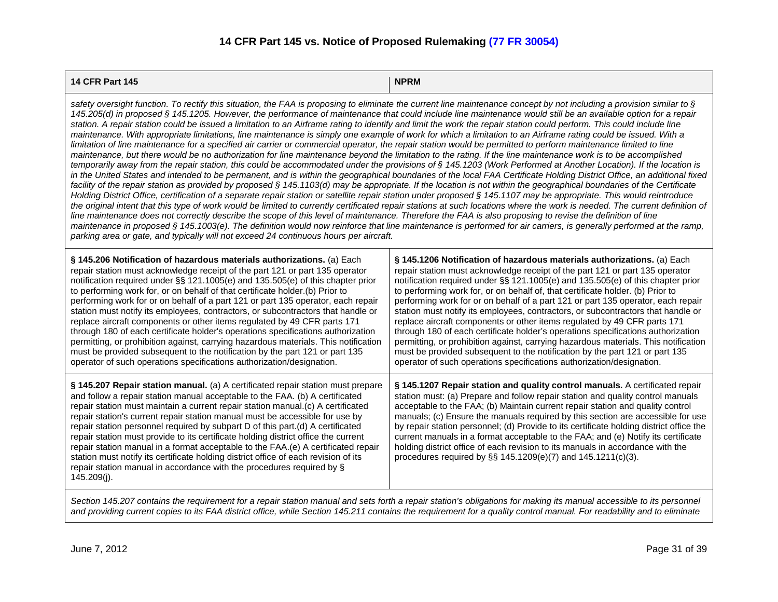| <b>14 CFR Part 145</b>                                                                                                                                                                                                                                                                                                                                                                                                                                                                                                                                                                                                                                                                                                                                                                                                                                                                                                                                                                                                                                                                                                                                                                                                                                                                                                                                                                                                                                                                                                                                                                                                                                                                                                                                                                                                                                                                                                                                                                                                                                                                                                                                                                                                                                                                                                            | <b>NPRM</b>                                                                                                                                                                                                                                                                                                                                                                                                                                                                                                                                                                                                                                                                                                                                                                                                                                                                                                         |
|-----------------------------------------------------------------------------------------------------------------------------------------------------------------------------------------------------------------------------------------------------------------------------------------------------------------------------------------------------------------------------------------------------------------------------------------------------------------------------------------------------------------------------------------------------------------------------------------------------------------------------------------------------------------------------------------------------------------------------------------------------------------------------------------------------------------------------------------------------------------------------------------------------------------------------------------------------------------------------------------------------------------------------------------------------------------------------------------------------------------------------------------------------------------------------------------------------------------------------------------------------------------------------------------------------------------------------------------------------------------------------------------------------------------------------------------------------------------------------------------------------------------------------------------------------------------------------------------------------------------------------------------------------------------------------------------------------------------------------------------------------------------------------------------------------------------------------------------------------------------------------------------------------------------------------------------------------------------------------------------------------------------------------------------------------------------------------------------------------------------------------------------------------------------------------------------------------------------------------------------------------------------------------------------------------------------------------------|---------------------------------------------------------------------------------------------------------------------------------------------------------------------------------------------------------------------------------------------------------------------------------------------------------------------------------------------------------------------------------------------------------------------------------------------------------------------------------------------------------------------------------------------------------------------------------------------------------------------------------------------------------------------------------------------------------------------------------------------------------------------------------------------------------------------------------------------------------------------------------------------------------------------|
| safety oversight function. To rectify this situation, the FAA is proposing to eliminate the current line maintenance concept by not including a provision similar to §<br>145.205(d) in proposed § 145.1205. However, the performance of maintenance that could include line maintenance would still be an available option for a repair<br>station. A repair station could be issued a limitation to an Airframe rating to identify and limit the work the repair station could perform. This could include line<br>maintenance. With appropriate limitations, line maintenance is simply one example of work for which a limitation to an Airframe rating could be issued. With a<br>limitation of line maintenance for a specified air carrier or commercial operator, the repair station would be permitted to perform maintenance limited to line<br>maintenance, but there would be no authorization for line maintenance beyond the limitation to the rating. If the line maintenance work is to be accomplished<br>temporarily away from the repair station, this could be accommodated under the provisions of § 145.1203 (Work Performed at Another Location). If the location is<br>in the United States and intended to be permanent, and is within the geographical boundaries of the local FAA Certificate Holding District Office, an additional fixed<br>facility of the repair station as provided by proposed § 145.1103(d) may be appropriate. If the location is not within the geographical boundaries of the Certificate<br>Holding District Office, certification of a separate repair station or satellite repair station under proposed § 145.1107 may be appropriate. This would reintroduce<br>the original intent that this type of work would be limited to currently certificated repair stations at such locations where the work is needed. The current definition of<br>line maintenance does not correctly describe the scope of this level of maintenance. Therefore the FAA is also proposing to revise the definition of line<br>maintenance in proposed § 145.1003(e). The definition would now reinforce that line maintenance is performed for air carriers, is generally performed at the ramp,<br>parking area or gate, and typically will not exceed 24 continuous hours per aircraft. |                                                                                                                                                                                                                                                                                                                                                                                                                                                                                                                                                                                                                                                                                                                                                                                                                                                                                                                     |
| § 145.206 Notification of hazardous materials authorizations. (a) Each<br>repair station must acknowledge receipt of the part 121 or part 135 operator<br>notification required under §§ 121.1005(e) and 135.505(e) of this chapter prior<br>to performing work for, or on behalf of that certificate holder. (b) Prior to<br>performing work for or on behalf of a part 121 or part 135 operator, each repair<br>station must notify its employees, contractors, or subcontractors that handle or<br>replace aircraft components or other items regulated by 49 CFR parts 171<br>through 180 of each certificate holder's operations specifications authorization<br>permitting, or prohibition against, carrying hazardous materials. This notification<br>must be provided subsequent to the notification by the part 121 or part 135<br>operator of such operations specifications authorization/designation.                                                                                                                                                                                                                                                                                                                                                                                                                                                                                                                                                                                                                                                                                                                                                                                                                                                                                                                                                                                                                                                                                                                                                                                                                                                                                                                                                                                                                 | § 145.1206 Notification of hazardous materials authorizations. (a) Each<br>repair station must acknowledge receipt of the part 121 or part 135 operator<br>notification required under §§ 121.1005(e) and 135.505(e) of this chapter prior<br>to performing work for, or on behalf of, that certificate holder. (b) Prior to<br>performing work for or on behalf of a part 121 or part 135 operator, each repair<br>station must notify its employees, contractors, or subcontractors that handle or<br>replace aircraft components or other items regulated by 49 CFR parts 171<br>through 180 of each certificate holder's operations specifications authorization<br>permitting, or prohibition against, carrying hazardous materials. This notification<br>must be provided subsequent to the notification by the part 121 or part 135<br>operator of such operations specifications authorization/designation. |
| § 145.207 Repair station manual. (a) A certificated repair station must prepare<br>and follow a repair station manual acceptable to the FAA. (b) A certificated<br>repair station must maintain a current repair station manual. (c) A certificated<br>repair station's current repair station manual must be accessible for use by<br>repair station personnel required by subpart D of this part. (d) A certificated<br>repair station must provide to its certificate holding district office the current<br>repair station manual in a format acceptable to the FAA.(e) A certificated repair<br>station must notify its certificate holding district office of each revision of its<br>repair station manual in accordance with the procedures required by §<br>$145.209(j)$ .                                                                                                                                                                                                                                                                                                                                                                                                                                                                                                                                                                                                                                                                                                                                                                                                                                                                                                                                                                                                                                                                                                                                                                                                                                                                                                                                                                                                                                                                                                                                               | § 145.1207 Repair station and quality control manuals. A certificated repair<br>station must: (a) Prepare and follow repair station and quality control manuals<br>acceptable to the FAA; (b) Maintain current repair station and quality control<br>manuals; (c) Ensure the manuals required by this section are accessible for use<br>by repair station personnel; (d) Provide to its certificate holding district office the<br>current manuals in a format acceptable to the FAA; and (e) Notify its certificate<br>holding district office of each revision to its manuals in accordance with the<br>procedures required by $\S$ 145.1209(e)(7) and 145.1211(c)(3).                                                                                                                                                                                                                                            |

*Section 145.207 contains the requirement for a repair station manual and sets forth a repair station's obligations for making its manual accessible to its personnel*  and providing current copies to its FAA district office, while Section 145.211 contains the requirement for a quality control manual. For readability and to eliminate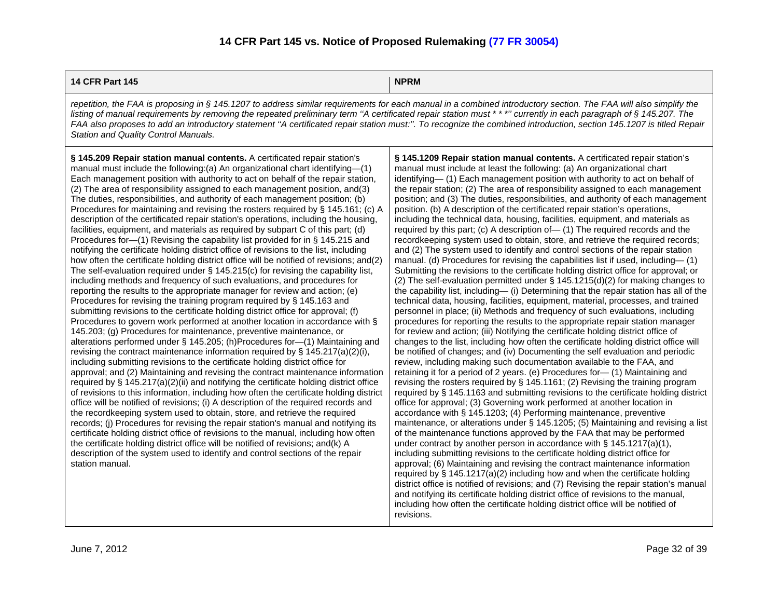| <b>14 CFR Part 145</b>                                                                                                                                                                                                                                                                                                                                                                                                                                                                                                                                                                                                                                                                                                                                                                                                                                                                                                                                                                                                                                                                                                                                                                                                                                                                                                                                                                                                                                                                                                                                                                                                                                                                                                                                                                                                                                                                                                                                                                                                                                                                                                                                                                                                                                                                                                                                                                                                                                                                                                                                                                           | <b>NPRM</b>                                                                                                                                                                                                                                                                                                                                                                                                                                                                                                                                                                                                                                                                                                                                                                                                                                                                                                                                                                                                                                                                                                                                                                                                                                                                                                                                                                                                                                                                                                                                                                                                                                                                                                                                                                                                                                                                                                                                                                                                                                                                                                                                                                                                                                                                                                                                                                                                                                                                                                                                                                                                                                                                                                                                                                                                                                                                                                                                                                           |
|--------------------------------------------------------------------------------------------------------------------------------------------------------------------------------------------------------------------------------------------------------------------------------------------------------------------------------------------------------------------------------------------------------------------------------------------------------------------------------------------------------------------------------------------------------------------------------------------------------------------------------------------------------------------------------------------------------------------------------------------------------------------------------------------------------------------------------------------------------------------------------------------------------------------------------------------------------------------------------------------------------------------------------------------------------------------------------------------------------------------------------------------------------------------------------------------------------------------------------------------------------------------------------------------------------------------------------------------------------------------------------------------------------------------------------------------------------------------------------------------------------------------------------------------------------------------------------------------------------------------------------------------------------------------------------------------------------------------------------------------------------------------------------------------------------------------------------------------------------------------------------------------------------------------------------------------------------------------------------------------------------------------------------------------------------------------------------------------------------------------------------------------------------------------------------------------------------------------------------------------------------------------------------------------------------------------------------------------------------------------------------------------------------------------------------------------------------------------------------------------------------------------------------------------------------------------------------------------------|---------------------------------------------------------------------------------------------------------------------------------------------------------------------------------------------------------------------------------------------------------------------------------------------------------------------------------------------------------------------------------------------------------------------------------------------------------------------------------------------------------------------------------------------------------------------------------------------------------------------------------------------------------------------------------------------------------------------------------------------------------------------------------------------------------------------------------------------------------------------------------------------------------------------------------------------------------------------------------------------------------------------------------------------------------------------------------------------------------------------------------------------------------------------------------------------------------------------------------------------------------------------------------------------------------------------------------------------------------------------------------------------------------------------------------------------------------------------------------------------------------------------------------------------------------------------------------------------------------------------------------------------------------------------------------------------------------------------------------------------------------------------------------------------------------------------------------------------------------------------------------------------------------------------------------------------------------------------------------------------------------------------------------------------------------------------------------------------------------------------------------------------------------------------------------------------------------------------------------------------------------------------------------------------------------------------------------------------------------------------------------------------------------------------------------------------------------------------------------------------------------------------------------------------------------------------------------------------------------------------------------------------------------------------------------------------------------------------------------------------------------------------------------------------------------------------------------------------------------------------------------------------------------------------------------------------------------------------------------------|
| repetition, the FAA is proposing in § 145.1207 to address similar requirements for each manual in a combined introductory section. The FAA will also simplify the<br>listing of manual requirements by removing the repeated preliminary term "A certificated repair station must ***" currently in each paragraph of § 145.207. The<br>FAA also proposes to add an introductory statement "A certificated repair station must:". To recognize the combined introduction, section 145.1207 is titled Repair<br>Station and Quality Control Manuals.                                                                                                                                                                                                                                                                                                                                                                                                                                                                                                                                                                                                                                                                                                                                                                                                                                                                                                                                                                                                                                                                                                                                                                                                                                                                                                                                                                                                                                                                                                                                                                                                                                                                                                                                                                                                                                                                                                                                                                                                                                              |                                                                                                                                                                                                                                                                                                                                                                                                                                                                                                                                                                                                                                                                                                                                                                                                                                                                                                                                                                                                                                                                                                                                                                                                                                                                                                                                                                                                                                                                                                                                                                                                                                                                                                                                                                                                                                                                                                                                                                                                                                                                                                                                                                                                                                                                                                                                                                                                                                                                                                                                                                                                                                                                                                                                                                                                                                                                                                                                                                                       |
| § 145.209 Repair station manual contents. A certificated repair station's<br>manual must include the following:(a) An organizational chart identifying-(1)<br>Each management position with authority to act on behalf of the repair station,<br>(2) The area of responsibility assigned to each management position, and(3)<br>The duties, responsibilities, and authority of each management position; (b)<br>Procedures for maintaining and revising the rosters required by $\S$ 145.161; (c) A<br>description of the certificated repair station's operations, including the housing,<br>facilities, equipment, and materials as required by subpart C of this part; (d)<br>Procedures for-(1) Revising the capability list provided for in § 145.215 and<br>notifying the certificate holding district office of revisions to the list, including<br>how often the certificate holding district office will be notified of revisions; and(2)<br>The self-evaluation required under $\S$ 145.215(c) for revising the capability list,<br>including methods and frequency of such evaluations, and procedures for<br>reporting the results to the appropriate manager for review and action; (e)<br>Procedures for revising the training program required by § 145.163 and<br>submitting revisions to the certificate holding district office for approval; (f)<br>Procedures to govern work performed at another location in accordance with §<br>145.203; (g) Procedures for maintenance, preventive maintenance, or<br>alterations performed under § 145.205; (h)Procedures for-(1) Maintaining and<br>revising the contract maintenance information required by $\S$ 145.217(a)(2)(i),<br>including submitting revisions to the certificate holding district office for<br>approval; and (2) Maintaining and revising the contract maintenance information<br>required by $\S$ 145.217(a)(2)(ii) and notifying the certificate holding district office<br>of revisions to this information, including how often the certificate holding district<br>office will be notified of revisions; (i) A description of the required records and<br>the recordkeeping system used to obtain, store, and retrieve the required<br>records; (j) Procedures for revising the repair station's manual and notifying its<br>certificate holding district office of revisions to the manual, including how often<br>the certificate holding district office will be notified of revisions; and(k) A<br>description of the system used to identify and control sections of the repair<br>station manual. | § 145.1209 Repair station manual contents. A certificated repair station's<br>manual must include at least the following: (a) An organizational chart<br>identifying-(1) Each management position with authority to act on behalf of<br>the repair station; (2) The area of responsibility assigned to each management<br>position; and (3) The duties, responsibilities, and authority of each management<br>position. (b) A description of the certificated repair station's operations,<br>including the technical data, housing, facilities, equipment, and materials as<br>required by this part; (c) A description of - (1) The required records and the<br>recordkeeping system used to obtain, store, and retrieve the required records;<br>and (2) The system used to identify and control sections of the repair station<br>manual. (d) Procedures for revising the capabilities list if used, including- (1)<br>Submitting the revisions to the certificate holding district office for approval; or<br>(2) The self-evaluation permitted under § 145.1215(d)(2) for making changes to<br>the capability list, including— (i) Determining that the repair station has all of the<br>technical data, housing, facilities, equipment, material, processes, and trained<br>personnel in place; (ii) Methods and frequency of such evaluations, including<br>procedures for reporting the results to the appropriate repair station manager<br>for review and action; (iii) Notifying the certificate holding district office of<br>changes to the list, including how often the certificate holding district office will<br>be notified of changes; and (iv) Documenting the self evaluation and periodic<br>review, including making such documentation available to the FAA, and<br>retaining it for a period of 2 years. (e) Procedures for-(1) Maintaining and<br>revising the rosters required by $\S$ 145.1161; (2) Revising the training program<br>required by § 145.1163 and submitting revisions to the certificate holding district<br>office for approval; (3) Governing work performed at another location in<br>accordance with § 145.1203; (4) Performing maintenance, preventive<br>maintenance, or alterations under § 145.1205; (5) Maintaining and revising a list<br>of the maintenance functions approved by the FAA that may be performed<br>under contract by another person in accordance with $\S$ 145.1217(a)(1),<br>including submitting revisions to the certificate holding district office for<br>approval; (6) Maintaining and revising the contract maintenance information<br>required by $\S$ 145.1217(a)(2) including how and when the certificate holding<br>district office is notified of revisions; and (7) Revising the repair station's manual<br>and notifying its certificate holding district office of revisions to the manual,<br>including how often the certificate holding district office will be notified of<br>revisions. |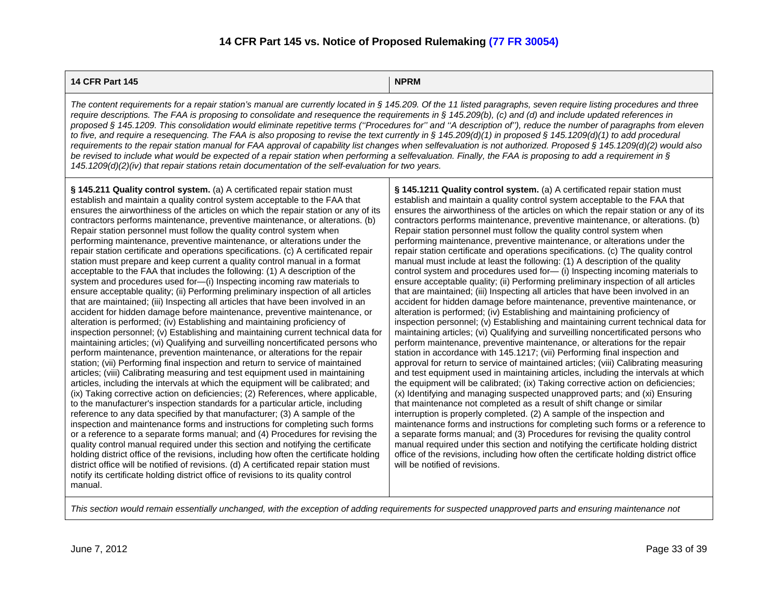| <b>14 CFR Part 145</b> | <b>NPRM</b> |
|------------------------|-------------|
|                        |             |
|                        |             |

*The content requirements for a repair station's manual are currently located in § 145.209. Of the 11 listed paragraphs, seven require listing procedures and three require descriptions. The FAA is proposing to consolidate and resequence the requirements in § 145.209(b), (c) and (d) and include updated references in proposed § 145.1209. This consolidation would eliminate repetitive terms (''Procedures for'' and ''A description of''), reduce the number of paragraphs from eleven to five, and require a resequencing. The FAA is also proposing to revise the text currently in § 145.209(d)(1) in proposed § 145.1209(d)(1) to add procedural requirements to the repair station manual for FAA approval of capability list changes when selfevaluation is not authorized. Proposed § 145.1209(d)(2) would also be revised to include what would be expected of a repair station when performing a selfevaluation. Finally, the FAA is proposing to add a requirement in § 145.1209(d)(2)(iv) that repair stations retain documentation of the self-evaluation for two years.*

§ 145.211 Quality control system. (a) A certificated repair station must establish and maintain a quality control system acceptable to the FAA that ensures the airworthiness of the articles on which the repair station or any of its contractors performs maintenance, preventive maintenance, or alterations. (b) Repair station personnel must follow the quality control system when performing maintenance, preventive maintenance, or alterations under the repair station certificate and operations specifications. (c) A certificated repair station must prepare and keep current a quality control manual in a format acceptable to the FAA that includes the following: (1) A description of the system and procedures used for—(i) Inspecting incoming raw materials to ensure acceptable quality; (ii) Performing preliminary inspection of all articles that are maintained; (iii) Inspecting all articles that have been involved in an accident for hidden damage before maintenance, preventive maintenance, or alteration is performed; (iv) Establishing and maintaining proficiency of inspection personnel; (v) Establishing and maintaining current technical data for maintaining articles; (vi) Qualifying and surveilling noncertificated persons who perform maintenance, prevention maintenance, or alterations for the repair station; (vii) Performing final inspection and return to service of maintained articles; (viii) Calibrating measuring and test equipment used in maintaining articles, including the intervals at which the equipment will be calibrated; and (ix) Taking corrective action on deficiencies; (2) References, where applicable, to the manufacturer's inspection standards for a particular article, including reference to any data specified by that manufacturer; (3) A sample of the inspection and maintenance forms and instructions for completing such forms or a reference to a separate forms manual; and (4) Procedures for revising the quality control manual required under this section and notifying the certificate holding district office of the revisions, including how often the certificate holding district office will be notified of revisions. (d) A certificated repair station must notify its certificate holding district office of revisions to its quality control manual.

§ 145.1211 Quality control system. (a) A certificated repair station must establish and maintain a quality control system acceptable to the FAA that ensures the airworthiness of the articles on which the repair station or any of its contractors performs maintenance, preventive maintenance, or alterations. (b) Repair station personnel must follow the quality control system when performing maintenance, preventive maintenance, or alterations under the repair station certificate and operations specifications. (c) The quality control manual must include at least the following: (1) A description of the quality control system and procedures used for— (i) Inspecting incoming materials to ensure acceptable quality; (ii) Performing preliminary inspection of all articles that are maintained; (iii) Inspecting all articles that have been involved in an accident for hidden damage before maintenance, preventive maintenance, or alteration is performed; (iv) Establishing and maintaining proficiency of inspection personnel; (v) Establishing and maintaining current technical data for maintaining articles; (vi) Qualifying and surveilling noncertificated persons who perform maintenance, preventive maintenance, or alterations for the repair station in accordance with 145.1217; (vii) Performing final inspection and approval for return to service of maintained articles; (viii) Calibrating measuring and test equipment used in maintaining articles, including the intervals at which the equipment will be calibrated; (ix) Taking corrective action on deficiencies; (x) Identifying and managing suspected unapproved parts; and (xi) Ensuring that maintenance not completed as a result of shift change or similar interruption is properly completed. (2) A sample of the inspection and maintenance forms and instructions for completing such forms or a reference to a separate forms manual; and (3) Procedures for revising the quality control manual required under this section and notifying the certificate holding district office of the revisions, including how often the certificate holding district office will be notified of revisions.

*This section would remain essentially unchanged, with the exception of adding requirements for suspected unapproved parts and ensuring maintenance not*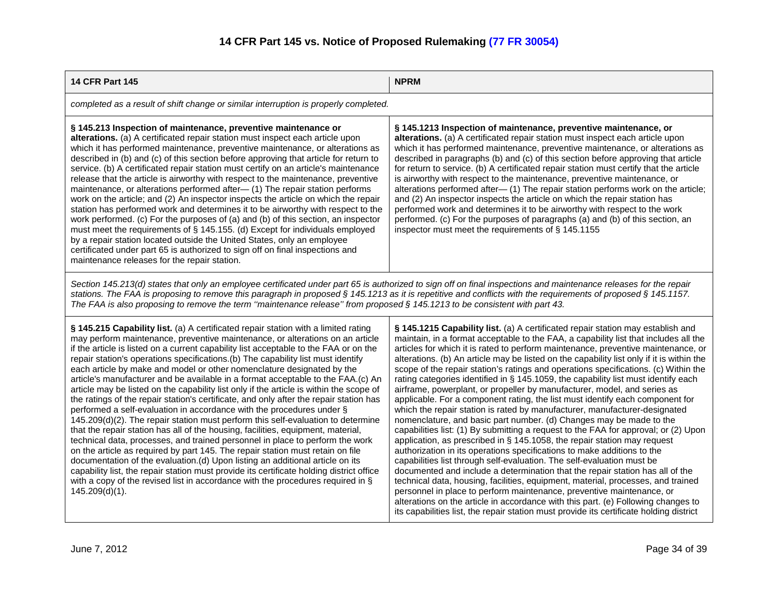| <b>14 CFR Part 145</b>                                                                                                                                                                                                                                                                                                                                                                                                                                                                                                                                                                                                                                                                                                                                                                                                                                                                                                                                                                                                                                                                                                                         | <b>NPRM</b>                                                                                                                                                                                                                                                                                                                                                                                                                                                                                                                                                                                                                                                                                                                                                                                                                                                                           |
|------------------------------------------------------------------------------------------------------------------------------------------------------------------------------------------------------------------------------------------------------------------------------------------------------------------------------------------------------------------------------------------------------------------------------------------------------------------------------------------------------------------------------------------------------------------------------------------------------------------------------------------------------------------------------------------------------------------------------------------------------------------------------------------------------------------------------------------------------------------------------------------------------------------------------------------------------------------------------------------------------------------------------------------------------------------------------------------------------------------------------------------------|---------------------------------------------------------------------------------------------------------------------------------------------------------------------------------------------------------------------------------------------------------------------------------------------------------------------------------------------------------------------------------------------------------------------------------------------------------------------------------------------------------------------------------------------------------------------------------------------------------------------------------------------------------------------------------------------------------------------------------------------------------------------------------------------------------------------------------------------------------------------------------------|
| completed as a result of shift change or similar interruption is properly completed.                                                                                                                                                                                                                                                                                                                                                                                                                                                                                                                                                                                                                                                                                                                                                                                                                                                                                                                                                                                                                                                           |                                                                                                                                                                                                                                                                                                                                                                                                                                                                                                                                                                                                                                                                                                                                                                                                                                                                                       |
| § 145.213 Inspection of maintenance, preventive maintenance or<br>alterations. (a) A certificated repair station must inspect each article upon<br>which it has performed maintenance, preventive maintenance, or alterations as<br>described in (b) and (c) of this section before approving that article for return to<br>service. (b) A certificated repair station must certify on an article's maintenance<br>release that the article is airworthy with respect to the maintenance, preventive<br>maintenance, or alterations performed after-(1) The repair station performs<br>work on the article; and (2) An inspector inspects the article on which the repair<br>station has performed work and determines it to be airworthy with respect to the<br>work performed. (c) For the purposes of (a) and (b) of this section, an inspector<br>must meet the requirements of § 145.155. (d) Except for individuals employed<br>by a repair station located outside the United States, only an employee<br>certificated under part 65 is authorized to sign off on final inspections and<br>maintenance releases for the repair station. | § 145.1213 Inspection of maintenance, preventive maintenance, or<br>alterations. (a) A certificated repair station must inspect each article upon<br>which it has performed maintenance, preventive maintenance, or alterations as<br>described in paragraphs (b) and (c) of this section before approving that article<br>for return to service. (b) A certificated repair station must certify that the article<br>is airworthy with respect to the maintenance, preventive maintenance, or<br>alterations performed after-(1) The repair station performs work on the article;<br>and (2) An inspector inspects the article on which the repair station has<br>performed work and determines it to be airworthy with respect to the work<br>performed. (c) For the purposes of paragraphs (a) and (b) of this section, an<br>inspector must meet the requirements of $\S$ 145.1155 |
| Section 145.213(d) states that only an employee certificated under part 65 is authorized to sign off on final inspections and maintenance releases for the repair                                                                                                                                                                                                                                                                                                                                                                                                                                                                                                                                                                                                                                                                                                                                                                                                                                                                                                                                                                              | . The FAA is added to a few compared the account in a contract CAAF ACAC on it is added to a contract the interesting of a contract of a contract of CAAF AAFT                                                                                                                                                                                                                                                                                                                                                                                                                                                                                                                                                                                                                                                                                                                        |

*stations. The FAA is proposing to remove this paragraph in proposed § 145.1213 as it is repetitive and conflicts with the requirements of proposed § 145.1157. The FAA is also proposing to remove the term ''maintenance release'' from proposed § 145.1213 to be consistent with part 43.*

**§ 145.215 Capability list.** (a) A certificated repair station with a limited rating may perform maintenance, preventive maintenance, or alterations on an article if the article is listed on a current capability list acceptable to the FAA or on the repair station's operations specifications.(b) The capability list must identify each article by make and model or other nomenclature designated by the article's manufacturer and be available in a format acceptable to the FAA.(c) An article may be listed on the capability list only if the article is within the scope of the ratings of the repair station's certificate, and only after the repair station has performed a self-evaluation in accordance with the procedures under § 145.209(d)(2). The repair station must perform this self-evaluation to determine that the repair station has all of the housing, facilities, equipment, material, technical data, processes, and trained personnel in place to perform the work on the article as required by part 145. The repair station must retain on file documentation of the evaluation.(d) Upon listing an additional article on its capability list, the repair station must provide its certificate holding district office with a copy of the revised list in accordance with the procedures required in § 145.209(d)(1).

**§ 145.1215 Capability list.** (a) A certificated repair station may establish and maintain, in a format acceptable to the FAA, a capability list that includes all the articles for which it is rated to perform maintenance, preventive maintenance, or alterations. (b) An article may be listed on the capability list only if it is within the scope of the repair station's ratings and operations specifications. (c) Within the rating categories identified in § 145.1059, the capability list must identify each airframe, powerplant, or propeller by manufacturer, model, and series as applicable. For a component rating, the list must identify each component for which the repair station is rated by manufacturer, manufacturer-designated nomenclature, and basic part number. (d) Changes may be made to the capabilities list: (1) By submitting a request to the FAA for approval; or (2) Upon application, as prescribed in § 145.1058, the repair station may request authorization in its operations specifications to make additions to the capabilities list through self-evaluation. The self-evaluation must be documented and include a determination that the repair station has all of the technical data, housing, facilities, equipment, material, processes, and trained personnel in place to perform maintenance, preventive maintenance, or alterations on the article in accordance with this part. (e) Following changes to its capabilities list, the repair station must provide its certificate holding district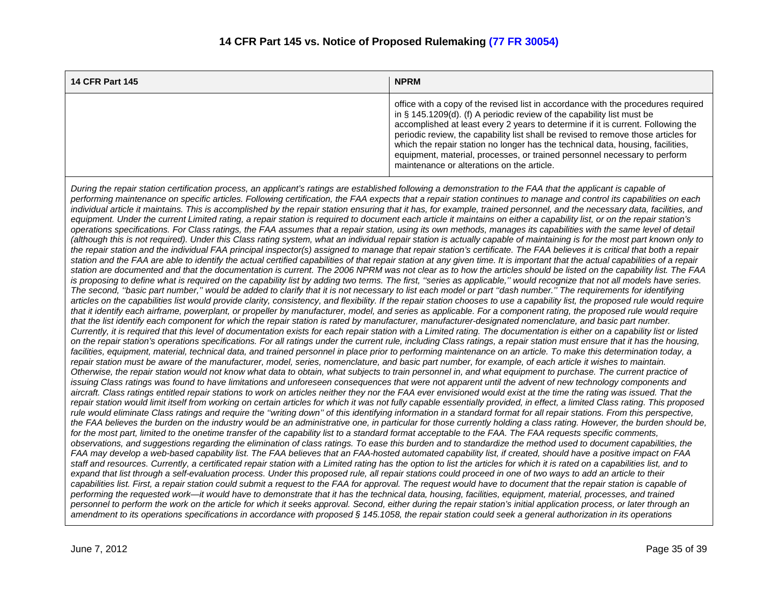| <b>14 CFR Part 145</b> | <b>NPRM</b>                                                                                                                                                                                                                                                                                                                                                                                                                                                                                                                                            |
|------------------------|--------------------------------------------------------------------------------------------------------------------------------------------------------------------------------------------------------------------------------------------------------------------------------------------------------------------------------------------------------------------------------------------------------------------------------------------------------------------------------------------------------------------------------------------------------|
|                        | office with a copy of the revised list in accordance with the procedures required<br>in $\S$ 145.1209(d). (f) A periodic review of the capability list must be<br>accomplished at least every 2 years to determine if it is current. Following the<br>periodic review, the capability list shall be revised to remove those articles for<br>which the repair station no longer has the technical data, housing, facilities,<br>equipment, material, processes, or trained personnel necessary to perform<br>maintenance or alterations on the article. |

*During the repair station certification process, an applicant's ratings are established following a demonstration to the FAA that the applicant is capable of performing maintenance on specific articles. Following certification, the FAA expects that a repair station continues to manage and control its capabilities on each individual article it maintains. This is accomplished by the repair station ensuring that it has, for example, trained personnel, and the necessary data, facilities, and*  equipment. Under the current Limited rating, a repair station is required to document each article it maintains on either a capability list, or on the repair station's *operations specifications. For Class ratings, the FAA assumes that a repair station, using its own methods, manages its capabilities with the same level of detail (although this is not required). Under this Class rating system, what an individual repair station is actually capable of maintaining is for the most part known only to the repair station and the individual FAA principal inspector(s) assigned to manage that repair station's certificate. The FAA believes it is critical that both a repair*  station and the FAA are able to identify the actual certified capabilities of that repair station at any given time. It is important that the actual capabilities of a repair *station are documented and that the documentation is current. The 2006 NPRM was not clear as to how the articles should be listed on the capability list. The FAA is proposing to define what is required on the capability list by adding two terms. The first, ''series as applicable,'' would recognize that not all models have series. The second, ''basic part number,'' would be added to clarify that it is not necessary to list each model or part ''dash number.'' The requirements for identifying articles on the capabilities list would provide clarity, consistency, and flexibility. If the repair station chooses to use a capability list, the proposed rule would require that it identify each airframe, powerplant, or propeller by manufacturer, model, and series as applicable. For a component rating, the proposed rule would require that the list identify each component for which the repair station is rated by manufacturer, manufacturer-designated nomenclature, and basic part number. Currently, it is required that this level of documentation exists for each repair station with a Limited rating. The documentation is either on a capability list or listed on the repair station's operations specifications. For all ratings under the current rule, including Class ratings, a repair station must ensure that it has the housing,*  facilities, equipment, material, technical data, and trained personnel in place prior to performing maintenance on an article. To make this determination today, a *repair station must be aware of the manufacturer, model, series, nomenclature, and basic part number, for example, of each article it wishes to maintain. Otherwise, the repair station would not know what data to obtain, what subjects to train personnel in, and what equipment to purchase. The current practice of issuing Class ratings was found to have limitations and unforeseen consequences that were not apparent until the advent of new technology components and aircraft. Class ratings entitled repair stations to work on articles neither they nor the FAA ever envisioned would exist at the time the rating was issued. That the*  repair station would limit itself from working on certain articles for which it was not fully capable essentially provided, in effect, a limited Class rating. This proposed *rule would eliminate Class ratings and require the ''writing down'' of this identifying information in a standard format for all repair stations. From this perspective, the FAA believes the burden on the industry would be an administrative one, in particular for those currently holding a class rating. However, the burden should be, for the most part, limited to the onetime transfer of the capability list to a standard format acceptable to the FAA. The FAA requests specific comments, observations, and suggestions regarding the elimination of class ratings. To ease this burden and to standardize the method used to document capabilities, the FAA may develop a web-based capability list. The FAA believes that an FAA-hosted automated capability list, if created, should have a positive impact on FAA staff and resources. Currently, a certificated repair station with a Limited rating has the option to list the articles for which it is rated on a capabilities list, and to expand that list through a self-evaluation process. Under this proposed rule, all repair stations could proceed in one of two ways to add an article to their capabilities list. First, a repair station could submit a request to the FAA for approval. The request would have to document that the repair station is capable of performing the requested work—it would have to demonstrate that it has the technical data, housing, facilities, equipment, material, processes, and trained personnel to perform the work on the article for which it seeks approval. Second, either during the repair station's initial application process, or later through an amendment to its operations specifications in accordance with proposed § 145.1058, the repair station could seek a general authorization in its operations*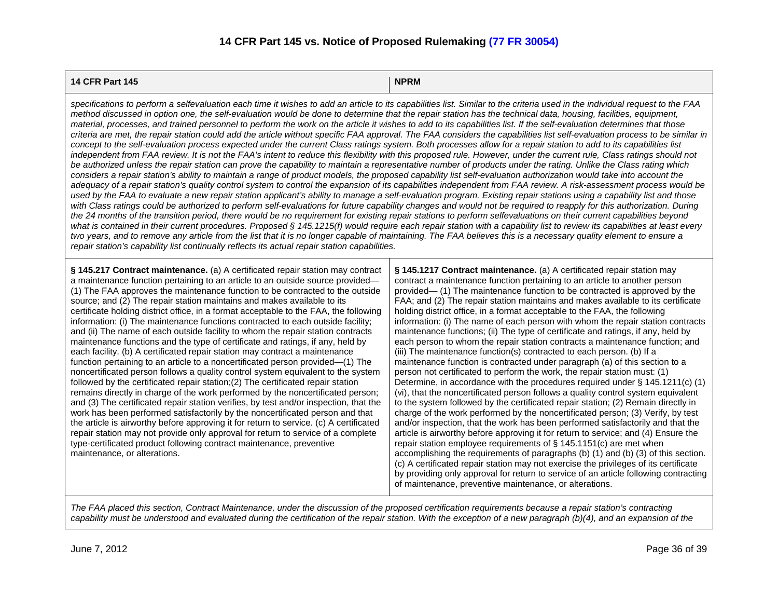| <b>14 CFR Part 145</b>                                                                                                                                                                                                                                                                                                                                                                                                                                                                                                                                                                                                                                                                                                                                                                                                                                                                                                                                                                                                                                                                                                                                                                                                                                                                                                                                                                                                                                                                                                                                                                                                                                                                                                                                                                                                                                                                                                                                                                                                                                                                                                                                                                                                                                                                                                                                                                                                                                                                                                                     | <b>NPRM</b>                                                                                                                                                                                                                                                                                                                                                                                                                                                                                                                                                                                                                                                                                                                                                                                                                                                                                                                                                                                                                                                                                                                                                                                                                                                                                                                                                                                                                                                                                                                                                                                                                                                                                                                                                                                                                        |
|--------------------------------------------------------------------------------------------------------------------------------------------------------------------------------------------------------------------------------------------------------------------------------------------------------------------------------------------------------------------------------------------------------------------------------------------------------------------------------------------------------------------------------------------------------------------------------------------------------------------------------------------------------------------------------------------------------------------------------------------------------------------------------------------------------------------------------------------------------------------------------------------------------------------------------------------------------------------------------------------------------------------------------------------------------------------------------------------------------------------------------------------------------------------------------------------------------------------------------------------------------------------------------------------------------------------------------------------------------------------------------------------------------------------------------------------------------------------------------------------------------------------------------------------------------------------------------------------------------------------------------------------------------------------------------------------------------------------------------------------------------------------------------------------------------------------------------------------------------------------------------------------------------------------------------------------------------------------------------------------------------------------------------------------------------------------------------------------------------------------------------------------------------------------------------------------------------------------------------------------------------------------------------------------------------------------------------------------------------------------------------------------------------------------------------------------------------------------------------------------------------------------------------------------|------------------------------------------------------------------------------------------------------------------------------------------------------------------------------------------------------------------------------------------------------------------------------------------------------------------------------------------------------------------------------------------------------------------------------------------------------------------------------------------------------------------------------------------------------------------------------------------------------------------------------------------------------------------------------------------------------------------------------------------------------------------------------------------------------------------------------------------------------------------------------------------------------------------------------------------------------------------------------------------------------------------------------------------------------------------------------------------------------------------------------------------------------------------------------------------------------------------------------------------------------------------------------------------------------------------------------------------------------------------------------------------------------------------------------------------------------------------------------------------------------------------------------------------------------------------------------------------------------------------------------------------------------------------------------------------------------------------------------------------------------------------------------------------------------------------------------------|
| specifications to perform a selfevaluation each time it wishes to add an article to its capabilities list. Similar to the criteria used in the individual request to the FAA<br>method discussed in option one, the self-evaluation would be done to determine that the repair station has the technical data, housing, facilities, equipment,<br>material, processes, and trained personnel to perform the work on the article it wishes to add to its capabilities list. If the self-evaluation determines that those<br>criteria are met, the repair station could add the article without specific FAA approval. The FAA considers the capabilities list self-evaluation process to be similar in<br>concept to the self-evaluation process expected under the current Class ratings system. Both processes allow for a repair station to add to its capabilities list<br>independent from FAA review. It is not the FAA's intent to reduce this flexibility with this proposed rule. However, under the current rule, Class ratings should not<br>be authorized unless the repair station can prove the capability to maintain a representative number of products under the rating. Unlike the Class rating which<br>considers a repair station's ability to maintain a range of product models, the proposed capability list self-evaluation authorization would take into account the<br>adequacy of a repair station's quality control system to control the expansion of its capabilities independent from FAA review. A risk-assessment process would be<br>used by the FAA to evaluate a new repair station applicant's ability to manage a self-evaluation program. Existing repair stations using a capability list and those<br>with Class ratings could be authorized to perform self-evaluations for future capability changes and would not be required to reapply for this authorization. During<br>the 24 months of the transition period, there would be no requirement for existing repair stations to perform selfevaluations on their current capabilities beyond<br>what is contained in their current procedures. Proposed § 145.1215(f) would require each repair station with a capability list to review its capabilities at least every<br>two years, and to remove any article from the list that it is no longer capable of maintaining. The FAA believes this is a necessary quality element to ensure a<br>repair station's capability list continually reflects its actual repair station capabilities. |                                                                                                                                                                                                                                                                                                                                                                                                                                                                                                                                                                                                                                                                                                                                                                                                                                                                                                                                                                                                                                                                                                                                                                                                                                                                                                                                                                                                                                                                                                                                                                                                                                                                                                                                                                                                                                    |
| § 145.217 Contract maintenance. (a) A certificated repair station may contract<br>a maintenance function pertaining to an article to an outside source provided-<br>(1) The FAA approves the maintenance function to be contracted to the outside<br>source; and (2) The repair station maintains and makes available to its<br>certificate holding district office, in a format acceptable to the FAA, the following<br>information: (i) The maintenance functions contracted to each outside facility;<br>and (ii) The name of each outside facility to whom the repair station contracts<br>maintenance functions and the type of certificate and ratings, if any, held by<br>each facility. (b) A certificated repair station may contract a maintenance<br>function pertaining to an article to a noncertificated person provided—(1) The<br>noncertificated person follows a quality control system equivalent to the system<br>followed by the certificated repair station; (2) The certificated repair station<br>remains directly in charge of the work performed by the noncertificated person;<br>and (3) The certificated repair station verifies, by test and/or inspection, that the<br>work has been performed satisfactorily by the noncertificated person and that<br>the article is airworthy before approving it for return to service. (c) A certificated<br>repair station may not provide only approval for return to service of a complete<br>type-certificated product following contract maintenance, preventive<br>maintenance, or alterations.                                                                                                                                                                                                                                                                                                                                                                                                                                                                                                                                                                                                                                                                                                                                                                                                                                                                                                                                                                  | § 145.1217 Contract maintenance. (a) A certificated repair station may<br>contract a maintenance function pertaining to an article to another person<br>provided— (1) The maintenance function to be contracted is approved by the<br>FAA; and (2) The repair station maintains and makes available to its certificate<br>holding district office, in a format acceptable to the FAA, the following<br>information: (i) The name of each person with whom the repair station contracts<br>maintenance functions; (ii) The type of certificate and ratings, if any, held by<br>each person to whom the repair station contracts a maintenance function; and<br>(iii) The maintenance function(s) contracted to each person. (b) If a<br>maintenance function is contracted under paragraph (a) of this section to a<br>person not certificated to perform the work, the repair station must: (1)<br>Determine, in accordance with the procedures required under $\S$ 145.1211(c) (1)<br>(vi), that the noncertificated person follows a quality control system equivalent<br>to the system followed by the certificated repair station; (2) Remain directly in<br>charge of the work performed by the noncertificated person; (3) Verify, by test<br>and/or inspection, that the work has been performed satisfactorily and that the<br>article is airworthy before approving it for return to service; and (4) Ensure the<br>repair station employee requirements of $\S$ 145.1151(c) are met when<br>accomplishing the requirements of paragraphs (b) (1) and (b) (3) of this section.<br>(c) A certificated repair station may not exercise the privileges of its certificate<br>by providing only approval for return to service of an article following contracting<br>of maintenance, preventive maintenance, or alterations. |

*The FAA placed this section, Contract Maintenance, under the discussion of the proposed certification requirements because a repair station's contracting capability must be understood and evaluated during the certification of the repair station. With the exception of a new paragraph (b)(4), and an expansion of the*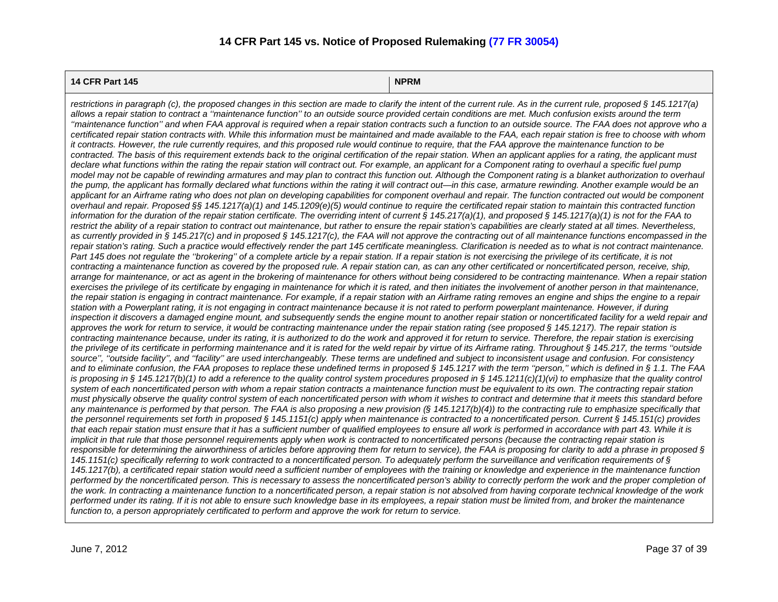#### **14 CFR Part 145 NPRM** *restrictions in paragraph (c), the proposed changes in this section are made to clarify the intent of the current rule. As in the current rule, proposed § 145.1217(a) allows a repair station to contract a ''maintenance function'' to an outside source provided certain conditions are met. Much confusion exists around the term ''maintenance function'' and when FAA approval is required when a repair station contracts such a function to an outside source. The FAA does not approve who a certificated repair station contracts with. While this information must be maintained and made available to the FAA, each repair station is free to choose with whom it contracts. However, the rule currently requires, and this proposed rule would continue to require, that the FAA approve the maintenance function to be contracted. The basis of this requirement extends back to the original certification of the repair station. When an applicant applies for a rating, the applicant must declare what functions within the rating the repair station will contract out. For example, an applicant for a Component rating to overhaul a specific fuel pump model may not be capable of rewinding armatures and may plan to contract this function out. Although the Component rating is a blanket authorization to overhaul the pump, the applicant has formally declared what functions within the rating it will contract out—in this case, armature rewinding. Another example would be an*  applicant for an Airframe rating who does not plan on developing capabilities for component overhaul and repair. The function contracted out would be component *overhaul and repair. Proposed §§ 145.1217(a)(1) and 145.1209(e)(5) would continue to require the certificated repair station to maintain this contracted function information for the duration of the repair station certificate. The overriding intent of current § 145.217(a)(1), and proposed § 145.1217(a)(1) is not for the FAA to restrict the ability of a repair station to contract out maintenance, but rather to ensure the repair station's capabilities are clearly stated at all times. Nevertheless, as currently provided in § 145.217(c) and in proposed § 145.1217(c), the FAA will not approve the contracting out of all maintenance functions encompassed in the repair station's rating. Such a practice would effectively render the part 145 certificate meaningless. Clarification is needed as to what is not contract maintenance. Part 145 does not regulate the ''brokering'' of a complete article by a repair station. If a repair station is not exercising the privilege of its certificate, it is not contracting a maintenance function as covered by the proposed rule. A repair station can, as can any other certificated or noncertificated person, receive, ship, arrange for maintenance, or act as agent in the brokering of maintenance for others without being considered to be contracting maintenance. When a repair station exercises the privilege of its certificate by engaging in maintenance for which it is rated, and then initiates the involvement of another person in that maintenance, the repair station is engaging in contract maintenance. For example, if a repair station with an Airframe rating removes an engine and ships the engine to a repair station with a Powerplant rating, it is not engaging in contract maintenance because it is not rated to perform powerplant maintenance. However, if during inspection it discovers a damaged engine mount, and subsequently sends the engine mount to another repair station or noncertificated facility for a weld repair and approves the work for return to service, it would be contracting maintenance under the repair station rating (see proposed § 145.1217). The repair station is contracting maintenance because, under its rating, it is authorized to do the work and approved it for return to service. Therefore, the repair station is exercising the privilege of its certificate in performing maintenance and it is rated for the weld repair by virtue of its Airframe rating. Throughout § 145.217, the terms ''outside source'', ''outside facility'', and ''facility'' are used interchangeably. These terms are undefined and subject to inconsistent usage and confusion. For consistency and to eliminate confusion, the FAA proposes to replace these undefined terms in proposed § 145.1217 with the term ''person,'' which is defined in § 1.1. The FAA is proposing in § 145.1217(b)(1) to add a reference to the quality control system procedures proposed in § 145.1211(c)(1)(vi) to emphasize that the quality control system of each noncertificated person with whom a repair station contracts a maintenance function must be equivalent to its own. The contracting repair station must physically observe the quality control system of each noncertificated person with whom it wishes to contract and determine that it meets this standard before any maintenance is performed by that person. The FAA is also proposing a new provision (§ 145.1217(b)(4)) to the contracting rule to emphasize specifically that the personnel requirements set forth in proposed § 145.1151(c) apply when maintenance is contracted to a noncertificated person. Current § 145.151(c) provides that each repair station must ensure that it has a sufficient number of qualified employees to ensure all work is performed in accordance with part 43. While it is implicit in that rule that those personnel requirements apply when work is contracted to noncertificated persons (because the contracting repair station is responsible for determining the airworthiness of articles before approving them for return to service), the FAA is proposing for clarity to add a phrase in proposed § 145.1151(c) specifically referring to work contracted to a noncertificated person. To adequately perform the surveillance and verification requirements of § 145.1217(b), a certificated repair station would need a sufficient number of employees with the training or knowledge and experience in the maintenance function performed by the noncertificated person. This is necessary to assess the noncertificated person's ability to correctly perform the work and the proper completion of the work. In contracting a maintenance function to a noncertificated person, a repair station is not absolved from having corporate technical knowledge of the work performed under its rating. If it is not able to ensure such knowledge base in its employees, a repair station must be limited from, and broker the maintenance function to, a person appropriately certificated to perform and approve the work for return to service.*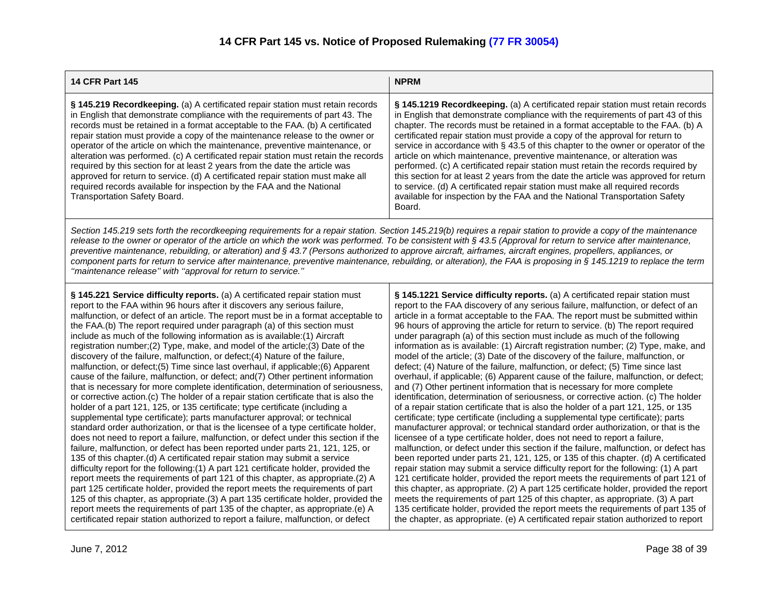| <b>14 CFR Part 145</b>                                                                                                                                                                                                                                                                                                                                                                                                                                                                                                                                                                                                                                                                                                                                                                                                                                                                                                                                                                                            | <b>NPRM</b>                                                                                                                                                                                                                                                                                                                                                                                                                                                                                                                                                                                                                                                                                                                                                                                                                                                                                                                                                                                                                   |
|-------------------------------------------------------------------------------------------------------------------------------------------------------------------------------------------------------------------------------------------------------------------------------------------------------------------------------------------------------------------------------------------------------------------------------------------------------------------------------------------------------------------------------------------------------------------------------------------------------------------------------------------------------------------------------------------------------------------------------------------------------------------------------------------------------------------------------------------------------------------------------------------------------------------------------------------------------------------------------------------------------------------|-------------------------------------------------------------------------------------------------------------------------------------------------------------------------------------------------------------------------------------------------------------------------------------------------------------------------------------------------------------------------------------------------------------------------------------------------------------------------------------------------------------------------------------------------------------------------------------------------------------------------------------------------------------------------------------------------------------------------------------------------------------------------------------------------------------------------------------------------------------------------------------------------------------------------------------------------------------------------------------------------------------------------------|
| § 145.219 Recordkeeping. (a) A certificated repair station must retain records<br>in English that demonstrate compliance with the requirements of part 43. The<br>records must be retained in a format acceptable to the FAA. (b) A certificated<br>repair station must provide a copy of the maintenance release to the owner or<br>operator of the article on which the maintenance, preventive maintenance, or<br>alteration was performed. (c) A certificated repair station must retain the records<br>required by this section for at least 2 years from the date the article was<br>approved for return to service. (d) A certificated repair station must make all<br>required records available for inspection by the FAA and the National<br>Transportation Safety Board.                                                                                                                                                                                                                               | § 145.1219 Recordkeeping. (a) A certificated repair station must retain records<br>in English that demonstrate compliance with the requirements of part 43 of this<br>chapter. The records must be retained in a format acceptable to the FAA. (b) A<br>certificated repair station must provide a copy of the approval for return to<br>service in accordance with $\S$ 43.5 of this chapter to the owner or operator of the<br>article on which maintenance, preventive maintenance, or alteration was<br>performed. (c) A certificated repair station must retain the records required by<br>this section for at least 2 years from the date the article was approved for return<br>to service. (d) A certificated repair station must make all required records<br>available for inspection by the FAA and the National Transportation Safety<br>Board.                                                                                                                                                                   |
| Section 145.219 sets forth the recordkeeping requirements for a repair station. Section 145.219(b) requires a repair station to provide a copy of the maintenance<br>release to the owner or operator of the article on which the work was performed. To be consistent with § 43.5 (Approval for return to service after maintenance,<br>preventive maintenance, rebuilding, or alteration) and § 43.7 (Persons authorized to approve aircraft, airframes, aircraft engines, propellers, appliances, or<br>component parts for return to service after maintenance, preventive maintenance, rebuilding, or alteration), the FAA is proposing in § 145.1219 to replace the term<br>"maintenance release" with "approval for return to service."                                                                                                                                                                                                                                                                    |                                                                                                                                                                                                                                                                                                                                                                                                                                                                                                                                                                                                                                                                                                                                                                                                                                                                                                                                                                                                                               |
| § 145.221 Service difficulty reports. (a) A certificated repair station must<br>report to the FAA within 96 hours after it discovers any serious failure,<br>malfunction, or defect of an article. The report must be in a format acceptable to<br>the FAA.(b) The report required under paragraph (a) of this section must<br>include as much of the following information as is available: (1) Aircraft<br>registration number; (2) Type, make, and model of the article; (3) Date of the<br>discovery of the failure, malfunction, or defect; (4) Nature of the failure,<br>malfunction, or defect; (5) Time since last overhaul, if applicable; (6) Apparent<br>cause of the failure, malfunction, or defect; and(7) Other pertinent information<br>that is necessary for more complete identification, determination of seriousness,<br>or corrective action.(c) The holder of a repair station certificate that is also the<br>holder of a part 121, 125, or 135 certificate; type certificate (including a | § 145.1221 Service difficulty reports. (a) A certificated repair station must<br>report to the FAA discovery of any serious failure, malfunction, or defect of an<br>article in a format acceptable to the FAA. The report must be submitted within<br>96 hours of approving the article for return to service. (b) The report required<br>under paragraph (a) of this section must include as much of the following<br>information as is available: (1) Aircraft registration number; (2) Type, make, and<br>model of the article; (3) Date of the discovery of the failure, malfunction, or<br>defect; (4) Nature of the failure, malfunction, or defect; (5) Time since last<br>overhaul, if applicable; (6) Apparent cause of the failure, malfunction, or defect;<br>and (7) Other pertinent information that is necessary for more complete<br>identification, determination of seriousness, or corrective action. (c) The holder<br>of a repair station certificate that is also the holder of a part 121, 125, or 135 |

supplemental type certificate); parts manufacturer approval; or technical standard order authorization, or that is the licensee of a type certificate holder, does not need to report a failure, malfunction, or defect under this section if the failure, malfunction, or defect has been reported under parts 21, 121, 125, or 135 of this chapter.(d) A certificated repair station may submit a service difficulty report for the following:(1) A part 121 certificate holder, provided the report meets the requirements of part 121 of this chapter, as appropriate.(2) A part 125 certificate holder, provided the report meets the requirements of part 125 of this chapter, as appropriate.(3) A part 135 certificate holder, provided the report meets the requirements of part 135 of the chapter, as appropriate.(e) A certificated repair station authorized to report a failure, malfunction, or defect

certificate; type certificate (including a supplemental type certificate); parts manufacturer approval; or technical standard order authorization, or that is the licensee of a type certificate holder, does not need to report a failure, malfunction, or defect under this section if the failure, malfunction, or defect has been reported under parts 21, 121, 125, or 135 of this chapter. (d) A certificated repair station may submit a service difficulty report for the following: (1) A part 121 certificate holder, provided the report meets the requirements of part 121 of this chapter, as appropriate. (2) A part 125 certificate holder, provided the report meets the requirements of part 125 of this chapter, as appropriate. (3) A part 135 certificate holder, provided the report meets the requirements of part 135 of the chapter, as appropriate. (e) A certificated repair station authorized to report